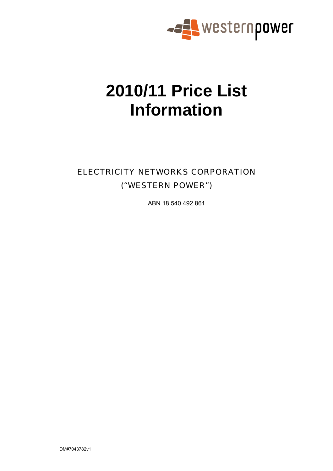

# **2010/11 Price List Information**

# ELECTRICITY NETWORKS CORPORATION ("WESTERN POWER")

ABN 18 540 492 861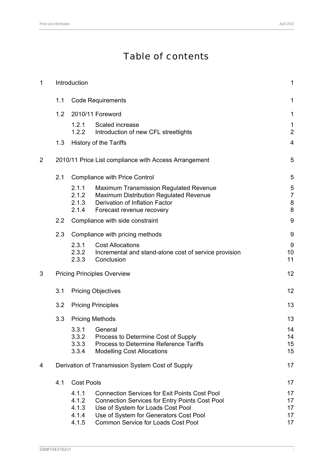# Table of contents

| $\mathbf 1$    |     | Introduction                              |                                                                                                                                                                                                                                           | $\mathbf{1}$                        |
|----------------|-----|-------------------------------------------|-------------------------------------------------------------------------------------------------------------------------------------------------------------------------------------------------------------------------------------------|-------------------------------------|
|                | 1.1 |                                           | <b>Code Requirements</b>                                                                                                                                                                                                                  | 1                                   |
|                | 1.2 |                                           | 2010/11 Foreword                                                                                                                                                                                                                          | 1                                   |
|                |     | 1.2.1<br>1.2.2                            | Scaled increase<br>Introduction of new CFL streetlights                                                                                                                                                                                   | $\mathbf 1$<br>$\overline{2}$       |
|                | 1.3 |                                           | History of the Tariffs                                                                                                                                                                                                                    | $\overline{4}$                      |
| $\overline{2}$ |     |                                           | 2010/11 Price List compliance with Access Arrangement                                                                                                                                                                                     | 5                                   |
|                | 2.1 |                                           | <b>Compliance with Price Control</b>                                                                                                                                                                                                      | 5                                   |
|                |     | 2.1.1<br>2.1.2<br>2.1.3<br>2.1.4          | <b>Maximum Transmission Regulated Revenue</b><br>Maximum Distribution Regulated Revenue<br>Derivation of Inflation Factor<br>Forecast revenue recovery                                                                                    | 5<br>$\overline{7}$<br>$\,8\,$<br>8 |
|                | 2.2 |                                           | Compliance with side constraint                                                                                                                                                                                                           | 9                                   |
|                | 2.3 |                                           | Compliance with pricing methods                                                                                                                                                                                                           | 9                                   |
|                |     | 2.3.1<br>2.3.2<br>2.3.3                   | <b>Cost Allocations</b><br>Incremental and stand-alone cost of service provision<br>Conclusion                                                                                                                                            | 9<br>10<br>11                       |
| 3              |     |                                           | <b>Pricing Principles Overview</b>                                                                                                                                                                                                        | 12                                  |
|                | 3.1 |                                           | <b>Pricing Objectives</b>                                                                                                                                                                                                                 | 12                                  |
|                | 3.2 |                                           | <b>Pricing Principles</b>                                                                                                                                                                                                                 | 13                                  |
|                | 3.3 |                                           | <b>Pricing Methods</b>                                                                                                                                                                                                                    | 13                                  |
|                |     | 3.3.1<br>3.3.2<br>3.3.3<br>3.3.4          | General<br>Process to Determine Cost of Supply<br>Process to Determine Reference Tariffs<br><b>Modelling Cost Allocations</b>                                                                                                             | 14<br>14<br>15<br>15                |
| 4              |     |                                           | Derivation of Transmission System Cost of Supply                                                                                                                                                                                          | 17                                  |
|                | 4.1 | <b>Cost Pools</b>                         |                                                                                                                                                                                                                                           | 17                                  |
|                |     | 4.1.1<br>4.1.2<br>4.1.3<br>4.1.4<br>4.1.5 | <b>Connection Services for Exit Points Cost Pool</b><br><b>Connection Services for Entry Points Cost Pool</b><br>Use of System for Loads Cost Pool<br>Use of System for Generators Cost Pool<br><b>Common Service for Loads Cost Pool</b> | 17<br>17<br>17<br>17<br>17          |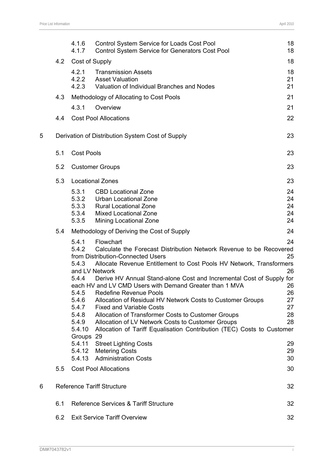|   |     | 4.1.6<br>4.1.7                                                                                                                     | Control System Service for Loads Cost Pool<br>Control System Service for Generators Cost Pool                                                                                                                                                                                                                                                                                                                                                                                                                                                                                                                                                                                                                                                                    | 18<br>18                                                             |
|---|-----|------------------------------------------------------------------------------------------------------------------------------------|------------------------------------------------------------------------------------------------------------------------------------------------------------------------------------------------------------------------------------------------------------------------------------------------------------------------------------------------------------------------------------------------------------------------------------------------------------------------------------------------------------------------------------------------------------------------------------------------------------------------------------------------------------------------------------------------------------------------------------------------------------------|----------------------------------------------------------------------|
|   | 4.2 | Cost of Supply                                                                                                                     |                                                                                                                                                                                                                                                                                                                                                                                                                                                                                                                                                                                                                                                                                                                                                                  | 18                                                                   |
|   |     | 4.2.1<br>4.2.2<br>4.2.3                                                                                                            | <b>Transmission Assets</b><br><b>Asset Valuation</b><br>Valuation of Individual Branches and Nodes                                                                                                                                                                                                                                                                                                                                                                                                                                                                                                                                                                                                                                                               | 18<br>21<br>21                                                       |
|   | 4.3 |                                                                                                                                    | Methodology of Allocating to Cost Pools                                                                                                                                                                                                                                                                                                                                                                                                                                                                                                                                                                                                                                                                                                                          | 21                                                                   |
|   |     | 4.3.1                                                                                                                              | Overview                                                                                                                                                                                                                                                                                                                                                                                                                                                                                                                                                                                                                                                                                                                                                         | 21                                                                   |
|   | 4.4 |                                                                                                                                    | <b>Cost Pool Allocations</b>                                                                                                                                                                                                                                                                                                                                                                                                                                                                                                                                                                                                                                                                                                                                     | 22                                                                   |
| 5 |     |                                                                                                                                    | Derivation of Distribution System Cost of Supply                                                                                                                                                                                                                                                                                                                                                                                                                                                                                                                                                                                                                                                                                                                 | 23                                                                   |
|   | 5.1 | <b>Cost Pools</b>                                                                                                                  |                                                                                                                                                                                                                                                                                                                                                                                                                                                                                                                                                                                                                                                                                                                                                                  | 23                                                                   |
|   | 5.2 |                                                                                                                                    | <b>Customer Groups</b>                                                                                                                                                                                                                                                                                                                                                                                                                                                                                                                                                                                                                                                                                                                                           | 23                                                                   |
|   | 5.3 |                                                                                                                                    | <b>Locational Zones</b>                                                                                                                                                                                                                                                                                                                                                                                                                                                                                                                                                                                                                                                                                                                                          | 23                                                                   |
|   |     | 5.3.1<br>5.3.2<br>5.3.3<br>5.3.4<br>5.3.5                                                                                          | <b>CBD Locational Zone</b><br><b>Urban Locational Zone</b><br><b>Rural Locational Zone</b><br><b>Mixed Locational Zone</b><br><b>Mining Locational Zone</b>                                                                                                                                                                                                                                                                                                                                                                                                                                                                                                                                                                                                      | 24<br>24<br>24<br>24<br>24                                           |
|   | 5.4 |                                                                                                                                    | Methodology of Deriving the Cost of Supply                                                                                                                                                                                                                                                                                                                                                                                                                                                                                                                                                                                                                                                                                                                       | 24                                                                   |
|   |     | 5.4.1<br>5.4.2<br>5.4.3<br>5.4.4<br>5.4.5<br>5.4.6<br>5.4.7<br>5.4.8<br>5.4.9<br>5.4.10<br>Groups 29<br>5.4.11<br>5.4.12<br>5.4.13 | Flowchart<br>Calculate the Forecast Distribution Network Revenue to be Recovered<br>from Distribution-Connected Users<br>Allocate Revenue Entitlement to Cost Pools HV Network, Transformers<br>and LV Network<br>Derive HV Annual Stand-alone Cost and Incremental Cost of Supply for<br>each HV and LV CMD Users with Demand Greater than 1 MVA<br><b>Redefine Revenue Pools</b><br>Allocation of Residual HV Network Costs to Customer Groups<br><b>Fixed and Variable Costs</b><br>Allocation of Transformer Costs to Customer Groups<br>Allocation of LV Network Costs to Customer Groups<br>Allocation of Tariff Equalisation Contribution (TEC) Costs to Customer<br><b>Street Lighting Costs</b><br><b>Metering Costs</b><br><b>Administration Costs</b> | 24<br>25<br>26<br>26<br>26<br>27<br>27<br>28<br>28<br>29<br>29<br>30 |
|   | 5.5 |                                                                                                                                    | <b>Cost Pool Allocations</b>                                                                                                                                                                                                                                                                                                                                                                                                                                                                                                                                                                                                                                                                                                                                     | 30                                                                   |
| 6 |     |                                                                                                                                    | <b>Reference Tariff Structure</b>                                                                                                                                                                                                                                                                                                                                                                                                                                                                                                                                                                                                                                                                                                                                | 32                                                                   |
|   | 6.1 |                                                                                                                                    | Reference Services & Tariff Structure                                                                                                                                                                                                                                                                                                                                                                                                                                                                                                                                                                                                                                                                                                                            | 32                                                                   |
|   | 6.2 |                                                                                                                                    | <b>Exit Service Tariff Overview</b>                                                                                                                                                                                                                                                                                                                                                                                                                                                                                                                                                                                                                                                                                                                              | 32                                                                   |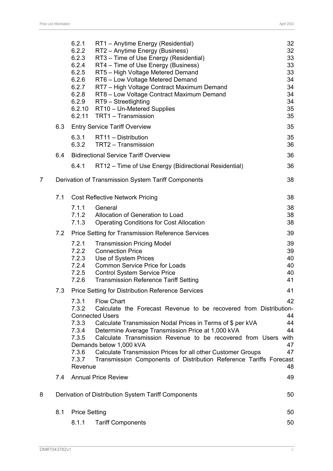|   |     | 6.2.1<br>6.2.2<br>6.2.3<br>6.2.4<br>6.2.5<br>6.2.6<br>6.2.7<br>6.2.8<br>6.2.9<br>6.2.10<br>6.2.11 | RT1 - Anytime Energy (Residential)<br>RT2 - Anytime Energy (Business)<br>RT3 - Time of Use Energy (Residential)<br>RT4 - Time of Use Energy (Business)<br>RT5 - High Voltage Metered Demand<br>RT6 - Low Voltage Metered Demand<br>RT7 - High Voltage Contract Maximum Demand<br>RT8 - Low Voltage Contract Maximum Demand<br>RT9 - Streetlighting<br>RT10 - Un-Metered Supplies<br>TRT1 - Transmission                                                               | 32<br>32<br>33<br>33<br>33<br>34<br>34<br>34<br>34<br>35<br>35 |
|---|-----|---------------------------------------------------------------------------------------------------|-----------------------------------------------------------------------------------------------------------------------------------------------------------------------------------------------------------------------------------------------------------------------------------------------------------------------------------------------------------------------------------------------------------------------------------------------------------------------|----------------------------------------------------------------|
|   | 6.3 |                                                                                                   | <b>Entry Service Tariff Overview</b>                                                                                                                                                                                                                                                                                                                                                                                                                                  | 35                                                             |
|   |     | 6.3.1<br>6.3.2                                                                                    | RT11 - Distribution<br>TRT2 - Transmission                                                                                                                                                                                                                                                                                                                                                                                                                            | 35<br>36                                                       |
|   | 6.4 |                                                                                                   | <b>Bidirectional Service Tariff Overview</b>                                                                                                                                                                                                                                                                                                                                                                                                                          | 36                                                             |
|   |     | 6.4.1                                                                                             | RT12 – Time of Use Energy (Bidirectional Residential)                                                                                                                                                                                                                                                                                                                                                                                                                 | 36                                                             |
| 7 |     |                                                                                                   | Derivation of Transmission System Tariff Components                                                                                                                                                                                                                                                                                                                                                                                                                   | 38                                                             |
|   | 7.1 |                                                                                                   | <b>Cost Reflective Network Pricing</b>                                                                                                                                                                                                                                                                                                                                                                                                                                | 38                                                             |
|   |     | 7.1.1<br>7.1.2<br>7.1.3                                                                           | General<br>Allocation of Generation to Load<br><b>Operating Conditions for Cost Allocation</b>                                                                                                                                                                                                                                                                                                                                                                        | 38<br>38<br>38                                                 |
|   | 7.2 |                                                                                                   | <b>Price Setting for Transmission Reference Services</b>                                                                                                                                                                                                                                                                                                                                                                                                              | 39                                                             |
|   |     | 7.2.1<br>7.2.2<br>7.2.3<br>7.2.4<br>7.2.5<br>7.2.6                                                | <b>Transmission Pricing Model</b><br><b>Connection Price</b><br>Use of System Prices<br><b>Common Service Price for Loads</b><br><b>Control System Service Price</b><br><b>Transmission Reference Tariff Setting</b>                                                                                                                                                                                                                                                  | 39<br>39<br>40<br>40<br>40<br>41                               |
|   | 7.3 |                                                                                                   | <b>Price Setting for Distribution Reference Services</b>                                                                                                                                                                                                                                                                                                                                                                                                              | 41                                                             |
|   |     | 7.3.1<br>7.3.2<br>7.3.3<br>7.3.4<br>7.3.5<br>7.3.6<br>7.3.7<br>Revenue                            | <b>Flow Chart</b><br>Calculate the Forecast Revenue to be recovered from Distribution-<br><b>Connected Users</b><br>Calculate Transmission Nodal Prices in Terms of \$ per kVA<br>Determine Average Transmission Price at 1,000 kVA<br>Calculate Transmission Revenue to be recovered from Users with<br>Demands below 1,000 kVA<br>Calculate Transmission Prices for all other Customer Groups<br>Transmission Components of Distribution Reference Tariffs Forecast | 42<br>44<br>44<br>44<br>47<br>47<br>48                         |
|   | 7.4 |                                                                                                   | <b>Annual Price Review</b>                                                                                                                                                                                                                                                                                                                                                                                                                                            | 49                                                             |
| 8 |     |                                                                                                   | Derivation of Distribution System Tariff Components                                                                                                                                                                                                                                                                                                                                                                                                                   | 50                                                             |
|   | 8.1 | <b>Price Setting</b>                                                                              |                                                                                                                                                                                                                                                                                                                                                                                                                                                                       | 50                                                             |
|   |     | 8.1.1                                                                                             | <b>Tariff Components</b>                                                                                                                                                                                                                                                                                                                                                                                                                                              | 50                                                             |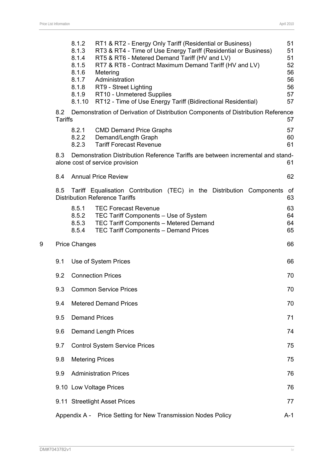|   |                       | 8.1.2<br>8.1.3<br>8.1.4<br>8.1.5<br>8.1.6<br>8.1.7<br>8.1.8<br>8.1.9<br>8.1.10 | RT1 & RT2 - Energy Only Tariff (Residential or Business)<br>RT3 & RT4 - Time of Use Energy Tariff (Residential or Business)<br>RT5 & RT6 - Metered Demand Tariff (HV and LV)<br>RT7 & RT8 - Contract Maximum Demand Tariff (HV and LV)<br>Metering<br>Administration<br>RT9 - Street Lighting<br>RT10 - Unmetered Supplies<br>RT12 - Time of Use Energy Tariff (Bidirectional Residential) | 51<br>51<br>51<br>52<br>56<br>56<br>56<br>57<br>57 |
|---|-----------------------|--------------------------------------------------------------------------------|--------------------------------------------------------------------------------------------------------------------------------------------------------------------------------------------------------------------------------------------------------------------------------------------------------------------------------------------------------------------------------------------|----------------------------------------------------|
|   | 8.2<br><b>Tariffs</b> |                                                                                | Demonstration of Derivation of Distribution Components of Distribution Reference                                                                                                                                                                                                                                                                                                           | 57                                                 |
|   |                       | 8.2.1<br>8.2.2<br>8.2.3                                                        | <b>CMD Demand Price Graphs</b><br>Demand/Length Graph<br><b>Tariff Forecast Revenue</b>                                                                                                                                                                                                                                                                                                    | 57<br>60<br>61                                     |
|   | 8.3                   |                                                                                | Demonstration Distribution Reference Tariffs are between incremental and stand-<br>alone cost of service provision                                                                                                                                                                                                                                                                         | 61                                                 |
|   | 8.4                   |                                                                                | <b>Annual Price Review</b>                                                                                                                                                                                                                                                                                                                                                                 | 62                                                 |
|   | 8.5                   |                                                                                | Tariff Equalisation Contribution (TEC) in the Distribution Components<br><b>Distribution Reference Tariffs</b>                                                                                                                                                                                                                                                                             | of<br>63                                           |
|   |                       | 8.5.1<br>8.5.2<br>8.5.3<br>8.5.4                                               | <b>TEC Forecast Revenue</b><br>TEC Tariff Components - Use of System<br>TEC Tariff Components - Metered Demand<br>TEC Tariff Components - Demand Prices                                                                                                                                                                                                                                    | 63<br>64<br>64<br>65                               |
| 9 |                       | <b>Price Changes</b>                                                           |                                                                                                                                                                                                                                                                                                                                                                                            | 66                                                 |
|   | 9.1                   |                                                                                | Use of System Prices                                                                                                                                                                                                                                                                                                                                                                       | 66                                                 |
|   | 9.2                   |                                                                                | <b>Connection Prices</b>                                                                                                                                                                                                                                                                                                                                                                   | 70                                                 |
|   | 9.3                   |                                                                                | <b>Common Service Prices</b>                                                                                                                                                                                                                                                                                                                                                               | 70                                                 |
|   | 9.4                   |                                                                                | <b>Metered Demand Prices</b>                                                                                                                                                                                                                                                                                                                                                               | 70                                                 |
|   | 9.5                   |                                                                                | <b>Demand Prices</b>                                                                                                                                                                                                                                                                                                                                                                       | 71                                                 |
|   | 9.6                   |                                                                                | <b>Demand Length Prices</b>                                                                                                                                                                                                                                                                                                                                                                | 74                                                 |
|   | 9.7                   |                                                                                | <b>Control System Service Prices</b>                                                                                                                                                                                                                                                                                                                                                       | 75                                                 |
|   | 9.8                   |                                                                                | <b>Metering Prices</b>                                                                                                                                                                                                                                                                                                                                                                     | 75                                                 |
|   | 9.9                   |                                                                                | <b>Administration Prices</b>                                                                                                                                                                                                                                                                                                                                                               | 76                                                 |
|   |                       |                                                                                | 9.10 Low Voltage Prices                                                                                                                                                                                                                                                                                                                                                                    | 76                                                 |
|   |                       |                                                                                | 9.11 Streetlight Asset Prices                                                                                                                                                                                                                                                                                                                                                              | 77                                                 |
|   |                       |                                                                                | Appendix A - Price Setting for New Transmission Nodes Policy                                                                                                                                                                                                                                                                                                                               | $A-1$                                              |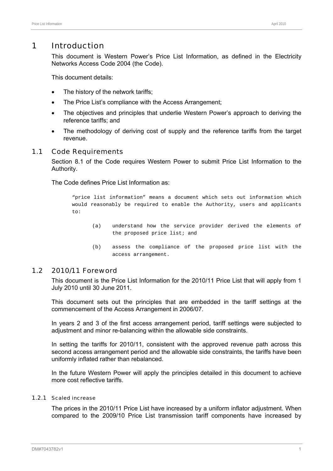# 1 Introduction

This document is Western Power's Price List Information, as defined in the Electricity Networks Access Code 2004 (the Code).

This document details:

- The history of the network tariffs;
- The Price List's compliance with the Access Arrangement:
- The objectives and principles that underlie Western Power's approach to deriving the reference tariffs; and
- The methodology of deriving cost of supply and the reference tariffs from the target revenue.

#### 1.1 Code Requirements

Section 8.1 of the Code requires Western Power to submit Price List Information to the Authority.

The Code defines Price List Information as:

"price list information" means a document which sets out information which would reasonably be required to enable the Authority, users and applicants to:

- (a) understand how the service provider derived the elements of the proposed price list; and
- (b) assess the compliance of the proposed price list with the access arrangement.

#### 1.2 2010/11 Foreword

This document is the Price List Information for the 2010/11 Price List that will apply from 1 July 2010 until 30 June 2011.

This document sets out the principles that are embedded in the tariff settings at the commencement of the Access Arrangement in 2006/07.

In years 2 and 3 of the first access arrangement period, tariff settings were subjected to adjustment and minor re-balancing within the allowable side constraints.

In setting the tariffs for 2010/11, consistent with the approved revenue path across this second access arrangement period and the allowable side constraints, the tariffs have been uniformly inflated rather than rebalanced.

In the future Western Power will apply the principles detailed in this document to achieve more cost reflective tariffs.

#### 1.2.1 Scaled increase

The prices in the 2010/11 Price List have increased by a uniform inflator adjustment. When compared to the 2009/10 Price List transmission tariff components have increased by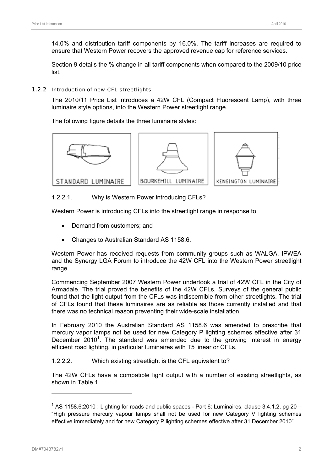14.0% and distribution tariff components by 16.0%. The tariff increases are required to ensure that Western Power recovers the approved revenue cap for reference services.

Section 9 details the % change in all tariff components when compared to the 2009/10 price list.

#### 1.2.2 Introduction of new CFL streetlights

The 2010/11 Price List introduces a 42W CFL (Compact Fluorescent Lamp), with three luminaire style options, into the Western Power streetlight range.

The following figure details the three luminaire styles:



#### 1.2.2.1. Why is Western Power introducing CFLs?

Western Power is introducing CFLs into the streetlight range in response to:

- Demand from customers; and
- Changes to Australian Standard AS 1158.6.

Western Power has received requests from community groups such as WALGA, IPWEA and the Synergy LGA Forum to introduce the 42W CFL into the Western Power streetlight range.

Commencing September 2007 Western Power undertook a trial of 42W CFL in the City of Armadale. The trial proved the benefits of the 42W CFLs. Surveys of the general public found that the light output from the CFLs was indiscernible from other streetlights. The trial of CFLs found that these luminaires are as reliable as those currently installed and that there was no technical reason preventing their wide-scale installation.

In February 2010 the Australian Standard AS 1158.6 was amended to prescribe that mercury vapor lamps not be used for new Category P lighting schemes effective after 31 December 2010<sup>1</sup>. The standard was amended due to the growing interest in energy efficient road lighting, in particular luminaires with T5 linear or CFLs.

1.2.2.2. Which existing streetlight is the CFL equivalent to?

The 42W CFLs have a compatible light output with a number of existing streetlights, as shown in Table 1.

 $1$  AS 1158.6:2010 : Lighting for roads and public spaces - Part 6: Luminaires, clause 3.4.1.2, pg 20 – "High pressure mercury vapour lamps shall not be used for new Category V lighting schemes effective immediately and for new Category P lighting schemes effective after 31 December 2010"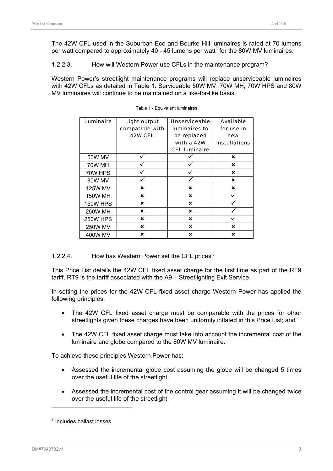The 42W CFL used in the Suburban Eco and Bourke Hill luminaires is rated at 70 lumens per watt compared to approximately 40 - 45 lumens per watt<sup>2</sup> for the 80W MV luminaires.

1.2.2.3. How will Western Power use CFLs in the maintenance program?

Western Power's streetlight maintenance programs will replace unserviceable luminaires with 42W CFLs as detailed in Table 1. Serviceable 50W MV, 70W MH, 70W HPS and 80W MV luminaires will continue to be maintained on a like-for-like basis.

| Luminaire       | Light output<br>compatible with | <b>Unserviceable</b><br><b>luminaires to</b> | <b>Available</b><br>for use in |
|-----------------|---------------------------------|----------------------------------------------|--------------------------------|
|                 | 42W CFL                         |                                              |                                |
|                 |                                 | be replaced                                  | new                            |
|                 |                                 | with a 42W                                   | <b>installations</b>           |
|                 |                                 | <b>CFL luminaire</b>                         |                                |
| 50W MV          |                                 |                                              | ×                              |
| 70W MH          |                                 |                                              | ×                              |
| 70W HPS         |                                 |                                              | ×                              |
| 80W MV          |                                 |                                              | ×                              |
| <b>125W MV</b>  | ×                               | ×                                            | ×                              |
| <b>150W MH</b>  | ×                               | ×                                            |                                |
| <b>150W HPS</b> | ×                               | ×                                            |                                |
| <b>250W MH</b>  | ×                               | ×                                            |                                |
| <b>250W HPS</b> | ×                               | ×                                            |                                |
| <b>250W MV</b>  | ×                               | ×                                            | ×                              |
| 400W MV         | ×                               | ×                                            | ×                              |

|  |  | Table 1 - Equivalent luminaires |  |
|--|--|---------------------------------|--|
|--|--|---------------------------------|--|

#### 1.2.2.4. How has Western Power set the CFL prices?

This Price List details the 42W CFL fixed asset charge for the first time as part of the RT9 tariff. RT9 is the tariff associated with the A9 – Streetlighting Exit Service.

In setting the prices for the 42W CFL fixed asset charge Western Power has applied the following principles:

- The 42W CFL fixed asset charge must be comparable with the prices for other streetlights given these charges have been uniformly inflated in this Price List; and
- The 42W CFL fixed asset charge must take into account the incremental cost of the luminaire and globe compared to the 80W MV luminaire.

To achieve these principles Western Power has:

- Assessed the incremental globe cost assuming the globe will be changed 5 times over the useful life of the streetlight;
- Assessed the incremental cost of the control gear assuming it will be changed twice over the useful life of the streetlight;

<sup>&</sup>lt;sup>2</sup> Includes ballast losses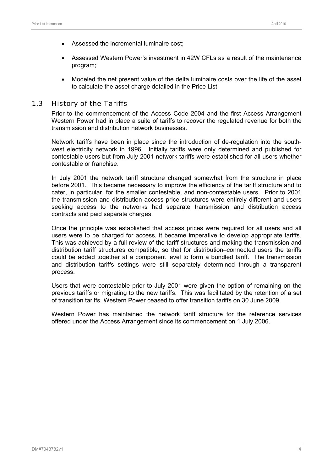- Assessed the incremental luminaire cost;
- Assessed Western Power's investment in 42W CFLs as a result of the maintenance program;
- Modeled the net present value of the delta luminaire costs over the life of the asset to calculate the asset charge detailed in the Price List.

#### 1.3 History of the Tariffs

Prior to the commencement of the Access Code 2004 and the first Access Arrangement Western Power had in place a suite of tariffs to recover the regulated revenue for both the transmission and distribution network businesses.

Network tariffs have been in place since the introduction of de-regulation into the southwest electricity network in 1996. Initially tariffs were only determined and published for contestable users but from July 2001 network tariffs were established for all users whether contestable or franchise.

In July 2001 the network tariff structure changed somewhat from the structure in place before 2001. This became necessary to improve the efficiency of the tariff structure and to cater, in particular, for the smaller contestable, and non-contestable users. Prior to 2001 the transmission and distribution access price structures were entirely different and users seeking access to the networks had separate transmission and distribution access contracts and paid separate charges.

Once the principle was established that access prices were required for all users and all users were to be charged for access, it became imperative to develop appropriate tariffs. This was achieved by a full review of the tariff structures and making the transmission and distribution tariff structures compatible, so that for distribution–connected users the tariffs could be added together at a component level to form a bundled tariff. The transmission and distribution tariffs settings were still separately determined through a transparent process.

Users that were contestable prior to July 2001 were given the option of remaining on the previous tariffs or migrating to the new tariffs. This was facilitated by the retention of a set of transition tariffs. Western Power ceased to offer transition tariffs on 30 June 2009.

Western Power has maintained the network tariff structure for the reference services offered under the Access Arrangement since its commencement on 1 July 2006.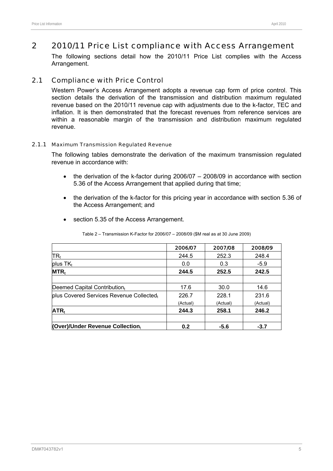# 2 2010/11 Price List compliance with Access Arrangement

The following sections detail how the 2010/11 Price List complies with the Access Arrangement.

### 2.1 Compliance with Price Control

Western Power's Access Arrangement adopts a revenue cap form of price control. This section details the derivation of the transmission and distribution maximum regulated revenue based on the 2010/11 revenue cap with adjustments due to the k-factor, TEC and inflation. It is then demonstrated that the forecast revenues from reference services are within a reasonable margin of the transmission and distribution maximum regulated revenue.

#### 2.1.1 Maximum Transmission Regulated Revenue

The following tables demonstrate the derivation of the maximum transmission regulated revenue in accordance with:

- the derivation of the k-factor during 2006/07 2008/09 in accordance with section 5.36 of the Access Arrangement that applied during that time;
- the derivation of the k-factor for this pricing year in accordance with section 5.36 of the Access Arrangement; and
- section 5.35 of the Access Arrangement.

|                                          | 2006/07  | 2007/08  | 2008/09  |
|------------------------------------------|----------|----------|----------|
| $TR_t$                                   | 244.5    | 252.3    | 248.4    |
| plus $TK_t$                              | 0.0      | 0.3      | $-5.9$   |
| $MTR_t$                                  | 244.5    | 252.5    | 242.5    |
| Deemed Capital Contributiont             | 17.6     | 30.0     | 14.6     |
| plus Covered Services Revenue Collectedt | 226.7    | 228.1    | 231.6    |
|                                          | (Actual) | (Actual) | (Actual) |
| $ATR_t$                                  | 244.3    | 258.1    | 246.2    |
| (Over)/Under Revenue Collectiont         | 0.2      | $-5.6$   | $-3.7$   |

Table 2 – Transmission K-Factor for 2006/07 – 2008/09 (\$M real as at 30 June 2009)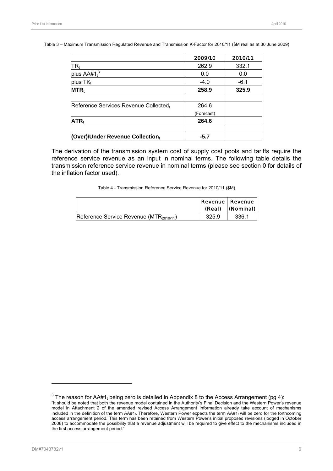Table 3 – Maximum Transmission Regulated Revenue and Transmission K-Factor for 2010/11 (\$M real as at 30 June 2009)

|                                       | 2009/10    | 2010/11 |
|---------------------------------------|------------|---------|
| $\overline{\mathsf{TR}}_\mathfrak{t}$ | 262.9      | 332.1   |
| plus $AA#1t3$                         | 0.0        | 0.0     |
| plus TK <sub>t</sub>                  | $-4.0$     | $-6.1$  |
| <b>MTR</b>                            | 258.9      | 325.9   |
|                                       |            |         |
| Reference Services Revenue Collectedt | 264.6      |         |
|                                       | (Forecast) |         |
| $ATR_t$                               | 264.6      |         |
| (Over)/Under Revenue Collectiont      | $-5.7$     |         |

The derivation of the transmission system cost of supply cost pools and tariffs require the reference service revenue as an input in nominal terms. The following table details the transmission reference service revenue in nominal terms (please see section 0 for details of the inflation factor used).

| Table 4 - Transmission Reference Service Revenue for 2010/11 (\$M) |  |  |  |
|--------------------------------------------------------------------|--|--|--|
|                                                                    |  |  |  |

|                                               | (Real) | <b>Revenue   Revenue</b><br>(Nominal) |
|-----------------------------------------------|--------|---------------------------------------|
| Reference Service Revenue (MTR $_{2010/11}$ ) | 325.9  | 336.1                                 |

<sup>&</sup>lt;sup>3</sup> The reason for AA#1<sub>t</sub> being zero is detailed in Appendix 8 to the Access Arrangement (pg 4): "It should be noted that both the revenue model contained in the Authority's Final Decision and the Western Power's revenue model in Attachment 2 of the amended revised Access Arrangement Information already take account of mechanisms included in the definition of the term AA#1<sub>t</sub>. Therefore, Western Power expects the term AA#1<sub>t</sub> will be zero for the forthcoming access arrangement period. This term has been retained from Western Power's initial proposed revisions (lodged in October 2008) to accommodate the possibility that a revenue adjustment will be required to give effect to the mechanisms included in the first access arrangement period."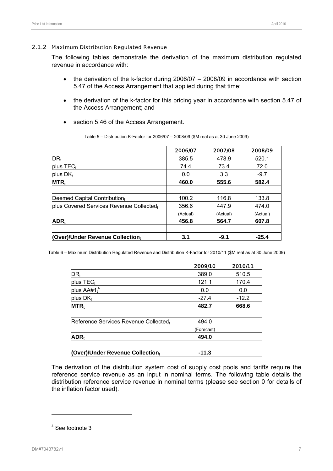#### 2.1.2 Maximum Distribution Regulated Revenue

The following tables demonstrate the derivation of the maximum distribution regulated revenue in accordance with:

- the derivation of the k-factor during 2006/07 2008/09 in accordance with section 5.47 of the Access Arrangement that applied during that time;
- the derivation of the k-factor for this pricing year in accordance with section 5.47 of the Access Arrangement; and
- section 5.46 of the Access Arrangement.

|                                          | 2006/07  | 2007/08  | 2008/09  |
|------------------------------------------|----------|----------|----------|
| DR <sub>t</sub>                          | 385.5    | 478.9    | 520.1    |
| $plus$ TEC <sub>t</sub>                  | 74.4     | 73.4     | 72.0     |
| plus $DK_t$                              | 0.0      | 3.3      | $-9.7$   |
| $MTR_t$                                  | 460.0    | 555.6    | 582.4    |
|                                          |          |          |          |
| Deemed Capital Contribution $t$          | 100.2    | 116.8    | 133.8    |
| plus Covered Services Revenue Collectedt | 356.6    | 447.9    | 474.0    |
|                                          | (Actual) | (Actual) | (Actual) |
| $ADR_t$                                  | 456.8    | 564.7    | 607.8    |
|                                          |          |          |          |
| (Over)/Under Revenue Collectiont         | 3.1      | $-9.1$   | $-25.4$  |

Table 5 – Distribution K-Factor for 2006/07 – 2008/09 (\$M real as at 30 June 2009)

Table 6 – Maximum Distribution Regulated Revenue and Distribution K-Factor for 2010/11 (\$M real as at 30 June 2009)

|                                       | 2009/10    | 2010/11 |
|---------------------------------------|------------|---------|
| DR <sub>t</sub>                       | 389.0      | 510.5   |
| plus TEC <sub>t</sub>                 | 121.1      | 170.4   |
| plus AA#1 <sup>4</sup>                | 0.0        | 0.0     |
| plus $DK_t$                           | $-27.4$    | $-12.2$ |
| $MTR_t$                               | 482.7      | 668.6   |
| Reference Services Revenue Collectedt | 494.0      |         |
|                                       | (Forecast) |         |
| $ADR_t$                               | 494.0      |         |
| (Over)/Under Revenue Collectiont      | $-11.3$    |         |

The derivation of the distribution system cost of supply cost pools and tariffs require the reference service revenue as an input in nominal terms. The following table details the distribution reference service revenue in nominal terms (please see section 0 for details of the inflation factor used).

 $\overline{a}$ 

<sup>4</sup> See footnote 3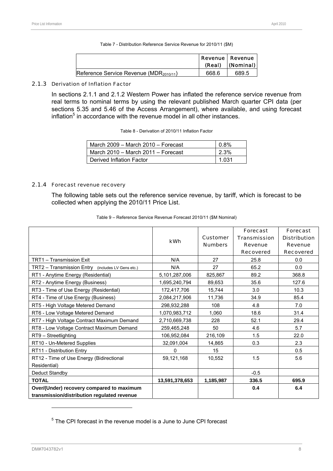Table 7 - Distribution Reference Service Revenue for 2010/11 (\$M)

|                                                     | (Real) | Revenue   Revenue<br>(Nominal) |
|-----------------------------------------------------|--------|--------------------------------|
| Reference Service Revenue (MDR <sub>2010/11</sub> ) | 668.6  | 689.5                          |

#### 2.1.3 Derivation of Inflation Factor

In sections 2.1.1 and 2.1.2 Western Power has inflated the reference service revenue from real terms to nominal terms by using the relevant published March quarter CPI data (per sections 5.35 and 5.46 of the Access Arrangement), where available, and using forecast inflation<sup>5</sup> in accordance with the revenue model in all other instances.

| Table 8 - Derivation of 2010/11 Inflation Factor |
|--------------------------------------------------|
|--------------------------------------------------|

| ∣ March 2009 – March 2010 – Forecast       | $0.8\%$ |
|--------------------------------------------|---------|
| $\vert$ March 2010 - March 2011 - Forecast | 2.3%    |
| Derived Inflation Factor                   | 1.031   |

#### 2.1.4 Forecast revenue recovery

The following table sets out the reference service revenue, by tariff, which is forecast to be collected when applying the 2010/11 Price List.

|                                                   | <b>kWh</b>     | <b>Customer</b><br><b>Numbers</b> | <b>Forecast</b><br><b>Transmission</b><br><b>Revenue</b><br><b>Recovered</b> | <b>Forecast</b><br><b>Distribution</b><br><b>Revenue</b><br><b>Recovered</b> |
|---------------------------------------------------|----------------|-----------------------------------|------------------------------------------------------------------------------|------------------------------------------------------------------------------|
| TRT1 - Transmission Exit                          | N/A            | 27                                | 25.8                                                                         | 0.0                                                                          |
| TRT2 - Transmission Entry (includes LV Gens etc.) | N/A            | 27                                | 65.2                                                                         | 0.0                                                                          |
| RT1 - Anytime Energy (Residential)                | 5,101,287,006  | 825,867                           | 89.2                                                                         | 368.8                                                                        |
| RT2 - Anytime Energy (Business)                   | 1,695,240,794  | 89,653                            | 35.6                                                                         | 127.6                                                                        |
| RT3 - Time of Use Energy (Residential)            | 172,417,706    | 15,744                            | 3.0                                                                          | 10.3                                                                         |
| RT4 - Time of Use Energy (Business)               | 2,084,217,906  | 11,736                            | 34.9                                                                         | 85.4                                                                         |
| RT5 - High Voltage Metered Demand                 | 298,932,288    | 108                               | 4.8                                                                          | 7.0                                                                          |
| RT6 - Low Voltage Metered Demand                  | 1,070,983,712  | 1,060                             | 18.6                                                                         | 31.4                                                                         |
| RT7 - High Voltage Contract Maximum Demand        | 2,710,669,738  | 228                               | 52.1                                                                         | 29.4                                                                         |
| RT8 - Low Voltage Contract Maximum Demand         | 259,465,248    | 50                                | 4.6                                                                          | 5.7                                                                          |
| RT9 - Streetlighting                              | 106,952,084    | 216,109                           | 1.5                                                                          | 22.0                                                                         |
| RT10 - Un-Metered Supplies                        | 32,091,004     | 14,865                            | 0.3                                                                          | 2.3                                                                          |
| RT11 - Distribution Entry                         | 0              | 15                                |                                                                              | 0.5                                                                          |
| RT12 - Time of Use Energy (Bidirectional          | 59,121,168     | 10,552                            | 1.5                                                                          | 5.6                                                                          |
| Residential)                                      |                |                                   |                                                                              |                                                                              |
| Deduct Standby                                    |                |                                   | $-0.5$                                                                       |                                                                              |
| <b>TOTAL</b>                                      | 13,591,378,653 | 1,185,987                         | 336.5                                                                        | 695.9                                                                        |
| Over/(Under) recovery compared to maximum         |                |                                   | 0.4                                                                          | 6.4                                                                          |
| transmission/distribution regulated revenue       |                |                                   |                                                                              |                                                                              |

Table 9 – Reference Service Revenue Forecast 2010/11 (\$M Nominal)

 $5$  The CPI forecast in the revenue model is a June to June CPI forecast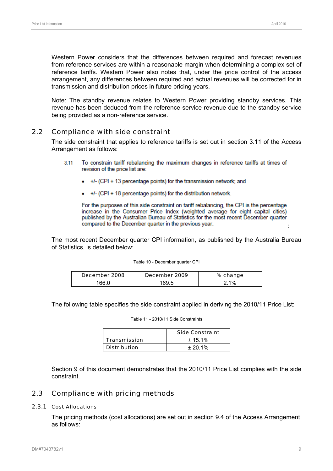Western Power considers that the differences between required and forecast revenues from reference services are within a reasonable margin when determining a complex set of reference tariffs. Western Power also notes that, under the price control of the access arrangement, any differences between required and actual revenues will be corrected for in transmission and distribution prices in future pricing years.

Note: The standby revenue relates to Western Power providing standby services. This revenue has been deduced from the reference service revenue due to the standby service being provided as a non-reference service.

# 2.2 Compliance with side constraint

The side constraint that applies to reference tariffs is set out in section 3.11 of the Access Arrangement as follows:

- $3.11$ To constrain tariff rebalancing the maximum changes in reference tariffs at times of revision of the price list are:
	- +/- (CPI + 13 percentage points) for the transmission network: and
	- +/- (CPI + 18 percentage points) for the distribution network.

For the purposes of this side constraint on tariff rebalancing, the CPI is the percentage increase in the Consumer Price Index (weighted average for eight capital cities) published by the Australian Bureau of Statistics for the most recent December quarter compared to the December quarter in the previous year. :

The most recent December quarter CPI information, as published by the Australia Bureau of Statistics, is detailed below:

| Table 10 - December quarter CPI |  |
|---------------------------------|--|
|                                 |  |

| December 2008 | December 2009 | % change |
|---------------|---------------|----------|
| 66 C          | 69 F          | $1\%$    |

The following table specifies the side constraint applied in deriving the 2010/11 Price List:

Table 11 - 2010/11 Side Constraints

|                     | <b>Side Constraint</b> |
|---------------------|------------------------|
| <b>Transmission</b> | ± 15.1%                |
| <b>Distribution</b> | $+20.1%$               |

Section 9 of this document demonstrates that the 2010/11 Price List complies with the side constraint.

#### 2.3 Compliance with pricing methods

#### 2.3.1 Cost Allocations

The pricing methods (cost allocations) are set out in section 9.4 of the Access Arrangement as follows: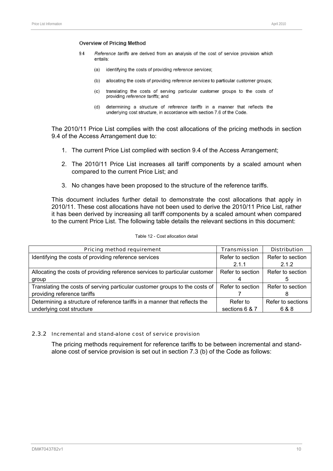#### Overview of Pricing Method

- 94 Reference tariffs are derived from an analysis of the cost of service provision which entails:
	- (a) identifying the costs of providing reference services;
	- (b) allocating the costs of providing reference services to particular customer groups;
	- $(c)$ translating the costs of serving particular customer groups to the costs of providing reference tariffs; and
	- $(d)$ determining a structure of reference tariffs in a manner that reflects the underlying cost structure, in accordance with section 7.6 of the Code.

The 2010/11 Price List complies with the cost allocations of the pricing methods in section 9.4 of the Access Arrangement due to:

- 1. The current Price List complied with section 9.4 of the Access Arrangement;
- 2. The 2010/11 Price List increases all tariff components by a scaled amount when compared to the current Price List; and
- 3. No changes have been proposed to the structure of the reference tariffs.

This document includes further detail to demonstrate the cost allocations that apply in 2010/11. These cost allocations have not been used to derive the 2010/11 Price List, rather it has been derived by increasing all tariff components by a scaled amount when compared to the current Price List. The following table details the relevant sections in this document:

| Pricing method requirement                                                  | <b>Transmission</b> | <b>Distribution</b> |
|-----------------------------------------------------------------------------|---------------------|---------------------|
| Identifying the costs of providing reference services                       | Refer to section    | Refer to section    |
|                                                                             | 2.1.1               | 2.1.2               |
| Allocating the costs of providing reference services to particular customer | Refer to section    | Refer to section    |
| group                                                                       |                     |                     |
| Translating the costs of serving particular customer groups to the costs of | Refer to section    | Refer to section    |
| providing reference tariffs                                                 |                     |                     |
| Determining a structure of reference tariffs in a manner that reflects the  | Refer to            | Refer to sections   |
| underlying cost structure                                                   | sections 6 & 7      | 6 & 8               |

#### Table 12 - Cost allocation detail

#### 2.3.2 Incremental and stand-alone cost of service provision

The pricing methods requirement for reference tariffs to be between incremental and standalone cost of service provision is set out in section 7.3 (b) of the Code as follows: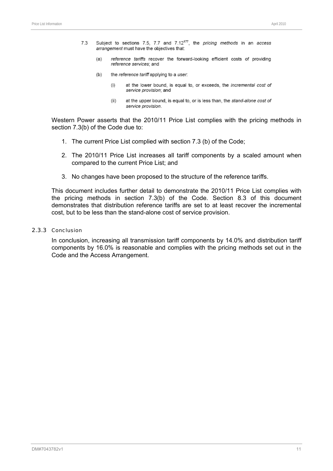- Subject to sections 7.5, 7.7 and 7.12<sup>177</sup>, the *pricing methods* in an access 73 arrangement must have the objectives that:
	- reference tariffs recover the forward-looking efficient costs of providing  $(a)$ reference services; and
	- $(b)$ the reference tariff applying to a user.
		- at the lower bound, is equal to, or exceeds, the incremental cost of  $(i)$ service provision: and
		- $(ii)$ at the upper bound, is equal to, or is less than, the stand-alone cost of service provision.

Western Power asserts that the 2010/11 Price List complies with the pricing methods in section 7.3(b) of the Code due to:

- 1. The current Price List complied with section 7.3 (b) of the Code;
- 2. The 2010/11 Price List increases all tariff components by a scaled amount when compared to the current Price List; and
- 3. No changes have been proposed to the structure of the reference tariffs.

This document includes further detail to demonstrate the 2010/11 Price List complies with the pricing methods in section 7.3(b) of the Code. Section 8.3 of this document demonstrates that distribution reference tariffs are set to at least recover the incremental cost, but to be less than the stand-alone cost of service provision.

#### 2.3.3 Conclusion

In conclusion, increasing all transmission tariff components by 14.0% and distribution tariff components by 16.0% is reasonable and complies with the pricing methods set out in the Code and the Access Arrangement.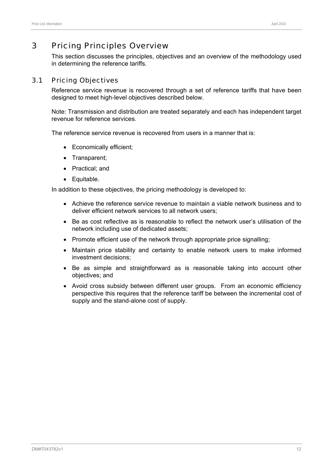# 3 Pricing Principles Overview

This section discusses the principles, objectives and an overview of the methodology used in determining the reference tariffs.

# 3.1 Pricing Objectives

Reference service revenue is recovered through a set of reference tariffs that have been designed to meet high-level objectives described below.

Note: Transmission and distribution are treated separately and each has independent target revenue for reference services.

The reference service revenue is recovered from users in a manner that is:

- Economically efficient;
- Transparent;
- Practical; and
- Equitable.

In addition to these objectives, the pricing methodology is developed to:

- Achieve the reference service revenue to maintain a viable network business and to deliver efficient network services to all network users;
- Be as cost reflective as is reasonable to reflect the network user's utilisation of the network including use of dedicated assets;
- Promote efficient use of the network through appropriate price signalling;
- Maintain price stability and certainty to enable network users to make informed investment decisions;
- Be as simple and straightforward as is reasonable taking into account other objectives; and
- Avoid cross subsidy between different user groups. From an economic efficiency perspective this requires that the reference tariff be between the incremental cost of supply and the stand-alone cost of supply.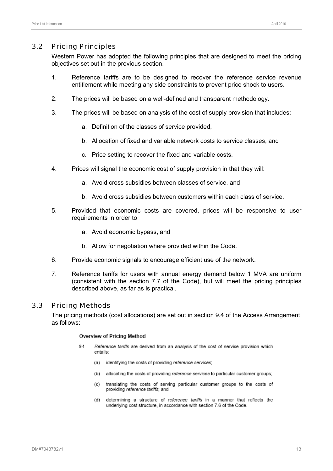#### 3.2 Pricing Principles

Western Power has adopted the following principles that are designed to meet the pricing objectives set out in the previous section.

- 1. Reference tariffs are to be designed to recover the reference service revenue entitlement while meeting any side constraints to prevent price shock to users.
- 2. The prices will be based on a well-defined and transparent methodology.
- 3. The prices will be based on analysis of the cost of supply provision that includes:
	- a. Definition of the classes of service provided,
	- b. Allocation of fixed and variable network costs to service classes, and
	- c. Price setting to recover the fixed and variable costs.
- 4. Prices will signal the economic cost of supply provision in that they will:
	- a. Avoid cross subsidies between classes of service, and
	- b. Avoid cross subsidies between customers within each class of service.
- 5. Provided that economic costs are covered, prices will be responsive to user requirements in order to
	- a. Avoid economic bypass, and
	- b. Allow for negotiation where provided within the Code.
- 6. Provide economic signals to encourage efficient use of the network.
- 7. Reference tariffs for users with annual energy demand below 1 MVA are uniform (consistent with the section 7.7 of the Code), but will meet the pricing principles described above, as far as is practical.

#### 3.3 Pricing Methods

The pricing methods (cost allocations) are set out in section 9.4 of the Access Arrangement as follows:

#### **Overview of Pricing Method**

- 9.4 Reference tariffs are derived from an analysis of the cost of service provision which entails:
	- (a) identifying the costs of providing reference services;
	- (b) allocating the costs of providing reference services to particular customer groups:
	- translating the costs of serving particular customer groups to the costs of  $(c)$ providing reference tariffs: and
	- $(d)$ determining a structure of reference tariffs in a manner that reflects the underlying cost structure, in accordance with section 7.6 of the Code.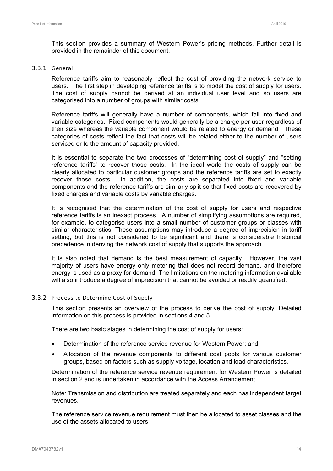This section provides a summary of Western Power's pricing methods. Further detail is provided in the remainder of this document.

#### 3.3.1 General

Reference tariffs aim to reasonably reflect the cost of providing the network service to users. The first step in developing reference tariffs is to model the cost of supply for users. The cost of supply cannot be derived at an individual user level and so users are categorised into a number of groups with similar costs.

Reference tariffs will generally have a number of components, which fall into fixed and variable categories. Fixed components would generally be a charge per user regardless of their size whereas the variable component would be related to energy or demand. These categories of costs reflect the fact that costs will be related either to the number of users serviced or to the amount of capacity provided.

It is essential to separate the two processes of "determining cost of supply" and "setting reference tariffs" to recover those costs. In the ideal world the costs of supply can be clearly allocated to particular customer groups and the reference tariffs are set to exactly recover those costs. In addition, the costs are separated into fixed and variable components and the reference tariffs are similarly split so that fixed costs are recovered by fixed charges and variable costs by variable charges.

It is recognised that the determination of the cost of supply for users and respective reference tariffs is an inexact process. A number of simplifying assumptions are required, for example, to categorise users into a small number of customer groups or classes with similar characteristics. These assumptions may introduce a degree of imprecision in tariff setting, but this is not considered to be significant and there is considerable historical precedence in deriving the network cost of supply that supports the approach.

It is also noted that demand is the best measurement of capacity. However, the vast majority of users have energy only metering that does not record demand, and therefore energy is used as a proxy for demand. The limitations on the metering information available will also introduce a degree of imprecision that cannot be avoided or readily quantified.

#### 3.3.2 Process to Determine Cost of Supply

This section presents an overview of the process to derive the cost of supply. Detailed information on this process is provided in sections 4 and 5.

There are two basic stages in determining the cost of supply for users:

- Determination of the reference service revenue for Western Power; and
- Allocation of the revenue components to different cost pools for various customer groups, based on factors such as supply voltage, location and load characteristics.

Determination of the reference service revenue requirement for Western Power is detailed in section 2 and is undertaken in accordance with the Access Arrangement.

Note: Transmission and distribution are treated separately and each has independent target revenues.

The reference service revenue requirement must then be allocated to asset classes and the use of the assets allocated to users.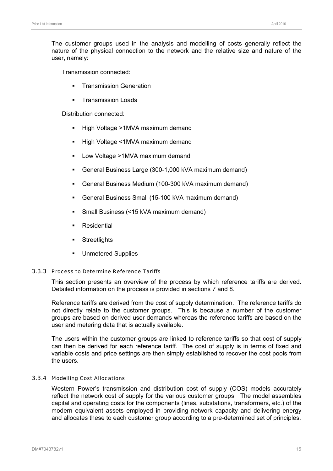The customer groups used in the analysis and modelling of costs generally reflect the nature of the physical connection to the network and the relative size and nature of the user, namely:

Transmission connected:

- **Transmission Generation**
- **Transmission Loads**

Distribution connected:

- **-** High Voltage >1MVA maximum demand
- **High Voltage <1MVA maximum demand**
- **Low Voltage >1MVA maximum demand**
- General Business Large (300-1,000 kVA maximum demand)
- General Business Medium (100-300 kVA maximum demand)
- General Business Small (15-100 kVA maximum demand)
- Small Business (<15 kVA maximum demand)
- **Residential**
- **Streetlights**
- Unmetered Supplies

#### 3.3.3 Process to Determine Reference Tariffs

This section presents an overview of the process by which reference tariffs are derived. Detailed information on the process is provided in sections 7 and 8.

Reference tariffs are derived from the cost of supply determination. The reference tariffs do not directly relate to the customer groups. This is because a number of the customer groups are based on derived user demands whereas the reference tariffs are based on the user and metering data that is actually available.

The users within the customer groups are linked to reference tariffs so that cost of supply can then be derived for each reference tariff. The cost of supply is in terms of fixed and variable costs and price settings are then simply established to recover the cost pools from the users.

#### 3.3.4 Modelling Cost Allocations

Western Power's transmission and distribution cost of supply (COS) models accurately reflect the network cost of supply for the various customer groups. The model assembles capital and operating costs for the components (lines, substations, transformers, etc.) of the modern equivalent assets employed in providing network capacity and delivering energy and allocates these to each customer group according to a pre-determined set of principles.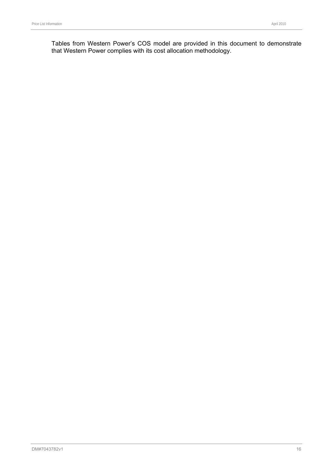Tables from Western Power's COS model are provided in this document to demonstrate that Western Power complies with its cost allocation methodology.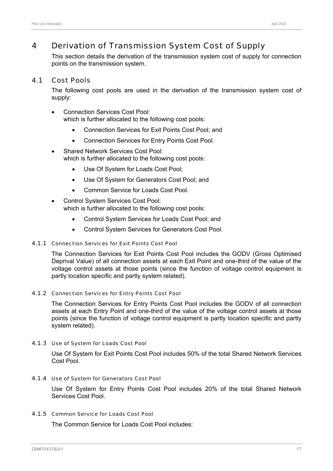# 4 Derivation of Transmission System Cost of Supply

This section details the derivation of the transmission system cost of supply for connection points on the transmission system.

#### 4.1 Cost Pools

The following cost pools are used in the derivation of the transmission system cost of supply:

- Connection Services Cost Pool: which is further allocated to the following cost pools:
	- Connection Services for Exit Points Cost Pool; and
	- Connection Services for Entry Points Cost Pool.
- Shared Network Services Cost Pool: which is further allocated to the following cost pools:
	- Use Of System for Loads Cost Pool;
	- Use Of System for Generators Cost Pool; and
	- Common Service for Loads Cost Pool.
- Control System Services Cost Pool: which is further allocated to the following cost pools:
	- Control System Services for Loads Cost Pool; and
	- Control System Services for Generators Cost Pool.

#### 4.1.1 Connection Services for Exit Points Cost Pool

The Connection Services for Exit Points Cost Pool includes the GODV (Gross Optimised Deprival Value) of all connection assets at each Exit Point and one-third of the value of the voltage control assets at those points (since the function of voltage control equipment is partly location specific and partly system related).

#### 4.1.2 Connection Services for Entry Points Cost Pool

The Connection Services for Entry Points Cost Pool includes the GODV of all connection assets at each Entry Point and one-third of the value of the voltage control assets at those points (since the function of voltage control equipment is partly location specific and partly system related).

#### 4.1.3 Use of System for Loads Cost Pool

Use Of System for Exit Points Cost Pool includes 50% of the total Shared Network Services Cost Pool.

#### 4.1.4 Use of System for Generators Cost Pool

Use Of System for Entry Points Cost Pool includes 20% of the total Shared Network Services Cost Pool.

#### 4.1.5 Common Service for Loads Cost Pool

The Common Service for Loads Cost Pool includes: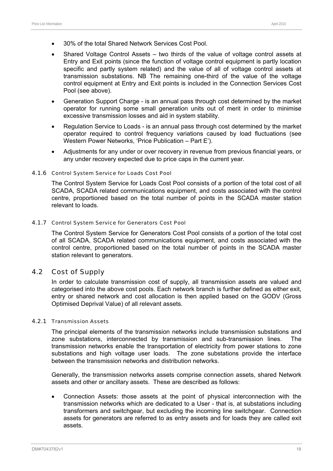- 30% of the total Shared Network Services Cost Pool.
- Shared Voltage Control Assets two thirds of the value of voltage control assets at Entry and Exit points (since the function of voltage control equipment is partly location specific and partly system related) and the value of all of voltage control assets at transmission substations. NB The remaining one-third of the value of the voltage control equipment at Entry and Exit points is included in the Connection Services Cost Pool (see above).
- Generation Support Charge is an annual pass through cost determined by the market operator for running some small generation units out of merit in order to minimise excessive transmission losses and aid in system stability.
- Regulation Service to Loads is an annual pass through cost determined by the market operator required to control frequency variations caused by load fluctuations (see Western Power Networks, 'Price Publication – Part E').
- Adjustments for any under or over recovery in revenue from previous financial years, or any under recovery expected due to price caps in the current year.

#### 4.1.6 Control System Service for Loads Cost Pool

The Control System Service for Loads Cost Pool consists of a portion of the total cost of all SCADA, SCADA related communications equipment, and costs associated with the control centre, proportioned based on the total number of points in the SCADA master station relevant to loads.

#### 4.1.7 Control System Service for Generators Cost Pool

The Control System Service for Generators Cost Pool consists of a portion of the total cost of all SCADA, SCADA related communications equipment, and costs associated with the control centre, proportioned based on the total number of points in the SCADA master station relevant to generators.

#### 4.2 Cost of Supply

In order to calculate transmission cost of supply, all transmission assets are valued and categorised into the above cost pools. Each network branch is further defined as either exit, entry or shared network and cost allocation is then applied based on the GODV (Gross Optimised Deprival Value) of all relevant assets.

#### 4.2.1 Transmission Assets

The principal elements of the transmission networks include transmission substations and zone substations, interconnected by transmission and sub-transmission lines. The transmission networks enable the transportation of electricity from power stations to zone substations and high voltage user loads. The zone substations provide the interface between the transmission networks and distribution networks.

Generally, the transmission networks assets comprise connection assets, shared Network assets and other or ancillary assets. These are described as follows:

• Connection Assets: those assets at the point of physical interconnection with the transmission networks which are dedicated to a User - that is, at substations including transformers and switchgear, but excluding the incoming line switchgear. Connection assets for generators are referred to as entry assets and for loads they are called exit assets.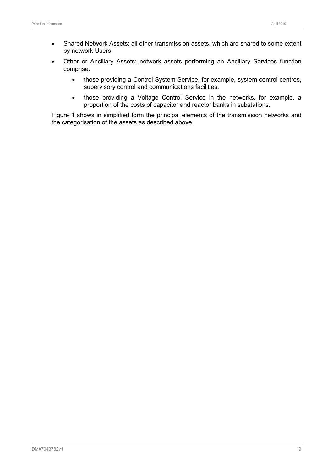- Shared Network Assets: all other transmission assets, which are shared to some extent by network Users.
- Other or Ancillary Assets: network assets performing an Ancillary Services function comprise:
	- those providing a Control System Service, for example, system control centres, supervisory control and communications facilities.
	- those providing a Voltage Control Service in the networks, for example, a proportion of the costs of capacitor and reactor banks in substations.

Figure 1 shows in simplified form the principal elements of the transmission networks and the categorisation of the assets as described above.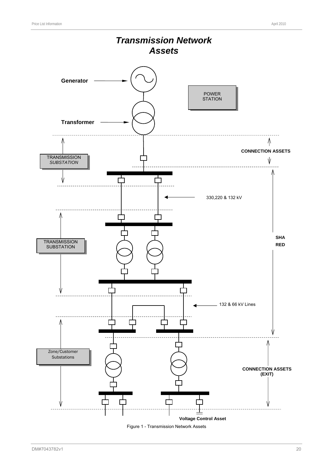

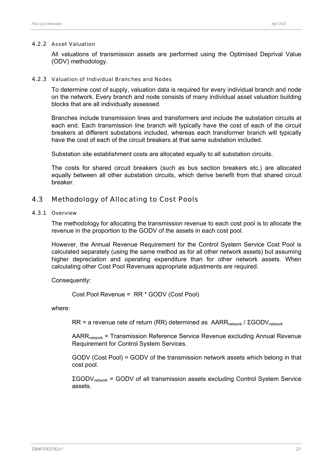#### 4.2.2 Asset Valuation

All valuations of transmission assets are performed using the Optimised Deprival Value (ODV) methodology.

#### 4.2.3 Valuation of Individual Branches and Nodes

To determine cost of supply, valuation data is required for every individual branch and node on the network. Every branch and node consists of many individual asset valuation building blocks that are all individually assessed.

Branches include transmission lines and transformers and include the substation circuits at each end. Each transmission line branch will typically have the cost of each of the circuit breakers at different substations included, whereas each transformer branch will typically have the cost of each of the circuit breakers at that same substation included.

Substation site establishment costs are allocated equally to all substation circuits.

The costs for shared circuit breakers (such as bus section breakers etc.) are allocated equally between all other substation circuits, which derive benefit from that shared circuit breaker.

#### 4.3 Methodology of Allocating to Cost Pools

#### 4.3.1 Overview

The methodology for allocating the transmission revenue to each cost pool is to allocate the revenue in the proportion to the GODV of the assets in each cost pool.

However, the Annual Revenue Requirement for the Control System Service Cost Pool is calculated separately (using the same method as for all other network assets) but assuming higher depreciation and operating expenditure than for other network assets. When calculating other Cost Pool Revenues appropriate adjustments are required.

Consequently:

Cost Pool Revenue = RR \* GODV (Cost Pool)

where:

RR = a revenue rate of return (RR) determined as  $AARR<sub>network</sub> / ΣGODV<sub>network</sub>$ 

AARR<sub>network</sub> = Transmission Reference Service Revenue excluding Annual Revenue Requirement for Control System Services.

GODV (Cost Pool) = GODV of the transmission network assets which belong in that cost pool.

ΣGODVnetwork = GODV of all transmission assets excluding Control System Service assets.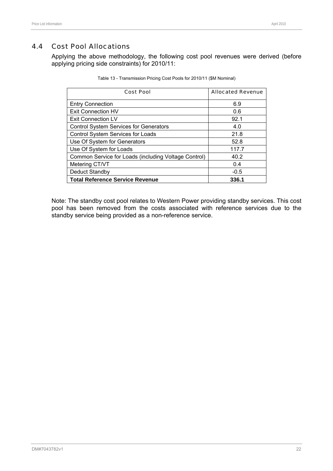# 4.4 Cost Pool Allocations

Applying the above methodology, the following cost pool revenues were derived (before applying pricing side constraints) for 2010/11:

| <b>Cost Pool</b>                                     | <b>Allocated Revenue</b> |
|------------------------------------------------------|--------------------------|
| <b>Entry Connection</b>                              | 6.9                      |
| <b>Exit Connection HV</b>                            | 0.6                      |
| Exit Connection LV                                   | 92.1                     |
| <b>Control System Services for Generators</b>        | 4.0                      |
| Control System Services for Loads                    | 21.8                     |
| Use Of System for Generators                         | 52.8                     |
| Use Of System for Loads                              | 117.7                    |
| Common Service for Loads (including Voltage Control) | 40.2                     |
| Metering CT/VT                                       | 0.4                      |
| Deduct Standby                                       | $-0.5$                   |
| <b>Total Reference Service Revenue</b>               | 336.1                    |

Note: The standby cost pool relates to Western Power providing standby services. This cost pool has been removed from the costs associated with reference services due to the standby service being provided as a non-reference service.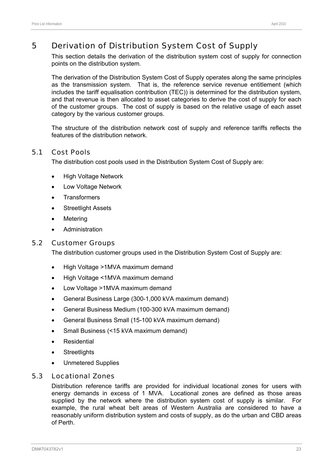# 5 Derivation of Distribution System Cost of Supply

This section details the derivation of the distribution system cost of supply for connection points on the distribution system.

The derivation of the Distribution System Cost of Supply operates along the same principles as the transmission system. That is, the reference service revenue entitlement (which includes the tariff equalisation contribution (TEC)) is determined for the distribution system, and that revenue is then allocated to asset categories to derive the cost of supply for each of the customer groups. The cost of supply is based on the relative usage of each asset category by the various customer groups.

The structure of the distribution network cost of supply and reference tariffs reflects the features of the distribution network.

#### 5.1 Cost Pools

The distribution cost pools used in the Distribution System Cost of Supply are:

- **High Voltage Network**
- Low Voltage Network
- **Transformers**
- **Streetlight Assets**
- **Metering**
- **Administration**

#### 5.2 Customer Groups

The distribution customer groups used in the Distribution System Cost of Supply are:

- High Voltage >1MVA maximum demand
- High Voltage <1MVA maximum demand
- Low Voltage >1MVA maximum demand
- General Business Large (300-1,000 kVA maximum demand)
- General Business Medium (100-300 kVA maximum demand)
- General Business Small (15-100 kVA maximum demand)
- Small Business (<15 kVA maximum demand)
- **Residential**
- **Streetlights**
- Unmetered Supplies

# 5.3 Locational Zones

Distribution reference tariffs are provided for individual locational zones for users with energy demands in excess of 1 MVA. Locational zones are defined as those areas supplied by the network where the distribution system cost of supply is similar. For example, the rural wheat belt areas of Western Australia are considered to have a reasonably uniform distribution system and costs of supply, as do the urban and CBD areas of Perth.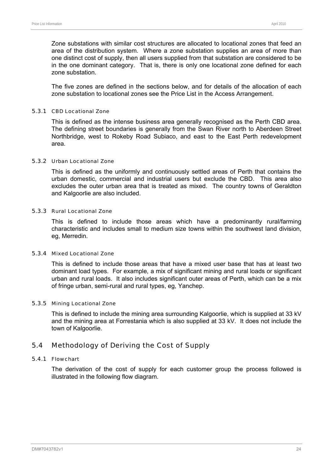Zone substations with similar cost structures are allocated to locational zones that feed an area of the distribution system. Where a zone substation supplies an area of more than one distinct cost of supply, then all users supplied from that substation are considered to be in the one dominant category. That is, there is only one locational zone defined for each zone substation.

The five zones are defined in the sections below, and for details of the allocation of each zone substation to locational zones see the Price List in the Access Arrangement.

#### 5.3.1 CBD Locational Zone

This is defined as the intense business area generally recognised as the Perth CBD area. The defining street boundaries is generally from the Swan River north to Aberdeen Street Northbridge, west to Rokeby Road Subiaco, and east to the East Perth redevelopment area.

#### 5.3.2 Urban Locational Zone

This is defined as the uniformly and continuously settled areas of Perth that contains the urban domestic, commercial and industrial users but exclude the CBD. This area also excludes the outer urban area that is treated as mixed. The country towns of Geraldton and Kalgoorlie are also included.

#### 5.3.3 Rural Locational Zone

This is defined to include those areas which have a predominantly rural/farming characteristic and includes small to medium size towns within the southwest land division, eg, Merredin.

#### 5.3.4 Mixed Locational Zone

This is defined to include those areas that have a mixed user base that has at least two dominant load types. For example, a mix of significant mining and rural loads or significant urban and rural loads. It also includes significant outer areas of Perth, which can be a mix of fringe urban, semi-rural and rural types, eg, Yanchep.

#### 5.3.5 Mining Locational Zone

This is defined to include the mining area surrounding Kalgoorlie, which is supplied at 33 kV and the mining area at Forrestania which is also supplied at 33 kV. It does not include the town of Kalgoorlie.

## 5.4 Methodology of Deriving the Cost of Supply

#### 5.4.1 Flowchart

The derivation of the cost of supply for each customer group the process followed is illustrated in the following flow diagram.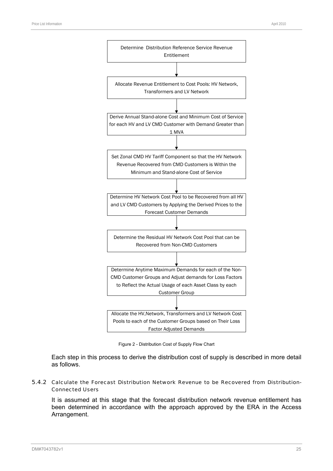

Figure 2 - Distribution Cost of Supply Flow Chart

Each step in this process to derive the distribution cost of supply is described in more detail as follows.

#### 5.4.2 Calculate the Forecast Distribution Network Revenue to be Recovered from Distribution-Connected Users

It is assumed at this stage that the forecast distribution network revenue entitlement has been determined in accordance with the approach approved by the ERA in the Access Arrangement.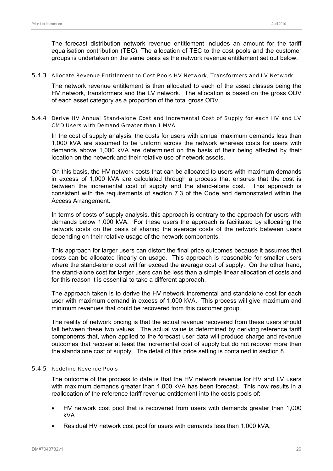The forecast distribution network revenue entitlement includes an amount for the tariff equalisation contribution (TEC). The allocation of TEC to the cost pools and the customer groups is undertaken on the same basis as the network revenue entitlement set out below.

#### 5.4.3 Allocate Revenue Entitlement to Cost Pools HV Network, Transformers and LV Network

The network revenue entitlement is then allocated to each of the asset classes being the HV network, transformers and the LV network. The allocation is based on the gross ODV of each asset category as a proportion of the total gross ODV.

#### 5.4.4 Derive HV Annual Stand-alone Cost and Incremental Cost of Supply for each HV and LV CMD Users with Demand Greater than 1 MVA

In the cost of supply analysis, the costs for users with annual maximum demands less than 1,000 kVA are assumed to be uniform across the network whereas costs for users with demands above 1,000 kVA are determined on the basis of their being affected by their location on the network and their relative use of network assets.

On this basis, the HV network costs that can be allocated to users with maximum demands in excess of 1,000 kVA are calculated through a process that ensures that the cost is between the incremental cost of supply and the stand-alone cost. This approach is consistent with the requirements of section 7.3 of the Code and demonstrated within the Access Arrangement.

In terms of costs of supply analysis, this approach is contrary to the approach for users with demands below 1,000 kVA. For these users the approach is facilitated by allocating the network costs on the basis of sharing the average costs of the network between users depending on their relative usage of the network components.

This approach for larger users can distort the final price outcomes because it assumes that costs can be allocated linearly on usage. This approach is reasonable for smaller users where the stand-alone cost will far exceed the average cost of supply. On the other hand, the stand-alone cost for larger users can be less than a simple linear allocation of costs and for this reason it is essential to take a different approach.

The approach taken is to derive the HV network incremental and standalone cost for each user with maximum demand in excess of 1,000 kVA. This process will give maximum and minimum revenues that could be recovered from this customer group.

The reality of network pricing is that the actual revenue recovered from these users should fall between these two values. The actual value is determined by deriving reference tariff components that, when applied to the forecast user data will produce charge and revenue outcomes that recover at least the incremental cost of supply but do not recover more than the standalone cost of supply. The detail of this price setting is contained in section 8.

#### 5.4.5 Redefine Revenue Pools

The outcome of the process to date is that the HV network revenue for HV and LV users with maximum demands greater than 1,000 kVA has been forecast. This now results in a reallocation of the reference tariff revenue entitlement into the costs pools of:

- HV network cost pool that is recovered from users with demands greater than 1,000 kVA.
- Residual HV network cost pool for users with demands less than 1,000 kVA,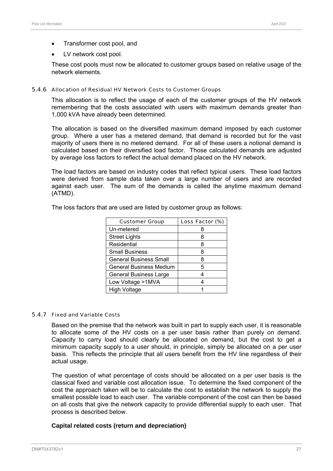- Transformer cost pool, and
- LV network cost pool.

These cost pools must now be allocated to customer groups based on relative usage of the network elements.

#### 5.4.6 Allocation of Residual HV Network Costs to Customer Groups

This allocation is to reflect the usage of each of the customer groups of the HV network remembering that the costs associated with users with maximum demands greater than 1,000 kVA have already been determined.

The allocation is based on the diversified maximum demand imposed by each customer group. Where a user has a metered demand, that demand is recorded but for the vast majority of users there is no metered demand. For all of these users a notional demand is calculated based on their diversified load factor. Those calculated demands are adjusted by average loss factors to reflect the actual demand placed on the HV network.

The load factors are based on industry codes that reflect typical users. These load factors were derived from sample data taken over a large number of users and are recorded against each user. The sum of the demands is called the anytime maximum demand (ATMD).

| <b>Customer Group</b>          | Loss Factor (%) |
|--------------------------------|-----------------|
| Un-metered                     |                 |
| <b>Street Lights</b>           | 8               |
| Residential                    | 8               |
| <b>Small Business</b>          | 8               |
| <b>General Business Small</b>  | 8               |
| <b>General Business Medium</b> | 5               |
| <b>General Business Large</b>  |                 |
| Low Voltage >1MVA              |                 |
| <b>High Voltage</b>            |                 |

The loss factors that are used are listed by customer group as follows:

#### 5.4.7 Fixed and Variable Costs

Based on the premise that the network was built in part to supply each user, it is reasonable to allocate some of the HV costs on a per user basis rather than purely on demand. Capacity to carry load should clearly be allocated on demand, but the cost to get a minimum capacity supply to a user should, in principle, simply be allocated on a per user basis. This reflects the principle that all users benefit from the HV line regardless of their actual usage.

The question of what percentage of costs should be allocated on a per user basis is the classical fixed and variable cost allocation issue. To determine the fixed component of the cost the approach taken will be to calculate the cost to establish the network to supply the smallest possible load to each user. The variable component of the cost can then be based on all costs that give the network capacity to provide differential supply to each user. That process is described below.

#### **Capital related costs (return and depreciation)**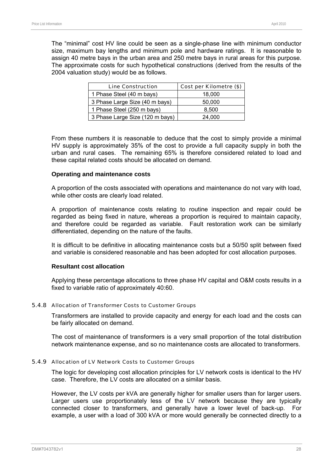The "minimal" cost HV line could be seen as a single-phase line with minimum conductor size, maximum bay lengths and minimum pole and hardware ratings. It is reasonable to assign 40 metre bays in the urban area and 250 metre bays in rural areas for this purpose. The approximate costs for such hypothetical constructions (derived from the results of the 2004 valuation study) would be as follows.

| <b>Line Construction</b>        | Cost per Kilometre (\$) |
|---------------------------------|-------------------------|
| 1 Phase Steel (40 m bays)       | 18,000                  |
| 3 Phase Large Size (40 m bays)  | 50,000                  |
| 1 Phase Steel (250 m bays)      | 8,500                   |
| 3 Phase Large Size (120 m bays) | 24.000                  |

From these numbers it is reasonable to deduce that the cost to simply provide a minimal HV supply is approximately 35% of the cost to provide a full capacity supply in both the urban and rural cases. The remaining 65% is therefore considered related to load and these capital related costs should be allocated on demand.

#### **Operating and maintenance costs**

A proportion of the costs associated with operations and maintenance do not vary with load, while other costs are clearly load related.

A proportion of maintenance costs relating to routine inspection and repair could be regarded as being fixed in nature, whereas a proportion is required to maintain capacity, and therefore could be regarded as variable. Fault restoration work can be similarly differentiated, depending on the nature of the faults.

It is difficult to be definitive in allocating maintenance costs but a 50/50 split between fixed and variable is considered reasonable and has been adopted for cost allocation purposes.

#### **Resultant cost allocation**

Applying these percentage allocations to three phase HV capital and O&M costs results in a fixed to variable ratio of approximately 40:60.

#### 5.4.8 Allocation of Transformer Costs to Customer Groups

Transformers are installed to provide capacity and energy for each load and the costs can be fairly allocated on demand.

The cost of maintenance of transformers is a very small proportion of the total distribution network maintenance expense, and so no maintenance costs are allocated to transformers.

#### 5.4.9 Allocation of LV Network Costs to Customer Groups

The logic for developing cost allocation principles for LV network costs is identical to the HV case. Therefore, the LV costs are allocated on a similar basis.

However, the LV costs per kVA are generally higher for smaller users than for larger users. Larger users use proportionately less of the LV network because they are typically connected closer to transformers, and generally have a lower level of back-up. For example, a user with a load of 300 kVA or more would generally be connected directly to a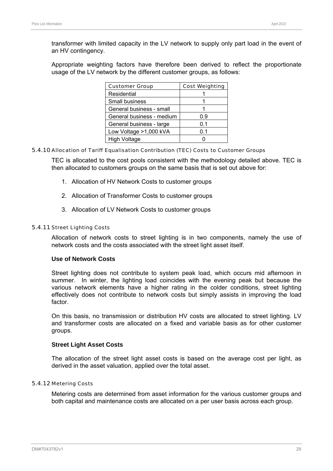transformer with limited capacity in the LV network to supply only part load in the event of an HV contingency.

Appropriate weighting factors have therefore been derived to reflect the proportionate usage of the LV network by the different customer groups, as follows:

| <b>Customer Group</b>     | <b>Cost Weighting</b> |
|---------------------------|-----------------------|
| Residential               |                       |
| Small business            |                       |
| General business - small  |                       |
| General business - medium | 0.9                   |
| General business - large  | 0.1                   |
| Low Voltage >1,000 kVA    | 0.1                   |
| <b>High Voltage</b>       |                       |

#### 5.4.10 Allocation of Tariff Equalisation Contribution (TEC) Costs to Customer Groups

TEC is allocated to the cost pools consistent with the methodology detailed above. TEC is then allocated to customers groups on the same basis that is set out above for:

- 1. Allocation of HV Network Costs to customer groups
- 2. Allocation of Transformer Costs to customer groups
- 3. Allocation of LV Network Costs to customer groups

#### 5.4.11 Street Lighting Costs

Allocation of network costs to street lighting is in two components, namely the use of network costs and the costs associated with the street light asset itself.

#### **Use of Network Costs**

Street lighting does not contribute to system peak load, which occurs mid afternoon in summer. In winter, the lighting load coincides with the evening peak but because the various network elements have a higher rating in the colder conditions, street lighting effectively does not contribute to network costs but simply assists in improving the load factor.

On this basis, no transmission or distribution HV costs are allocated to street lighting. LV and transformer costs are allocated on a fixed and variable basis as for other customer groups.

#### **Street Light Asset Costs**

The allocation of the street light asset costs is based on the average cost per light, as derived in the asset valuation, applied over the total asset.

#### 5.4.12 Metering Costs

Metering costs are determined from asset information for the various customer groups and both capital and maintenance costs are allocated on a per user basis across each group.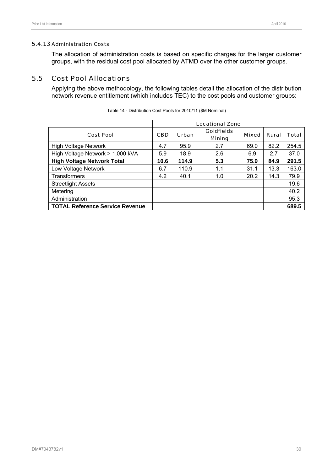#### 5.4.13 Administration Costs

The allocation of administration costs is based on specific charges for the larger customer groups, with the residual cost pool allocated by ATMD over the other customer groups.

### 5.5 Cost Pool Allocations

Applying the above methodology, the following tables detail the allocation of the distribution network revenue entitlement (which includes TEC) to the cost pools and customer groups:

|                                        | <b>Locational Zone</b> |              |                                    |              |       |       |  |  |  |  |
|----------------------------------------|------------------------|--------------|------------------------------------|--------------|-------|-------|--|--|--|--|
| <b>Cost Pool</b>                       | <b>CBD</b>             | <b>Urban</b> | <b>Goldfields</b><br><b>Mining</b> | <b>Mixed</b> | Rural | Total |  |  |  |  |
| <b>High Voltage Network</b>            | 4.7                    | 95.9         | 2.7                                | 69.0         | 82.2  | 254.5 |  |  |  |  |
| High Voltage Network > 1,000 kVA       | 5.9                    | 18.9         | 2.6                                | 6.9          | 2.7   | 37.0  |  |  |  |  |
| <b>High Voltage Network Total</b>      | 10.6                   | 114.9        | 5.3                                | 75.9         | 84.9  | 291.5 |  |  |  |  |
| Low Voltage Network                    | 6.7                    | 110.9        | 1.1                                | 31.1         | 13.3  | 163.0 |  |  |  |  |
| <b>Transformers</b>                    | 4.2                    | 40.1         | 1.0                                | 20.2         | 14.3  | 79.9  |  |  |  |  |
| <b>Streetlight Assets</b>              |                        |              |                                    |              |       | 19.6  |  |  |  |  |
| Metering                               |                        |              |                                    |              |       | 40.2  |  |  |  |  |
| Administration                         |                        |              |                                    |              |       | 95.3  |  |  |  |  |
| <b>TOTAL Reference Service Revenue</b> |                        |              |                                    |              |       | 689.5 |  |  |  |  |

Table 14 - Distribution Cost Pools for 2010/11 (\$M Nominal)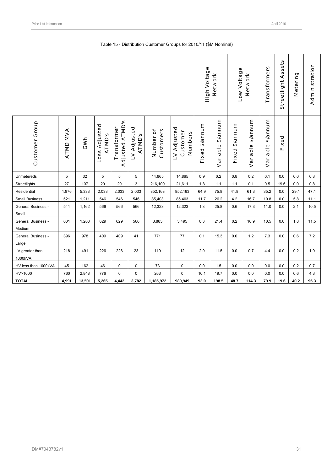|                                     |          |        |                         |                                       |                              |                        |                                           | High Voltage   | <b>Network</b>    | Low Voltage<br>Network |                   | Transformers      | Assets<br>Streetlight | Metering | Administration |
|-------------------------------------|----------|--------|-------------------------|---------------------------------------|------------------------------|------------------------|-------------------------------------------|----------------|-------------------|------------------------|-------------------|-------------------|-----------------------|----------|----------------|
| <b>Customer Group</b>               | ATMD MVA | GWh    | Loss Adjusted<br>ATMD'S | <b>Adjusted ATMD's</b><br>Transformer | LV Adjusted<br><b>ATMD's</b> | Customers<br>Number of | LV Adjusted<br>Customer<br><b>Numbers</b> | Fixed \$/annum | Variable \$/annum | Fixed \$/annum         | Variable \$/annum | Variable \$/annum | Fixed                 |          |                |
| Unmetereds                          | 5        | 32     | 5                       | 5                                     | 5                            | 14,865                 | 14,865                                    | $0.9\,$        | $0.2\,$           | $0.8\,$                | 0.2               | 0.1               | $0.0\,$               | $0.0\,$  | $0.3\,$        |
| Streetlights                        | 27       | 107    | 29                      | 29                                    | 3                            | 216,109                | 21,611                                    | $1.8\,$        | 1.1               | 1.1                    | 0.1               | 0.5               | 19.6                  | 0.0      | 0.8            |
| Residential                         | 1,876    | 5,333  | 2,033                   | 2,033                                 | 2,033                        | 852,163                | 852,163                                   | 64.9           | 75.8              | 41.8                   | 61.3              | 35.2              | 0.0                   | 29.1     | 47.1           |
| <b>Small Business</b>               | 521      | 1,211  | 546                     | 546                                   | 546                          | 85,403                 | 85,403                                    | 11.7           | 26.2              | 4.2                    | 16.7              | 10.8              | 0.0                   | 5.8      | 11.1           |
| General Business -<br>Small         | 541      | 1,162  | 566                     | 566                                   | 566                          | 12,323                 | 12,323                                    | $1.3$          | 25.8              | 0.6                    | 17.3              | 11.0              | $0.0\,$               | 2.1      | 10.5           |
| <b>General Business -</b><br>Medium | 601      | 1,268  | 629                     | 629                                   | 566                          | 3,883                  | 3,495                                     | 0.3            | 21.4              | 0.2                    | 16.9              | 10.5              | 0.0                   | 1.8      | 11.5           |
| General Business -<br>Large         | 396      | 978    | 409                     | 409                                   | 41                           | 771                    | 77                                        | 0.1            | 15.3              | $0.0\,$                | $1.2$             | 7.3               | 0.0                   | 0.6      | 7.2            |
| LV greater than<br>1000kVA          | 218      | 491    | 226                     | 226                                   | 23                           | 119                    | 12                                        | 2.0            | 11.5              | $0.0\,$                | 0.7               | 4.4               | 0.0                   | 0.2      | 1.9            |
| HV less than 1000kVA                | 45       | 162    | 46                      | 0                                     | 0                            | 73                     | 0                                         | $0.0\,$        | $1.5\,$           | $0.0\,$                | $0.0\,$           | 0.0               | 0.0                   | 0.2      | 0.7            |
| HV>1000                             | 760      | 2,848  | 776                     | 0                                     | 0                            | 263                    | 0                                         | 10.1           | 19.7              | 0.0                    | 0.0               | 0.0               | 0.0                   | 0.6      | 4.3            |
| <b>TOTAL</b>                        | 4,991    | 13,591 | 5,265                   | 4,442                                 | 3,782                        | 1,185,972              | 989,949                                   | 93.0           | 198.5             | 48.7                   | 114.3             | 79.9              | 19.6                  | 40.2     | 95.3           |

#### Table 15 - Distribution Customer Groups for 2010/11 (\$M Nominal)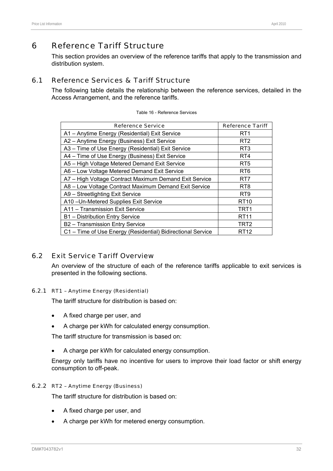This section provides an overview of the reference tariffs that apply to the transmission and distribution system.

# 6.1 Reference Services & Tariff Structure

The following table details the relationship between the reference services, detailed in the Access Arrangement, and the reference tariffs.

| <b>Reference Service</b>                                    | <b>Reference Tariff</b> |
|-------------------------------------------------------------|-------------------------|
| A1 - Anytime Energy (Residential) Exit Service              | RT1                     |
| A2 - Anytime Energy (Business) Exit Service                 | RT <sub>2</sub>         |
| A3 - Time of Use Energy (Residential) Exit Service          | RT <sub>3</sub>         |
| A4 – Time of Use Energy (Business) Exit Service             | RT4                     |
| A5 - High Voltage Metered Demand Exit Service               | RT <sub>5</sub>         |
| A6 - Low Voltage Metered Demand Exit Service                | RT <sub>6</sub>         |
| A7 - High Voltage Contract Maximum Demand Exit Service      | RT7                     |
| A8 - Low Voltage Contract Maximum Demand Exit Service       | RT <sub>8</sub>         |
| A9 - Streetlighting Exit Service                            | RT <sub>9</sub>         |
| A10-Un-Metered Supplies Exit Service                        | <b>RT10</b>             |
| A11 - Transmission Exit Service                             | TRT <sub>1</sub>        |
| B1 - Distribution Entry Service                             | <b>RT11</b>             |
| B2 - Transmission Entry Service                             | TRT2                    |
| C1 - Time of Use Energy (Residential) Bidirectional Service | RT12                    |

| Table 16 - Reference Services |
|-------------------------------|
|-------------------------------|

# 6.2 Exit Service Tariff Overview

An overview of the structure of each of the reference tariffs applicable to exit services is presented in the following sections.

# 6.2.1 RT1 – Anytime Energy (Residential)

The tariff structure for distribution is based on:

- A fixed charge per user, and
- A charge per kWh for calculated energy consumption.

The tariff structure for transmission is based on:

• A charge per kWh for calculated energy consumption.

Energy only tariffs have no incentive for users to improve their load factor or shift energy consumption to off-peak.

# 6.2.2 RT2 – Anytime Energy (Business)

The tariff structure for distribution is based on:

- A fixed charge per user, and
- A charge per kWh for metered energy consumption.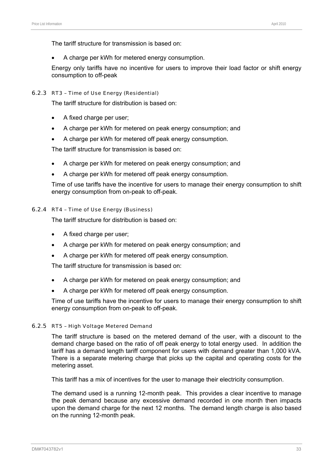The tariff structure for transmission is based on:

• A charge per kWh for metered energy consumption.

Energy only tariffs have no incentive for users to improve their load factor or shift energy consumption to off-peak

#### 6.2.3 RT3 – Time of Use Energy (Residential)

The tariff structure for distribution is based on:

- A fixed charge per user;
- A charge per kWh for metered on peak energy consumption; and
- A charge per kWh for metered off peak energy consumption.

The tariff structure for transmission is based on:

- A charge per kWh for metered on peak energy consumption; and
- A charge per kWh for metered off peak energy consumption.

Time of use tariffs have the incentive for users to manage their energy consumption to shift energy consumption from on-peak to off-peak.

## 6.2.4 RT4 – Time of Use Energy (Business)

The tariff structure for distribution is based on:

- A fixed charge per user;
- A charge per kWh for metered on peak energy consumption; and
- A charge per kWh for metered off peak energy consumption.

The tariff structure for transmission is based on:

- A charge per kWh for metered on peak energy consumption; and
- A charge per kWh for metered off peak energy consumption.

Time of use tariffs have the incentive for users to manage their energy consumption to shift energy consumption from on-peak to off-peak.

## 6.2.5 RT5 – High Voltage Metered Demand

The tariff structure is based on the metered demand of the user, with a discount to the demand charge based on the ratio of off peak energy to total energy used. In addition the tariff has a demand length tariff component for users with demand greater than 1,000 kVA. There is a separate metering charge that picks up the capital and operating costs for the metering asset.

This tariff has a mix of incentives for the user to manage their electricity consumption.

The demand used is a running 12-month peak. This provides a clear incentive to manage the peak demand because any excessive demand recorded in one month then impacts upon the demand charge for the next 12 months. The demand length charge is also based on the running 12-month peak.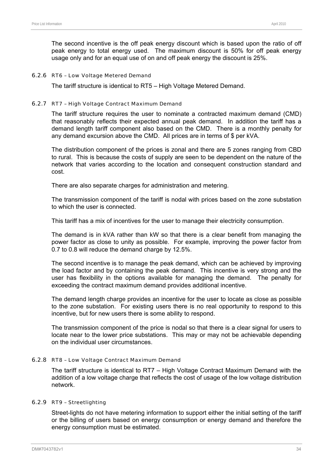The second incentive is the off peak energy discount which is based upon the ratio of off peak energy to total energy used. The maximum discount is 50% for off peak energy usage only and for an equal use of on and off peak energy the discount is 25%.

#### 6.2.6 RT6 – Low Voltage Metered Demand

The tariff structure is identical to RT5 – High Voltage Metered Demand.

#### 6.2.7 RT7 – High Voltage Contract Maximum Demand

The tariff structure requires the user to nominate a contracted maximum demand (CMD) that reasonably reflects their expected annual peak demand. In addition the tariff has a demand length tariff component also based on the CMD. There is a monthly penalty for any demand excursion above the CMD. All prices are in terms of \$ per kVA.

The distribution component of the prices is zonal and there are 5 zones ranging from CBD to rural. This is because the costs of supply are seen to be dependent on the nature of the network that varies according to the location and consequent construction standard and cost.

There are also separate charges for administration and metering.

The transmission component of the tariff is nodal with prices based on the zone substation to which the user is connected.

This tariff has a mix of incentives for the user to manage their electricity consumption.

The demand is in kVA rather than kW so that there is a clear benefit from managing the power factor as close to unity as possible. For example, improving the power factor from 0.7 to 0.8 will reduce the demand charge by 12.5%.

The second incentive is to manage the peak demand, which can be achieved by improving the load factor and by containing the peak demand. This incentive is very strong and the user has flexibility in the options available for managing the demand. The penalty for exceeding the contract maximum demand provides additional incentive.

The demand length charge provides an incentive for the user to locate as close as possible to the zone substation. For existing users there is no real opportunity to respond to this incentive, but for new users there is some ability to respond.

The transmission component of the price is nodal so that there is a clear signal for users to locate near to the lower price substations. This may or may not be achievable depending on the individual user circumstances.

#### 6.2.8 RT8 – Low Voltage Contract Maximum Demand

The tariff structure is identical to RT7 – High Voltage Contract Maximum Demand with the addition of a low voltage charge that reflects the cost of usage of the low voltage distribution network.

#### 6.2.9 RT9 – Streetlighting

Street-lights do not have metering information to support either the initial setting of the tariff or the billing of users based on energy consumption or energy demand and therefore the energy consumption must be estimated.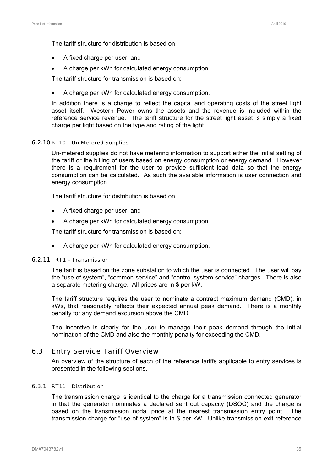The tariff structure for distribution is based on:

- A fixed charge per user; and
- A charge per kWh for calculated energy consumption.

The tariff structure for transmission is based on:

• A charge per kWh for calculated energy consumption.

In addition there is a charge to reflect the capital and operating costs of the street light asset itself. Western Power owns the assets and the revenue is included within the reference service revenue. The tariff structure for the street light asset is simply a fixed charge per light based on the type and rating of the light.

#### 6.2.10 RT10 – Un-Metered Supplies

Un-metered supplies do not have metering information to support either the initial setting of the tariff or the billing of users based on energy consumption or energy demand. However there is a requirement for the user to provide sufficient load data so that the energy consumption can be calculated. As such the available information is user connection and energy consumption.

The tariff structure for distribution is based on:

- A fixed charge per user; and
- A charge per kWh for calculated energy consumption.

The tariff structure for transmission is based on:

• A charge per kWh for calculated energy consumption.

## 6.2.11 TRT1 – Transmission

The tariff is based on the zone substation to which the user is connected. The user will pay the "use of system", "common service" and "control system service" charges. There is also a separate metering charge. All prices are in \$ per kW.

The tariff structure requires the user to nominate a contract maximum demand (CMD), in kWs, that reasonably reflects their expected annual peak demand. There is a monthly penalty for any demand excursion above the CMD.

The incentive is clearly for the user to manage their peak demand through the initial nomination of the CMD and also the monthly penalty for exceeding the CMD.

## 6.3 Entry Service Tariff Overview

An overview of the structure of each of the reference tariffs applicable to entry services is presented in the following sections.

#### 6.3.1 RT11 – Distribution

The transmission charge is identical to the charge for a transmission connected generator in that the generator nominates a declared sent out capacity (DSOC) and the charge is based on the transmission nodal price at the nearest transmission entry point. The transmission charge for "use of system" is in \$ per kW. Unlike transmission exit reference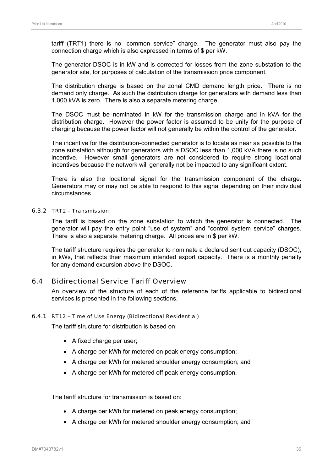tariff (TRT1) there is no "common service" charge. The generator must also pay the connection charge which is also expressed in terms of \$ per kW.

The generator DSOC is in kW and is corrected for losses from the zone substation to the generator site, for purposes of calculation of the transmission price component.

The distribution charge is based on the zonal CMD demand length price. There is no demand only charge. As such the distribution charge for generators with demand less than 1,000 kVA is zero. There is also a separate metering charge.

The DSOC must be nominated in kW for the transmission charge and in kVA for the distribution charge. However the power factor is assumed to be unity for the purpose of charging because the power factor will not generally be within the control of the generator.

The incentive for the distribution-connected generator is to locate as near as possible to the zone substation although for generators with a DSOC less than 1,000 kVA there is no such incentive. However small generators are not considered to require strong locational incentives because the network will generally not be impacted to any significant extent.

There is also the locational signal for the transmission component of the charge. Generators may or may not be able to respond to this signal depending on their individual circumstances.

#### 6.3.2 TRT2 – Transmission

The tariff is based on the zone substation to which the generator is connected. The generator will pay the entry point "use of system" and "control system service" charges. There is also a separate metering charge. All prices are in \$ per kW.

The tariff structure requires the generator to nominate a declared sent out capacity (DSOC), in kWs, that reflects their maximum intended export capacity. There is a monthly penalty for any demand excursion above the DSOC.

# 6.4 Bidirectional Service Tariff Overview

An overview of the structure of each of the reference tariffs applicable to bidirectional services is presented in the following sections.

## 6.4.1 RT12 – Time of Use Energy (Bidirectional Residential)

The tariff structure for distribution is based on:

- A fixed charge per user;
- A charge per kWh for metered on peak energy consumption;
- A charge per kWh for metered shoulder energy consumption; and
- A charge per kWh for metered off peak energy consumption.

The tariff structure for transmission is based on:

- A charge per kWh for metered on peak energy consumption;
- A charge per kWh for metered shoulder energy consumption; and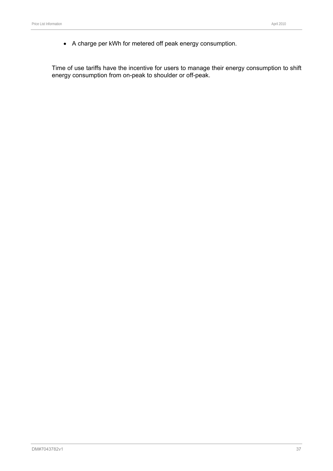• A charge per kWh for metered off peak energy consumption.

Time of use tariffs have the incentive for users to manage their energy consumption to shift energy consumption from on-peak to shoulder or off-peak.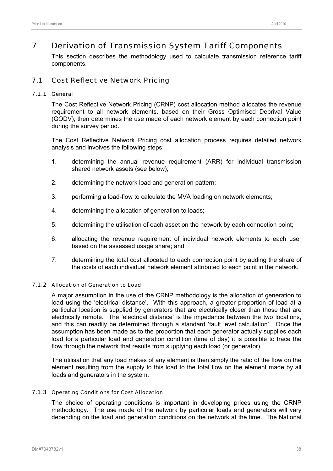# 7 Derivation of Transmission System Tariff Components

This section describes the methodology used to calculate transmission reference tariff components.

# 7.1 Cost Reflective Network Pricing

## 7.1.1 General

The Cost Reflective Network Pricing (CRNP) cost allocation method allocates the revenue requirement to all network elements, based on their Gross Optimised Deprival Value (GODV), then determines the use made of each network element by each connection point during the survey period.

The Cost Reflective Network Pricing cost allocation process requires detailed network analysis and involves the following steps:

- 1. determining the annual revenue requirement (ARR) for individual transmission shared network assets (see below);
- 2. determining the network load and generation pattern;
- 3. performing a load-flow to calculate the MVA loading on network elements;
- 4. determining the allocation of generation to loads;
- 5. determining the utilisation of each asset on the network by each connection point;
- 6. allocating the revenue requirement of individual network elements to each user based on the assessed usage share; and
- 7. determining the total cost allocated to each connection point by adding the share of the costs of each individual network element attributed to each point in the network.

## 7.1.2 Allocation of Generation to Load

A major assumption in the use of the CRNP methodology is the allocation of generation to load using the 'electrical distance'. With this approach, a greater proportion of load at a particular location is supplied by generators that are electrically closer than those that are electrically remote. The 'electrical distance' is the impedance between the two locations, and this can readily be determined through a standard 'fault level calculation'. Once the assumption has been made as to the proportion that each generator actually supplies each load for a particular load and generation condition (time of day) it is possible to trace the flow through the network that results from supplying each load (or generator).

The utilisation that any load makes of any element is then simply the ratio of the flow on the element resulting from the supply to this load to the total flow on the element made by all loads and generators in the system.

## 7.1.3 Operating Conditions for Cost Allocation

The choice of operating conditions is important in developing prices using the CRNP methodology. The use made of the network by particular loads and generators will vary depending on the load and generation conditions on the network at the time. The National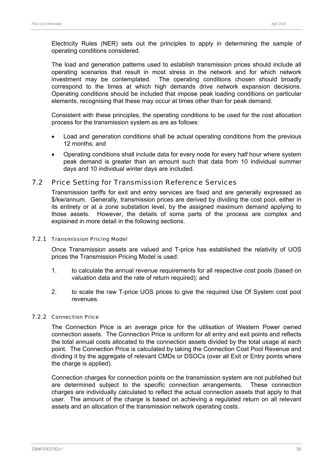Electricity Rules (NER) sets out the principles to apply in determining the sample of operating conditions considered.

The load and generation patterns used to establish transmission prices should include all operating scenarios that result in most stress in the network and for which network investment may be contemplated. The operating conditions chosen should broadly correspond to the times at which high demands drive network expansion decisions. Operating conditions should be included that impose peak loading conditions on particular elements, recognising that these may occur at times other than for peak demand.

Consistent with these principles, the operating conditions to be used for the cost allocation process for the transmission system as are as follows:

- Load and generation conditions shall be actual operating conditions from the previous 12 months; and
- Operating conditions shall include data for every node for every half hour where system peak demand is greater than an amount such that data from 10 individual summer days and 10 individual winter days are included.

# 7.2 Price Setting for Transmission Reference Services

Transmission tariffs for exit and entry services are fixed and are generally expressed as \$/kw/annum. Generally, transmission prices are derived by dividing the cost pool, either in its entirety or at a zone substation level, by the assigned maximum demand applying to those assets. However, the details of some parts of the process are complex and explained in more detail in the following sections.

## 7.2.1 Transmission Pricing Model

Once Transmission assets are valued and T-price has established the relativity of UOS prices the Transmission Pricing Model is used:

- 1. to calculate the annual revenue requirements for all respective cost pools (based on valuation data and the rate of return required); and
- 2. to scale the raw T-price UOS prices to give the required Use Of System cost pool revenues.

## 7.2.2 Connection Price

The Connection Price is an average price for the utilisation of Western Power owned connection assets. The Connection Price is uniform for all entry and exit points and reflects the total annual costs allocated to the connection assets divided by the total usage at each point. The Connection Price is calculated by taking the Connection Cost Pool Revenue and dividing it by the aggregate of relevant CMDs or DSOCs (over all Exit or Entry points where the charge is applied).

Connection charges for connection points on the transmission system are not published but are determined subject to the specific connection arrangements. These connection charges are individually calculated to reflect the actual connection assets that apply to that user. The amount of the charge is based on achieving a regulated return on all relevant assets and an allocation of the transmission network operating costs.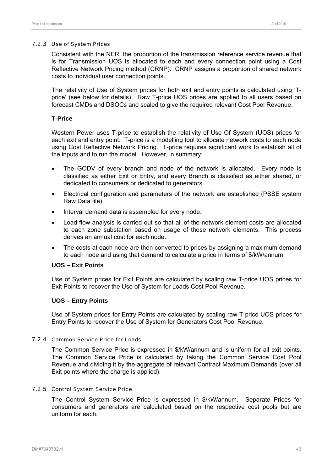#### 7.2.3 Use of System Prices

Consistent with the NER, the proportion of the transmission reference service revenue that is for Transmission UOS is allocated to each and every connection point using a Cost Reflective Network Pricing method (CRNP). CRNP assigns a proportion of shared network costs to individual user connection points.

The relativity of Use of System prices for both exit and entry points is calculated using 'Tprice' (see below for details). Raw T-price UOS prices are applied to all users based on forecast CMDs and DSOCs and scaled to give the required relevant Cost Pool Revenue.

## **T-Price**

Western Power uses T-price to establish the relativity of Use Of System (UOS) prices for each exit and entry point. T-price is a modelling tool to allocate network costs to each node using Cost Reflective Network Pricing. T-price requires significant work to establish all of the inputs and to run the model. However, in summary:

- The GODV of every branch and node of the network is allocated. Every node is classified as either Exit or Entry, and every Branch is classified as either shared, or dedicated to consumers or dedicated to generators.
- Electrical configuration and parameters of the network are established (PSSE system Raw Data file).
- Interval demand data is assembled for every node.
- Load flow analysis is carried out so that all of the network element costs are allocated to each zone substation based on usage of those network elements. This process derives an annual cost for each node.
- The costs at each node are then converted to prices by assigning a maximum demand to each node and using that demand to calculate a price in terms of \$/kW/annum.

## **UOS – Exit Points**

Use of System prices for Exit Points are calculated by scaling raw T-price UOS prices for Exit Points to recover the Use of System for Loads Cost Pool Revenue.

## **UOS – Entry Points**

Use of System prices for Entry Points are calculated by scaling raw T-price UOS prices for Entry Points to recover the Use of System for Generators Cost Pool Revenue.

## 7.2.4 Common Service Price for Loads

The Common Service Price is expressed in \$/kW/annum and is uniform for all exit points. The Common Service Price is calculated by taking the Common Service Cost Pool Revenue and dividing it by the aggregate of relevant Contract Maximum Demands (over all Exit points where the charge is applied).

## 7.2.5 Control System Service Price

The Control System Service Price is expressed in \$/kW/annum. Separate Prices for consumers and generators are calculated based on the respective cost pools but are uniform for each.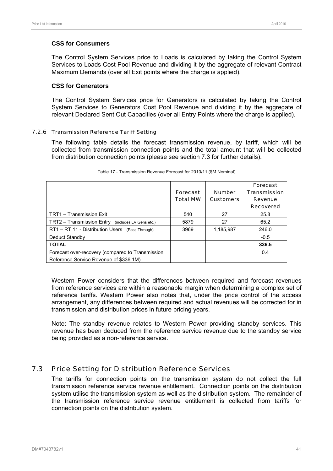## **CSS for Consumers**

The Control System Services price to Loads is calculated by taking the Control System Services to Loads Cost Pool Revenue and dividing it by the aggregate of relevant Contract Maximum Demands (over all Exit points where the charge is applied).

## **CSS for Generators**

The Control System Services price for Generators is calculated by taking the Control System Services to Generators Cost Pool Revenue and dividing it by the aggregate of relevant Declared Sent Out Capacities (over all Entry Points where the charge is applied).

## 7.2.6 Transmission Reference Tariff Setting

The following table details the forecast transmission revenue, by tariff, which will be collected from transmission connection points and the total amount that will be collected from distribution connection points (please see section 7.3 for further details).

|                                                                                            | <b>Forecast</b><br><b>Total MW</b> | <b>Number</b><br><b>Customers</b> | Forecast<br><b>Transmission</b><br><b>Revenue</b><br><b>Recovered</b> |
|--------------------------------------------------------------------------------------------|------------------------------------|-----------------------------------|-----------------------------------------------------------------------|
| TRT1 - Transmission Exit                                                                   | 540                                | 27                                | 25.8                                                                  |
| TRT2 - Transmission Entry (includes LV Gens etc.)                                          | 5879                               | 27                                | 65.2                                                                  |
| RT1 - RT 11 - Distribution Users (Pass Through)                                            | 3969                               | 1,185,987                         | 246.0                                                                 |
| Deduct Standby                                                                             |                                    |                                   | $-0.5$                                                                |
| <b>TOTAL</b>                                                                               |                                    |                                   | 336.5                                                                 |
| Forecast over-recovery (compared to Transmission<br>Reference Service Revenue of \$336.1M) |                                    |                                   | 0.4                                                                   |

#### Table 17 - Transmission Revenue Forecast for 2010/11 (\$M Nominal)

Western Power considers that the differences between required and forecast revenues from reference services are within a reasonable margin when determining a complex set of reference tariffs. Western Power also notes that, under the price control of the access arrangement, any differences between required and actual revenues will be corrected for in transmission and distribution prices in future pricing years.

Note: The standby revenue relates to Western Power providing standby services. This revenue has been deduced from the reference service revenue due to the standby service being provided as a non-reference service.

# 7.3 Price Setting for Distribution Reference Services

The tariffs for connection points on the transmission system do not collect the full transmission reference service revenue entitlement. Connection points on the distribution system utilise the transmission system as well as the distribution system. The remainder of the transmission reference service revenue entitlement is collected from tariffs for connection points on the distribution system.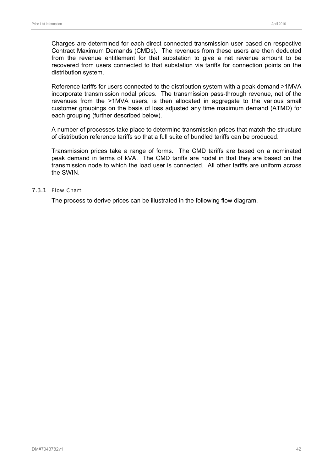Charges are determined for each direct connected transmission user based on respective Contract Maximum Demands (CMDs). The revenues from these users are then deducted from the revenue entitlement for that substation to give a net revenue amount to be recovered from users connected to that substation via tariffs for connection points on the distribution system.

Reference tariffs for users connected to the distribution system with a peak demand >1MVA incorporate transmission nodal prices. The transmission pass-through revenue, net of the revenues from the >1MVA users, is then allocated in aggregate to the various small customer groupings on the basis of loss adjusted any time maximum demand (ATMD) for each grouping (further described below).

A number of processes take place to determine transmission prices that match the structure of distribution reference tariffs so that a full suite of bundled tariffs can be produced.

Transmission prices take a range of forms. The CMD tariffs are based on a nominated peak demand in terms of kVA. The CMD tariffs are nodal in that they are based on the transmission node to which the load user is connected. All other tariffs are uniform across the SWIN.

#### 7.3.1 Flow Chart

The process to derive prices can be illustrated in the following flow diagram.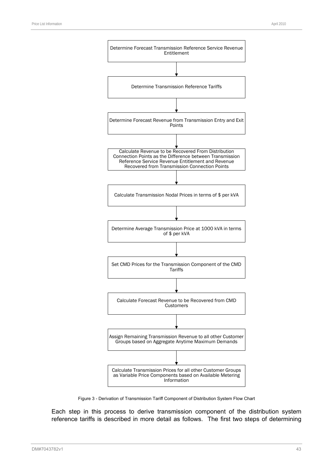

Figure 3 - Derivation of Transmission Tariff Component of Distribution System Flow Chart

Each step in this process to derive transmission component of the distribution system reference tariffs is described in more detail as follows. The first two steps of determining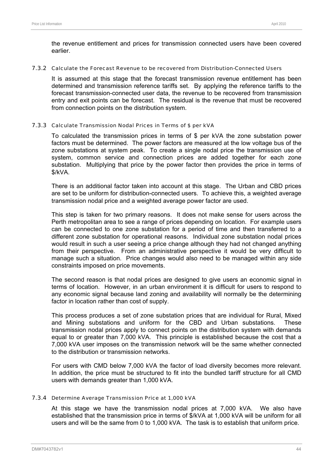the revenue entitlement and prices for transmission connected users have been covered earlier.

#### 7.3.2 Calculate the Forecast Revenue to be recovered from Distribution-Connected Users

It is assumed at this stage that the forecast transmission revenue entitlement has been determined and transmission reference tariffs set. By applying the reference tariffs to the forecast transmission-connected user data, the revenue to be recovered from transmission entry and exit points can be forecast. The residual is the revenue that must be recovered from connection points on the distribution system.

## 7.3.3 Calculate Transmission Nodal Prices in Terms of \$ per kVA

To calculated the transmission prices in terms of \$ per kVA the zone substation power factors must be determined. The power factors are measured at the low voltage bus of the zone substations at system peak. To create a single nodal price the transmission use of system, common service and connection prices are added together for each zone substation. Multiplying that price by the power factor then provides the price in terms of \$/kVA.

There is an additional factor taken into account at this stage. The Urban and CBD prices are set to be uniform for distribution-connected users. To achieve this, a weighted average transmission nodal price and a weighted average power factor are used.

This step is taken for two primary reasons. It does not make sense for users across the Perth metropolitan area to see a range of prices depending on location. For example users can be connected to one zone substation for a period of time and then transferred to a different zone substation for operational reasons. Individual zone substation nodal prices would result in such a user seeing a price change although they had not changed anything from their perspective. From an administrative perspective it would be very difficult to manage such a situation. Price changes would also need to be managed within any side constraints imposed on price movements.

The second reason is that nodal prices are designed to give users an economic signal in terms of location. However, in an urban environment it is difficult for users to respond to any economic signal because land zoning and availability will normally be the determining factor in location rather than cost of supply.

This process produces a set of zone substation prices that are individual for Rural, Mixed and Mining substations and uniform for the CBD and Urban substations. These transmission nodal prices apply to connect points on the distribution system with demands equal to or greater than 7,000 kVA. This principle is established because the cost that a 7,000 kVA user imposes on the transmission network will be the same whether connected to the distribution or transmission networks.

For users with CMD below 7,000 kVA the factor of load diversity becomes more relevant. In addition, the price must be structured to fit into the bundled tariff structure for all CMD users with demands greater than 1,000 kVA.

## 7.3.4 Determine Average Transmission Price at 1,000 kVA

At this stage we have the transmission nodal prices at 7,000 kVA. We also have established that the transmission price in terms of \$/kVA at 1,000 kVA will be uniform for all users and will be the same from 0 to 1,000 kVA. The task is to establish that uniform price.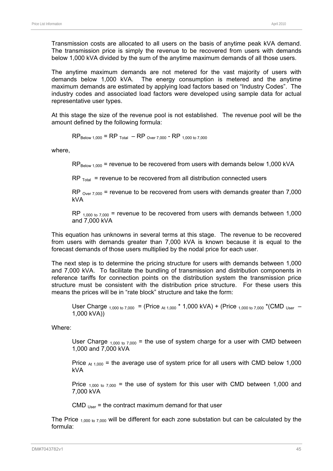Transmission costs are allocated to all users on the basis of anytime peak kVA demand. The transmission price is simply the revenue to be recovered from users with demands below 1,000 kVA divided by the sum of the anytime maximum demands of all those users.

The anytime maximum demands are not metered for the vast majority of users with demands below 1,000 kVA. The energy consumption is metered and the anytime maximum demands are estimated by applying load factors based on "Industry Codes". The industry codes and associated load factors were developed using sample data for actual representative user types.

At this stage the size of the revenue pool is not established. The revenue pool will be the amount defined by the following formula:

 $RP_{\text{Below 1,000}} = RP_{\text{Total}} - RP_{\text{Over 7,000}} - RP_{\text{ 1,000 to 7,000}}$ 

where,

 $RP_{\text{Below 1,000}}$  = revenue to be recovered from users with demands below 1,000 kVA

 $RP$ <sub>Total</sub> = revenue to be recovered from all distribution connected users

 $RP_{Over 7,000}$  = revenue to be recovered from users with demands greater than 7,000 kVA

RP  $_{1,000 \text{ to } 7,000}$  = revenue to be recovered from users with demands between 1,000 and 7,000 kVA

This equation has unknowns in several terms at this stage. The revenue to be recovered from users with demands greater than 7,000 kVA is known because it is equal to the forecast demands of those users multiplied by the nodal price for each user.

The next step is to determine the pricing structure for users with demands between 1,000 and 7,000 kVA. To facilitate the bundling of transmission and distribution components in reference tariffs for connection points on the distribution system the transmission price structure must be consistent with the distribution price structure. For these users this means the prices will be in "rate block" structure and take the form:

User Charge  $_{1,000 \text{ to } 7,000}$  = (Price  $_{A1,000}$  \* 1,000 kVA) + (Price  $_{1,000 \text{ to } 7,000}$  \*(CMD <sub>User</sub> – 1,000 kVA))

Where:

User Charge  $_{1,000 \text{ to } 7,000}$  = the use of system charge for a user with CMD between 1,000 and 7,000 kVA

Price  $_{At 1,000}$  = the average use of system price for all users with CMD below 1,000 kVA

Price  $_{1,000 \text{ to } 7,000}$  = the use of system for this user with CMD between 1,000 and 7,000 kVA

CMD  $_{Use}$  = the contract maximum demand for that user

The Price  $_{1,000 \text{ to } 7,000}$  will be different for each zone substation but can be calculated by the formula: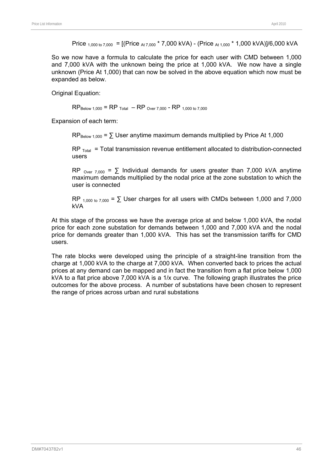Price <sub>1,000 to 7,000</sub> =  $[(Price<sub>At 7,000</sub> * 7,000 kVA) - (Price<sub>At 1,000</sub> * 1,000 kVA)]/6,000 kVA]$ 

So we now have a formula to calculate the price for each user with CMD between 1,000 and 7,000 kVA with the unknown being the price at 1,000 kVA. We now have a single unknown (Price At 1,000) that can now be solved in the above equation which now must be expanded as below.

Original Equation:

 $RP_{\text{Below 1,000}} = RP_{\text{Total}} - RP_{\text{Over 7,000}} - RP_{\text{ 1,000 to 7,000}}$ 

Expansion of each term:

 $RP_{\text{Below }1000} = \sum \text{User anything maximum demands multiplied by Price At }1,000$ 

 $RP$ <sub>Total</sub> = Total transmission revenue entitlement allocated to distribution-connected users

RP  $_{\text{Over } 7.000}$  =  $\sum$  Individual demands for users greater than 7,000 kVA anytime maximum demands multiplied by the nodal price at the zone substation to which the user is connected

 $RP_{1,000 \text{ to } 7,000} = \sum \text{User charges}$  for all users with CMDs between 1,000 and 7,000 kVA

At this stage of the process we have the average price at and below 1,000 kVA, the nodal price for each zone substation for demands between 1,000 and 7,000 kVA and the nodal price for demands greater than 1,000 kVA. This has set the transmission tariffs for CMD users.

The rate blocks were developed using the principle of a straight-line transition from the charge at 1,000 kVA to the charge at 7,000 kVA. When converted back to prices the actual prices at any demand can be mapped and in fact the transition from a flat price below 1,000 kVA to a flat price above 7,000 kVA is a 1/x curve. The following graph illustrates the price outcomes for the above process. A number of substations have been chosen to represent the range of prices across urban and rural substations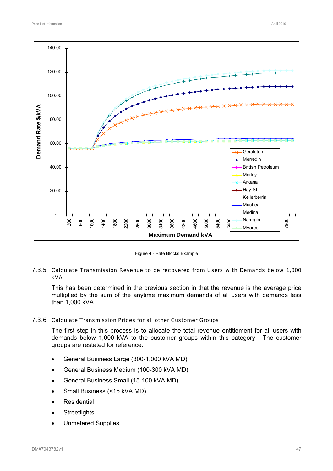

Figure 4 - Rate Blocks Example

## 7.3.5 Calculate Transmission Revenue to be recovered from Users with Demands below 1,000 kVA

This has been determined in the previous section in that the revenue is the average price multiplied by the sum of the anytime maximum demands of all users with demands less than 1,000 kVA.

#### 7.3.6 Calculate Transmission Prices for all other Customer Groups

The first step in this process is to allocate the total revenue entitlement for all users with demands below 1,000 kVA to the customer groups within this category. The customer groups are restated for reference.

- General Business Large (300-1,000 kVA MD)
- General Business Medium (100-300 kVA MD)
- General Business Small (15-100 kVA MD)
- Small Business (<15 kVA MD)
- **Residential**
- **Streetlights**
- Unmetered Supplies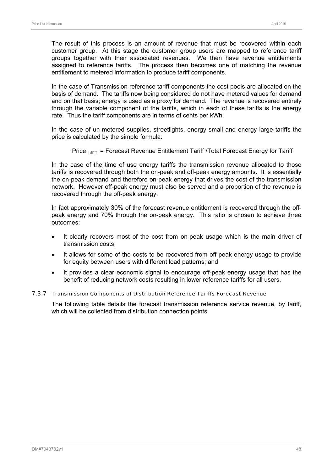The result of this process is an amount of revenue that must be recovered within each customer group. At this stage the customer group users are mapped to reference tariff groups together with their associated revenues. We then have revenue entitlements assigned to reference tariffs. The process then becomes one of matching the revenue entitlement to metered information to produce tariff components.

In the case of Transmission reference tariff components the cost pools are allocated on the basis of demand. The tariffs now being considered do not have metered values for demand and on that basis; energy is used as a proxy for demand. The revenue is recovered entirely through the variable component of the tariffs, which in each of these tariffs is the energy rate. Thus the tariff components are in terms of cents per kWh.

In the case of un-metered supplies, streetlights, energy small and energy large tariffs the price is calculated by the simple formula:

Price  $T_{\text{Ariff}}$  = Forecast Revenue Entitlement Tariff /Total Forecast Energy for Tariff

In the case of the time of use energy tariffs the transmission revenue allocated to those tariffs is recovered through both the on-peak and off-peak energy amounts. It is essentially the on-peak demand and therefore on-peak energy that drives the cost of the transmission network. However off-peak energy must also be served and a proportion of the revenue is recovered through the off-peak energy.

In fact approximately 30% of the forecast revenue entitlement is recovered through the offpeak energy and 70% through the on-peak energy. This ratio is chosen to achieve three outcomes:

- It clearly recovers most of the cost from on-peak usage which is the main driver of transmission costs;
- It allows for some of the costs to be recovered from off-peak energy usage to provide for equity between users with different load patterns; and
- It provides a clear economic signal to encourage off-peak energy usage that has the benefit of reducing network costs resulting in lower reference tariffs for all users.

## 7.3.7 Transmission Components of Distribution Reference Tariffs Forecast Revenue

The following table details the forecast transmission reference service revenue, by tariff, which will be collected from distribution connection points.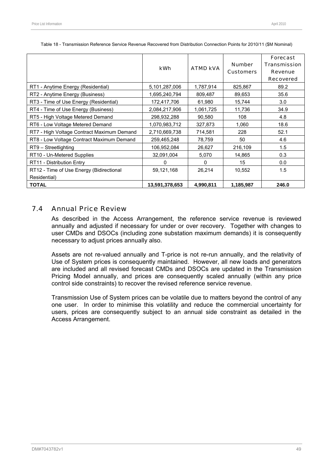|                                                          | <b>kWh</b>     | <b>ATMD kVA</b> | <b>Number</b><br><b>Customers</b> | <b>Forecast</b><br><b>Transmission</b><br><b>Revenue</b><br><b>Recovered</b> |
|----------------------------------------------------------|----------------|-----------------|-----------------------------------|------------------------------------------------------------------------------|
| RT1 - Anytime Energy (Residential)                       | 5,101,287,006  | 1,787,914       | 825,867                           | 89.2                                                                         |
| RT2 - Anytime Energy (Business)                          | 1,695,240,794  | 809,487         | 89,653                            | 35.6                                                                         |
| RT3 - Time of Use Energy (Residential)                   | 172,417,706    | 61,980          | 15,744                            | 3.0                                                                          |
| RT4 - Time of Use Energy (Business)                      | 2,084,217,906  | 1,061,725       | 11,736                            | 34.9                                                                         |
| RT5 - High Voltage Metered Demand                        | 298,932,288    | 90,580          | 108                               | 4.8                                                                          |
| RT6 - Low Voltage Metered Demand                         | 1,070,983,712  | 327,873         | 1,060                             | 18.6                                                                         |
| RT7 - High Voltage Contract Maximum Demand               | 2,710,669,738  | 714,581         | 228                               | 52.1                                                                         |
| RT8 - Low Voltage Contract Maximum Demand                | 259,465,248    | 78,759          | 50                                | 4.6                                                                          |
| RT9 - Streetlighting                                     | 106,952,084    | 26,627          | 216,109                           | 1.5                                                                          |
| RT10 - Un-Metered Supplies                               | 32,091,004     | 5,070           | 14,865                            | 0.3                                                                          |
| RT11 - Distribution Entry                                | O              | 0               | 15                                | 0.0                                                                          |
| RT12 - Time of Use Energy (Bidirectional<br>Residential) | 59,121,168     | 26,214          | 10,552                            | 1.5                                                                          |
| <b>TOTAL</b>                                             | 13,591,378,653 | 4,990,811       | 1,185,987                         | 246.0                                                                        |

Table 18 - Transmission Reference Service Revenue Recovered from Distribution Connection Points for 2010/11 (\$M Nominal)

# 7.4 Annual Price Review

As described in the Access Arrangement, the reference service revenue is reviewed annually and adjusted if necessary for under or over recovery. Together with changes to user CMDs and DSOCs (including zone substation maximum demands) it is consequently necessary to adjust prices annually also.

Assets are not re-valued annually and T-price is not re-run annually, and the relativity of Use of System prices is consequently maintained. However, all new loads and generators are included and all revised forecast CMDs and DSOCs are updated in the Transmission Pricing Model annually, and prices are consequently scaled annually (within any price control side constraints) to recover the revised reference service revenue.

Transmission Use of System prices can be volatile due to matters beyond the control of any one user. In order to minimise this volatility and reduce the commercial uncertainty for users, prices are consequently subject to an annual side constraint as detailed in the Access Arrangement.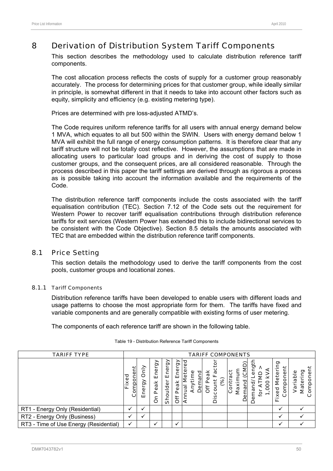# 8 Derivation of Distribution System Tariff Components

This section describes the methodology used to calculate distribution reference tariff components.

The cost allocation process reflects the costs of supply for a customer group reasonably accurately. The process for determining prices for that customer group, while ideally similar in principle, is somewhat different in that it needs to take into account other factors such as equity, simplicity and efficiency (e.g. existing metering type).

Prices are determined with pre loss-adjusted ATMD's.

The Code requires uniform reference tariffs for all users with annual energy demand below 1 MVA, which equates to all but 500 within the SWIN. Users with energy demand below 1 MVA will exhibit the full range of energy consumption patterns. It is therefore clear that any tariff structure will not be totally cost reflective. However, the assumptions that are made in allocating users to particular load groups and in deriving the cost of supply to those customer groups, and the consequent prices, are all considered reasonable. Through the process described in this paper the tariff settings are derived through as rigorous a process as is possible taking into account the information available and the requirements of the Code.

The distribution reference tariff components include the costs associated with the tariff equalisation contribution (TEC). Section 7.12 of the Code sets out the requirement for Western Power to recover tariff equalisation contributions through distribution reference tariffs for exit services (Western Power has extended this to include bidirectional services to be consistent with the Code Objective). Section 8.5 details the amounts associated with TEC that are embedded within the distribution reference tariff components.

# 8.1 Price Setting

This section details the methodology used to derive the tariff components from the cost pools, customer groups and locational zones.

## 8.1.1 Tariff Components

Distribution reference tariffs have been developed to enable users with different loads and usage patterns to choose the most appropriate form for them. The tariffs have fixed and variable components and are generally compatible with existing forms of user metering.

The components of each reference tariff are shown in the following table.

| <b>TARIFF TYPE</b>                     |                       |                       |                                                           |                          |                           |                                                                            | <b>TARIFF COMPONENTS</b>                   |                                           |                                                 |                                                          |                                            |
|----------------------------------------|-----------------------|-----------------------|-----------------------------------------------------------|--------------------------|---------------------------|----------------------------------------------------------------------------|--------------------------------------------|-------------------------------------------|-------------------------------------------------|----------------------------------------------------------|--------------------------------------------|
|                                        | Ë<br>Compone<br>Fixed | ≧<br>O<br>බ<br>٥<br>ш | බි<br>Φ<br>ш<br>$\frac{\mathsf{x}}{\mathsf{a}}$<br>Φ<br>O | Energy<br>lder<br>٥<br>ᢆ | Energy<br>eak<br>≏<br>Öff | စ္ပ<br>etei<br>and<br>e<br>ء<br>Dem<br>$\overline{\overline{6}}$<br>σ<br>₹ | ă<br>ω<br>$\rm \dot{\rm s}$<br>O<br>⊻<br>Δ | έ<br>ర్త<br>ن<br>ه<br>Maxin<br>emand<br>ğ | ဥ<br>đ<br>بة<br>ŝ<br>⋧<br>টু<br>ooo<br>ema<br>₫ | ರಾ<br>Meteri<br>έñ<br>iaio<br>$x$ ed<br>ပ<br>$\sim$<br>ட | omponer<br>ō<br>ەّ<br>ᠭᢐ<br>నె<br>Ма́<br>ن |
| RT1 - Energy Only (Residential)        | $\checkmark$          | v                     |                                                           |                          |                           |                                                                            |                                            |                                           |                                                 | ✓                                                        |                                            |
| RT2 - Energy Only (Business)           | ✓                     | $\checkmark$          |                                                           |                          |                           |                                                                            |                                            |                                           |                                                 | ✓                                                        |                                            |
| RT3 - Time of Use Energy (Residential) | $\checkmark$          |                       |                                                           |                          | $\checkmark$              |                                                                            |                                            |                                           |                                                 | ✓                                                        |                                            |

#### Table 19 - Distribution Reference Tariff Components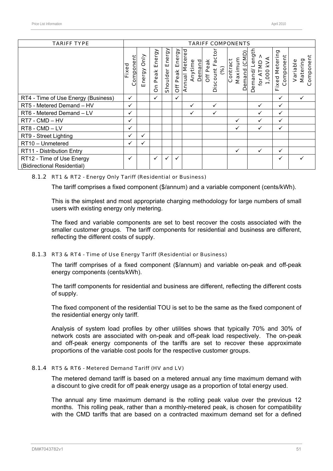| <b>TARIFF TYPE</b>                                       |                    |                       |                     |                    |                 |                                            | <b>TARIFF COMPONENTS</b>               |                                     |                                            |                                    |                                   |
|----------------------------------------------------------|--------------------|-----------------------|---------------------|--------------------|-----------------|--------------------------------------------|----------------------------------------|-------------------------------------|--------------------------------------------|------------------------------------|-----------------------------------|
|                                                          | Component<br>Fixed | <b>Only</b><br>Energy | Energy<br>Peak<br>å | Energy<br>Shoulder | Off Peak Energy | <b>Annual Metered</b><br>Anytime<br>Demand | Discount Fac<br><b>Off Peak</b><br>(%) | Demand (CMD)<br>Maximum<br>Contract | emand/Length<br>1,000 KVA<br>for ATMD<br>Ó | <b>Fixed Metering</b><br>Component | Component<br>Matering<br>Variable |
| RT4 - Time of Use Energy (Business)                      | ✓                  |                       | $\checkmark$        |                    | $\checkmark$    |                                            |                                        |                                     |                                            | $\checkmark$                       | ✓                                 |
| RT5 - Metered Demand - HV                                | ✓                  |                       |                     |                    |                 | $\checkmark$                               | $\checkmark$                           |                                     | ✓                                          | $\checkmark$                       |                                   |
| RT6 - Metered Demand - LV                                | ✓                  |                       |                     |                    |                 | $\checkmark$                               | ✓                                      |                                     | $\checkmark$                               | ✓                                  |                                   |
| RT7 - CMD - HV                                           | ✓                  |                       |                     |                    |                 |                                            |                                        | ✓                                   | ✓                                          | ✓                                  |                                   |
| RT8 - CMD - LV                                           | ✓                  |                       |                     |                    |                 |                                            |                                        | ✓                                   | ✓                                          | ✓                                  |                                   |
| RT9 - Street Lighting                                    | ✓                  | ✓                     |                     |                    |                 |                                            |                                        |                                     |                                            |                                    |                                   |
| RT10 - Unmetered                                         | ✓                  | ✓                     |                     |                    |                 |                                            |                                        |                                     |                                            |                                    |                                   |
| RT11 - Distribution Entry                                |                    |                       |                     |                    |                 |                                            |                                        | ✓                                   | $\checkmark$                               | ✓                                  |                                   |
| RT12 - Time of Use Energy<br>(Bidirectional Residential) | ✓                  |                       | $\checkmark$        | ✓                  | $\checkmark$    |                                            |                                        |                                     |                                            | ✓                                  |                                   |

#### 8.1.2 RT1 & RT2 - Energy Only Tariff (Residential or Business)

The tariff comprises a fixed component (\$/annum) and a variable component (cents/kWh).

This is the simplest and most appropriate charging methodology for large numbers of small users with existing energy only metering.

The fixed and variable components are set to best recover the costs associated with the smaller customer groups. The tariff components for residential and business are different, reflecting the different costs of supply.

#### 8.1.3 RT3 & RT4 - Time of Use Energy Tariff (Residential or Business)

The tariff comprises of a fixed component (\$/annum) and variable on-peak and off-peak energy components (cents/kWh).

The tariff components for residential and business are different, reflecting the different costs of supply.

The fixed component of the residential TOU is set to be the same as the fixed component of the residential energy only tariff.

Analysis of system load profiles by other utilities shows that typically 70% and 30% of network costs are associated with on-peak and off-peak load respectively. The on-peak and off-peak energy components of the tariffs are set to recover these approximate proportions of the variable cost pools for the respective customer groups.

## 8.1.4 RT5 & RT6 - Metered Demand Tariff (HV and LV)

The metered demand tariff is based on a metered annual any time maximum demand with a discount to give credit for off peak energy usage as a proportion of total energy used.

The annual any time maximum demand is the rolling peak value over the previous 12 months. This rolling peak, rather than a monthly-metered peak, is chosen for compatibility with the CMD tariffs that are based on a contracted maximum demand set for a defined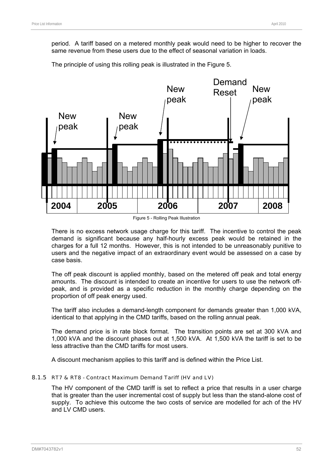period. A tariff based on a metered monthly peak would need to be higher to recover the same revenue from these users due to the effect of seasonal variation in loads.

The principle of using this rolling peak is illustrated in the Figure 5.



Figure 5 - Rolling Peak Illustration

There is no excess network usage charge for this tariff. The incentive to control the peak demand is significant because any half-hourly excess peak would be retained in the charges for a full 12 months. However, this is not intended to be unreasonably punitive to users and the negative impact of an extraordinary event would be assessed on a case by case basis.

The off peak discount is applied monthly, based on the metered off peak and total energy amounts. The discount is intended to create an incentive for users to use the network offpeak, and is provided as a specific reduction in the monthly charge depending on the proportion of off peak energy used.

The tariff also includes a demand-length component for demands greater than 1,000 kVA, identical to that applying in the CMD tariffs, based on the rolling annual peak.

The demand price is in rate block format. The transition points are set at 300 kVA and 1,000 kVA and the discount phases out at 1,500 kVA. At 1,500 kVA the tariff is set to be less attractive than the CMD tariffs for most users.

A discount mechanism applies to this tariff and is defined within the Price List.

# 8.1.5 RT7 & RT8 - Contract Maximum Demand Tariff (HV and LV)

The HV component of the CMD tariff is set to reflect a price that results in a user charge that is greater than the user incremental cost of supply but less than the stand-alone cost of supply. To achieve this outcome the two costs of service are modelled for ach of the HV and LV CMD users.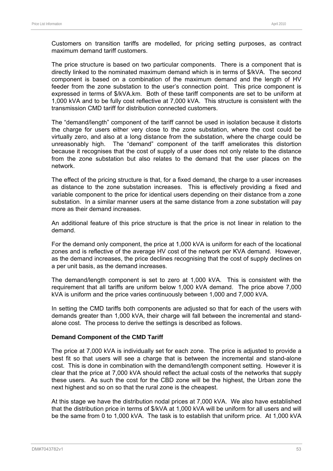Customers on transition tariffs are modelled, for pricing setting purposes, as contract maximum demand tariff customers.

The price structure is based on two particular components. There is a component that is directly linked to the nominated maximum demand which is in terms of \$/kVA. The second component is based on a combination of the maximum demand and the length of HV feeder from the zone substation to the user's connection point. This price component is expressed in terms of \$/kVA.km. Both of these tariff components are set to be uniform at 1,000 kVA and to be fully cost reflective at 7,000 kVA. This structure is consistent with the transmission CMD tariff for distribution connected customers.

The "demand/length" component of the tariff cannot be used in isolation because it distorts the charge for users either very close to the zone substation, where the cost could be virtually zero, and also at a long distance from the substation, where the charge could be unreasonably high. The "demand" component of the tariff ameliorates this distortion because it recognises that the cost of supply of a user does not only relate to the distance from the zone substation but also relates to the demand that the user places on the network.

The effect of the pricing structure is that, for a fixed demand, the charge to a user increases as distance to the zone substation increases. This is effectively providing a fixed and variable component to the price for identical users depending on their distance from a zone substation. In a similar manner users at the same distance from a zone substation will pay more as their demand increases.

An additional feature of this price structure is that the price is not linear in relation to the demand.

For the demand only component, the price at 1,000 kVA is uniform for each of the locational zones and is reflective of the average HV cost of the network per KVA demand. However, as the demand increases, the price declines recognising that the cost of supply declines on a per unit basis, as the demand increases.

The demand/length component is set to zero at 1,000 kVA. This is consistent with the requirement that all tariffs are uniform below 1,000 kVA demand. The price above 7,000 kVA is uniform and the price varies continuously between 1,000 and 7,000 kVA.

In setting the CMD tariffs both components are adjusted so that for each of the users with demands greater than 1,000 kVA, their charge will fall between the incremental and standalone cost. The process to derive the settings is described as follows.

## **Demand Component of the CMD Tariff**

The price at 7,000 kVA is individually set for each zone. The price is adjusted to provide a best fit so that users will see a charge that is between the incremental and stand-alone cost. This is done in combination with the demand/length component setting. However it is clear that the price at 7,000 kVA should reflect the actual costs of the networks that supply these users. As such the cost for the CBD zone will be the highest, the Urban zone the next highest and so on so that the rural zone is the cheapest.

At this stage we have the distribution nodal prices at 7,000 kVA. We also have established that the distribution price in terms of \$/kVA at 1,000 kVA will be uniform for all users and will be the same from 0 to 1,000 kVA. The task is to establish that uniform price. At 1,000 kVA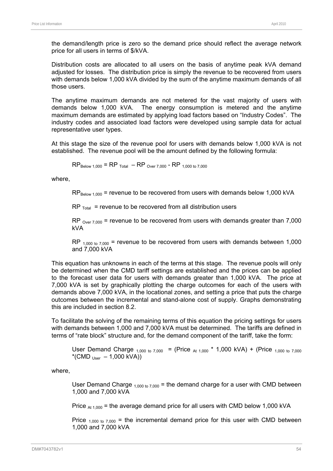the demand/length price is zero so the demand price should reflect the average network price for all users in terms of \$/kVA.

Distribution costs are allocated to all users on the basis of anytime peak kVA demand adjusted for losses. The distribution price is simply the revenue to be recovered from users with demands below 1,000 kVA divided by the sum of the anytime maximum demands of all those users.

The anytime maximum demands are not metered for the vast majority of users with demands below 1,000 kVA. The energy consumption is metered and the anytime maximum demands are estimated by applying load factors based on "Industry Codes". The industry codes and associated load factors were developed using sample data for actual representative user types.

At this stage the size of the revenue pool for users with demands below 1,000 kVA is not established. The revenue pool will be the amount defined by the following formula:

 $RP_{\text{Relow 1,000}} = RP_{\text{Total}} - RP_{\text{Over 7,000}} - RP_{\text{1,000 to 7,000}}$ 

where,

 $RP_{\text{Below 1,000}}$  = revenue to be recovered from users with demands below 1,000 kVA

 $RP$ <sub>Total</sub> = revenue to be recovered from all distribution users

RP  $_{Over 7,000}$  = revenue to be recovered from users with demands greater than 7,000 kVA

RP  $_{1,000 \text{ to } 7,000}$  = revenue to be recovered from users with demands between 1,000 and 7,000 kVA

This equation has unknowns in each of the terms at this stage. The revenue pools will only be determined when the CMD tariff settings are established and the prices can be applied to the forecast user data for users with demands greater than 1,000 kVA. The price at 7,000 kVA is set by graphically plotting the charge outcomes for each of the users with demands above 7,000 kVA, in the locational zones, and setting a price that puts the charge outcomes between the incremental and stand-alone cost of supply. Graphs demonstrating this are included in section 8.2.

To facilitate the solving of the remaining terms of this equation the pricing settings for users with demands between 1,000 and 7,000 kVA must be determined. The tariffs are defined in terms of "rate block" structure and, for the demand component of the tariff, take the form:

User Demand Charge  $_{1,000 \text{ to } 7,000}$  = (Price  $_{\text{At } 1,000}$  \* 1,000 kVA) + (Price  $_{1,000 \text{ to } 7,000}$  $*(CMD_{User} - 1,000 kVA))$ 

where,

User Demand Charge  $_{1,000 \text{ to } 7,000}$  = the demand charge for a user with CMD between 1,000 and 7,000 kVA

Price  $_{\text{At 1,000}}$  = the average demand price for all users with CMD below 1,000 kVA

Price  $_{1,000 \text{ to } 7,000}$  = the incremental demand price for this user with CMD between 1,000 and 7,000 kVA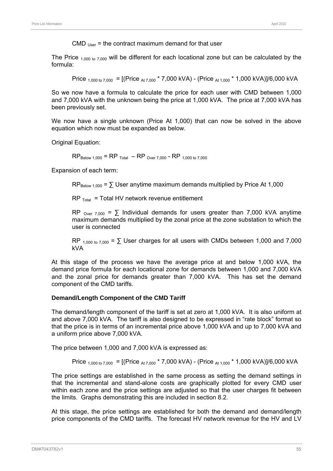CMD  $_{User}$  = the contract maximum demand for that user

The Price  $_{1,000 \text{ to } 7,000}$  will be different for each locational zone but can be calculated by the formula:

Price <sub>1,000 to 7,000</sub> =  $[(Price_{At 7,000} * 7,000 kVA) - (Price_{At 1,000} * 1,000 kVA)]/6,000 kVA]$ 

So we now have a formula to calculate the price for each user with CMD between 1,000 and 7,000 kVA with the unknown being the price at 1,000 kVA. The price at 7,000 kVA has been previously set.

We now have a single unknown (Price At 1,000) that can now be solved in the above equation which now must be expanded as below.

Original Equation:

 $RP_{\text{Relow 1,000}} = RP_{\text{Total}} - RP_{\text{Over 7,000}} - RP_{\text{1,000 to 7,000}}$ 

Expansion of each term:

 $RP_{\text{Below }1.000} = \sum \text{User anytime maximum demands multiplied by Price At } 1.000$ 

 $RP_{\text{Total}}$  = Total HV network revenue entitlement

RP  $_{\text{Over } 7000}$  =  $\sum$  Individual demands for users greater than 7,000 kVA anytime maximum demands multiplied by the zonal price at the zone substation to which the user is connected

RP  $_{1,000 \text{ to } 7,000}$  =  $\Sigma$  User charges for all users with CMDs between 1,000 and 7,000 kVA

At this stage of the process we have the average price at and below 1,000 kVA, the demand price formula for each locational zone for demands between 1,000 and 7,000 kVA and the zonal price for demands greater than 7,000 kVA. This has set the demand component of the CMD tariffs.

#### **Demand/Length Component of the CMD Tariff**

The demand/length component of the tariff is set at zero at 1,000 kVA. It is also uniform at and above 7,000 kVA. The tariff is also designed to be expressed in "rate block" format so that the price is in terms of an incremental price above 1,000 kVA and up to 7,000 kVA and a uniform price above 7,000 kVA.

The price between 1,000 and 7,000 kVA is expressed as:

Price 
$$
1,000 \text{ to } 7,000 = \left[ (\text{Price At } 7,000 \text{ * } 7,000 \text{ kVA}) - (\text{Price At } 1,000 \text{ * } 1,000 \text{ kVA}) \right] / 6,000 \text{ kVA}
$$

The price settings are established in the same process as setting the demand settings in that the incremental and stand-alone costs are graphically plotted for every CMD user within each zone and the price settings are adjusted so that the user charges fit between the limits. Graphs demonstrating this are included in section 8.2.

At this stage, the price settings are established for both the demand and demand/length price components of the CMD tariffs. The forecast HV network revenue for the HV and LV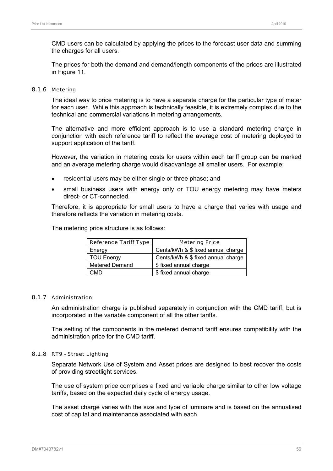CMD users can be calculated by applying the prices to the forecast user data and summing the charges for all users.

The prices for both the demand and demand/length components of the prices are illustrated in Figure 11.

#### 8.1.6 Metering

The ideal way to price metering is to have a separate charge for the particular type of meter for each user. While this approach is technically feasible, it is extremely complex due to the technical and commercial variations in metering arrangements.

The alternative and more efficient approach is to use a standard metering charge in conjunction with each reference tariff to reflect the average cost of metering deployed to support application of the tariff.

However, the variation in metering costs for users within each tariff group can be marked and an average metering charge would disadvantage all smaller users. For example:

- residential users may be either single or three phase; and
- small business users with energy only or TOU energy metering may have meters direct- or CT-connected.

Therefore, it is appropriate for small users to have a charge that varies with usage and therefore reflects the variation in metering costs.

The metering price structure is as follows:

| <b>Reference Tariff Type</b> | <b>Metering Price</b>              |
|------------------------------|------------------------------------|
| Energy                       | Cents/kWh & \$ fixed annual charge |
| <b>TOU Energy</b>            | Cents/kWh & \$ fixed annual charge |
| <b>Metered Demand</b>        | \$ fixed annual charge             |
| CMD                          | \$ fixed annual charge             |

## 8.1.7 Administration

An administration charge is published separately in conjunction with the CMD tariff, but is incorporated in the variable component of all the other tariffs.

The setting of the components in the metered demand tariff ensures compatibility with the administration price for the CMD tariff.

#### 8.1.8 RT9 - Street Lighting

Separate Network Use of System and Asset prices are designed to best recover the costs of providing streetlight services.

The use of system price comprises a fixed and variable charge similar to other low voltage tariffs, based on the expected daily cycle of energy usage.

The asset charge varies with the size and type of luminare and is based on the annualised cost of capital and maintenance associated with each.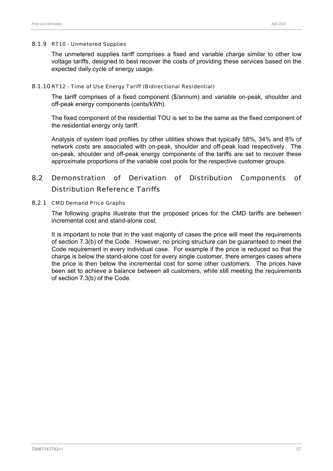#### 8.1.9 RT10 - Unmetered Supplies

The unmetered supplies tariff comprises a fixed and variable charge similar to other low voltage tariffs, designed to best recover the costs of providing these services based on the expected daily cycle of energy usage.

## 8.1.10 RT12 - Time of Use Energy Tariff (Bidirectional Residential)

The tariff comprises of a fixed component (\$/annum) and variable on-peak, shoulder and off-peak energy components (cents/kWh).

The fixed component of the residential TOU is set to be the same as the fixed component of the residential energy only tariff.

Analysis of system load profiles by other utilities shows that typically 58%, 34% and 8% of network costs are associated with on-peak, shoulder and off-peak load respectively. The on-peak, shoulder and off-peak energy components of the tariffs are set to recover these approximate proportions of the variable cost pools for the respective customer groups.

# 8.2 Demonstration of Derivation of Distribution Components of Distribution Reference Tariffs

#### 8.2.1 CMD Demand Price Graphs

The following graphs illustrate that the proposed prices for the CMD tariffs are between incremental cost and stand-alone cost.

It is important to note that in the vast majority of cases the price will meet the requirements of section 7.3(b) of the Code. However, no pricing structure can be guaranteed to meet the Code requirement in every individual case. For example if the price is reduced so that the charge is below the stand-alone cost for every single customer, there emerges cases where the price is then below the incremental cost for some other customers. The prices have been set to achieve a balance between all customers, while still meeting the requirements of section 7.3(b) of the Code.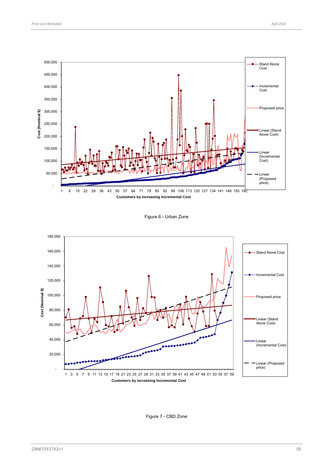

Figure 6 - Urban Zone



Figure 7 - CBD Zone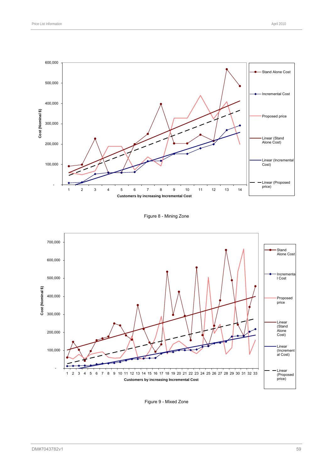

Figure 8 - Mining Zone



Figure 9 - Mixed Zone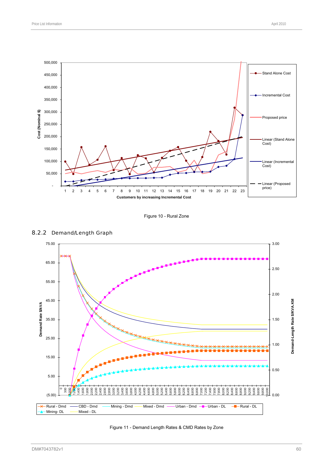

Figure 10 - Rural Zone



## 8.2.2 Demand/Length Graph

Figure 11 - Demand Length Rates & CMD Rates by Zone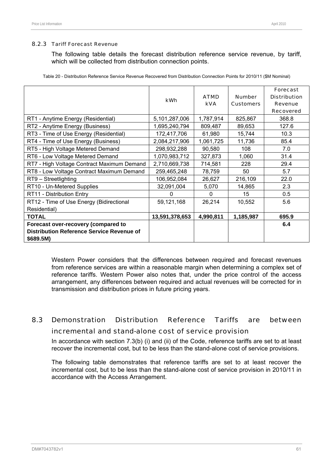#### 8.2.3 Tariff Forecast Revenue

The following table details the forecast distribution reference service revenue, by tariff, which will be collected from distribution connection points.

|                                                                                                      | kWh            | <b>ATMD</b><br><b>kVA</b> | <b>Number</b><br><b>Customers</b> | <b>Forecast</b><br><b>Distribution</b><br><b>Revenue</b><br><b>Recovered</b> |
|------------------------------------------------------------------------------------------------------|----------------|---------------------------|-----------------------------------|------------------------------------------------------------------------------|
| RT1 - Anytime Energy (Residential)                                                                   | 5,101,287,006  | 1,787,914                 | 825,867                           | 368.8                                                                        |
| RT2 - Anytime Energy (Business)                                                                      | 1,695,240,794  | 809,487                   | 89,653                            | 127.6                                                                        |
| RT3 - Time of Use Energy (Residential)                                                               | 172,417,706    | 61,980                    | 15,744                            | 10.3                                                                         |
| RT4 - Time of Use Energy (Business)                                                                  | 2,084,217,906  | 1,061,725                 | 11,736                            | 85.4                                                                         |
| RT5 - High Voltage Metered Demand                                                                    | 298,932,288    | 90,580                    | 108                               | 7.0                                                                          |
| RT6 - Low Voltage Metered Demand                                                                     | 1,070,983,712  | 327,873                   | 1,060                             | 31.4                                                                         |
| RT7 - High Voltage Contract Maximum Demand                                                           | 2,710,669,738  | 714,581                   | 228                               | 29.4                                                                         |
| RT8 - Low Voltage Contract Maximum Demand                                                            | 259,465,248    | 78,759                    | 50                                | 5.7                                                                          |
| RT9 - Streetlighting                                                                                 | 106,952,084    | 26,627                    | 216,109                           | 22.0                                                                         |
| RT10 - Un-Metered Supplies                                                                           | 32,091,004     | 5,070                     | 14,865                            | 2.3                                                                          |
| RT11 - Distribution Entry                                                                            | 0              | $\mathbf{0}$              | 15                                | 0.5                                                                          |
| RT12 - Time of Use Energy (Bidirectional<br>Residential)                                             | 59,121,168     | 26,214                    | 10,552                            | 5.6                                                                          |
| <b>TOTAL</b>                                                                                         | 13,591,378,653 | 4,990,811                 | 1,185,987                         | 695.9                                                                        |
| Forecast over-recovery (compared to<br><b>Distribution Reference Service Revenue of</b><br>\$689.5M) |                |                           |                                   | 6.4                                                                          |

Table 20 - Distribution Reference Service Revenue Recovered from Distribution Connection Points for 2010/11 (\$M Nominal)

Western Power considers that the differences between required and forecast revenues from reference services are within a reasonable margin when determining a complex set of reference tariffs. Western Power also notes that, under the price control of the access arrangement, any differences between required and actual revenues will be corrected for in transmission and distribution prices in future pricing years.

# 8.3 Demonstration Distribution Reference Tariffs are between incremental and stand-alone cost of service provision

In accordance with section 7.3(b) (i) and (ii) of the Code, reference tariffs are set to at least recover the incremental cost, but to be less than the stand-alone cost of service provisions.

The following table demonstrates that reference tariffs are set to at least recover the incremental cost, but to be less than the stand-alone cost of service provision in 2010/11 in accordance with the Access Arrangement.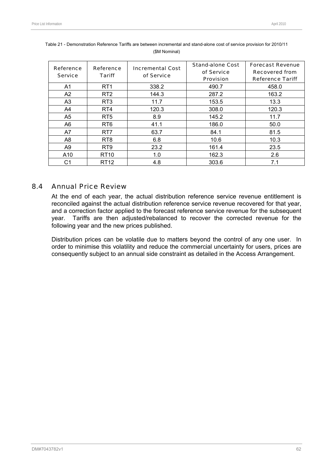| Reference<br><b>Service</b> | Reference<br><b>Tariff</b> | <b>Incremental Cost</b><br>of Service | <b>Stand-alone Cost</b><br>of Service<br><b>Provision</b> | <b>Forecast Revenue</b><br><b>Recovered from</b><br><b>Reference Tariff</b> |
|-----------------------------|----------------------------|---------------------------------------|-----------------------------------------------------------|-----------------------------------------------------------------------------|
| A1                          | RT <sub>1</sub>            | 338.2                                 | 490.7                                                     | 458.0                                                                       |
| A2                          | RT <sub>2</sub>            | 144.3                                 | 287.2                                                     | 163.2                                                                       |
| A3                          | RT <sub>3</sub>            | 11.7                                  | 153.5                                                     | 13.3                                                                        |
| A4                          | RT <sub>4</sub>            | 120.3                                 | 308.0                                                     | 120.3                                                                       |
| A5                          | RT <sub>5</sub>            | 8.9                                   | 145.2                                                     | 11.7                                                                        |
| A6                          | RT <sub>6</sub>            | 41.1                                  | 186.0                                                     | 50.0                                                                        |
| A7                          | RT <sub>7</sub>            | 63.7                                  | 84.1                                                      | 81.5                                                                        |
| A8                          | RT <sub>8</sub>            | 6.8                                   | 10.6                                                      | 10.3                                                                        |
| A9                          | RT <sub>9</sub>            | 23.2                                  | 161.4                                                     | 23.5                                                                        |
| A10                         | <b>RT10</b>                | 1.0                                   | 162.3                                                     | 2.6                                                                         |
| C1                          | RT <sub>12</sub>           | 4.8                                   | 303.6                                                     | 7.1                                                                         |

| Table 21 - Demonstration Reference Tariffs are between incremental and stand-alone cost of service provision for 2010/11 |
|--------------------------------------------------------------------------------------------------------------------------|
| (\$M Nominal)                                                                                                            |

# 8.4 Annual Price Review

At the end of each year, the actual distribution reference service revenue entitlement is reconciled against the actual distribution reference service revenue recovered for that year, and a correction factor applied to the forecast reference service revenue for the subsequent year. Tariffs are then adjusted/rebalanced to recover the corrected revenue for the following year and the new prices published.

Distribution prices can be volatile due to matters beyond the control of any one user. In order to minimise this volatility and reduce the commercial uncertainty for users, prices are consequently subject to an annual side constraint as detailed in the Access Arrangement.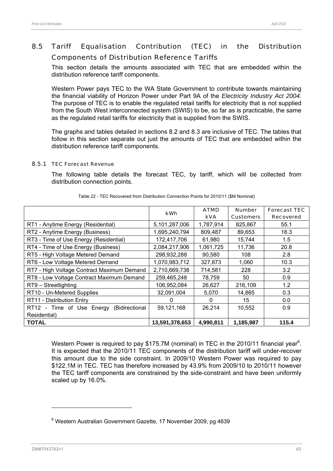# 8.5 Tariff Equalisation Contribution (TEC) in the Distribution Components of Distribution Reference Tariffs

This section details the amounts associated with TEC that are embedded within the distribution reference tariff components.

Western Power pays TEC to the WA State Government to contribute towards maintaining the financial viability of Horizon Power under Part 9A of the *Electricity Industry Act 2004*. The purpose of TEC is to enable the regulated retail tariffs for electricity that is not supplied from the South West interconnected system (SWIS) to be, so far as is practicable, the same as the regulated retail tariffs for electricity that is supplied from the SWIS.

The graphs and tables detailed in sections 8.2 and 8.3 are inclusive of TEC. The tables that follow in this section separate out just the amounts of TEC that are embedded within the distribution reference tariff components.

## 8.5.1 TEC Forecast Revenue

The following table details the forecast TEC, by tariff, which will be collected from distribution connection points.

|                                             | kWh            | <b>ATMD</b> | <b>Number</b>    | <b>Forecast TEC</b> |
|---------------------------------------------|----------------|-------------|------------------|---------------------|
|                                             |                | <b>kVA</b>  | <b>Customers</b> | <b>Recovered</b>    |
| RT1 - Anytime Energy (Residential)          | 5,101,287,006  | 1,787,914   | 825,867          | 55.1                |
| RT2 - Anytime Energy (Business)             | 1,695,240,794  | 809,487     | 89,653           | 18.3                |
| RT3 - Time of Use Energy (Residential)      | 172,417,706    | 61,980      | 15,744           | 1.5                 |
| RT4 - Time of Use Energy (Business)         | 2,084,217,906  | 1,061,725   | 11,736           | 20.8                |
| RT5 - High Voltage Metered Demand           | 298,932,288    | 90,580      | 108              | 2.8                 |
| RT6 - Low Voltage Metered Demand            | 1,070,983,712  | 327,873     | 1,060            | 10.3                |
| RT7 - High Voltage Contract Maximum Demand  | 2,710,669,738  | 714,581     | 228              | 3.2                 |
| RT8 - Low Voltage Contract Maximum Demand   | 259,465,248    | 78,759      | 50               | 0.9                 |
| RT9 - Streetlighting                        | 106,952,084    | 26,627      | 216,109          | 1.2                 |
| RT10 - Un-Metered Supplies                  | 32,091,004     | 5,070       | 14,865           | 0.3                 |
| RT11 - Distribution Entry                   | 0              | $\Omega$    | 15               | 0.0                 |
| RT12 - Time of Use Energy<br>(Bidirectional | 59,121,168     | 26,214      | 10,552           | 0.9                 |
| Residential)                                |                |             |                  |                     |
| <b>TOTAL</b>                                | 13,591,378,653 | 4,990,811   | 1,185,987        | 115.4               |

Table 22 - TEC Recovered from Distribution Connection Points for 2010/11 (\$M Nominal)

Western Power is required to pay \$175.7M (nominal) in TEC in the 2010/11 financial year<sup>6</sup>. It is expected that the 2010/11 TEC components of the distribution tariff will under-recover this amount due to the side constraint. In 2009/10 Western Power was required to pay \$122.1M in TEC. TEC has therefore increased by 43.9% from 2009/10 to 2010/11 however the TEC tariff components are constrained by the side-constraint and have been uniformly scaled up by 16.0%.

<sup>&</sup>lt;sup>6</sup> Western Australian Government Gazette, 17 November 2009, pg 4639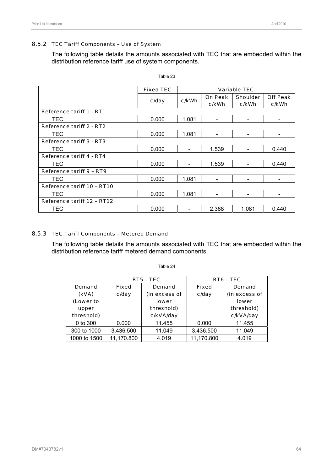#### 8.5.2 TEC Tariff Components – Use of System

The following table details the amounts associated with TEC that are embedded within the distribution reference tariff use of system components.

|                                 | <b>Fixed TEC</b> |       |                          | <b>Variable TEC</b> |                              |  |
|---------------------------------|------------------|-------|--------------------------|---------------------|------------------------------|--|
|                                 |                  |       | <b>On Peak</b>           | <b>Shoulder</b>     | <b>Off Peak</b>              |  |
|                                 | c/day            | c/kWh | c/kWh                    | c/kWh               | c/kWh                        |  |
| <b>Reference tariff 1 - RT1</b> |                  |       |                          |                     |                              |  |
| TEC                             | 0.000            | 1.081 |                          |                     |                              |  |
| <b>Reference tariff 2 - RT2</b> |                  |       |                          |                     |                              |  |
| TEC                             | 0.000            | 1.081 | $\overline{\phantom{0}}$ |                     | $\qquad \qquad \blacksquare$ |  |
| Reference tariff 3 - RT3        |                  |       |                          |                     |                              |  |
| TEC                             | 0.000            |       | 1.539                    |                     | 0.440                        |  |
| Reference tariff 4 - RT4        |                  |       |                          |                     |                              |  |
| TEC                             | 0.000            |       | 1.539                    |                     | 0.440                        |  |
| <b>Reference tariff 9 - RT9</b> |                  |       |                          |                     |                              |  |
| TEC                             | 0.000            | 1.081 |                          |                     |                              |  |
| Reference tariff 10 - RT10      |                  |       |                          |                     |                              |  |
| TEC                             | 0.000            | 1.081 | $\qquad \qquad$          |                     |                              |  |
| Reference tariff 12 - RT12      |                  |       |                          |                     |                              |  |
| TEC                             | 0.000            |       | 2.388                    | 1.081               | 0.440                        |  |

Table 23

#### 8.5.3 TEC Tariff Components – Metered Demand

The following table details the amounts associated with TEC that are embedded within the distribution reference tariff metered demand components.

Table 24

|              | RT5 - TEC    |                 | RT6 - TEC  |               |  |
|--------------|--------------|-----------------|------------|---------------|--|
| Demand       | <b>Fixed</b> | Fixed<br>Demand |            | <b>Demand</b> |  |
| (kVA)        | c/day        | (in excess of   | c/day      | (in excess of |  |
| (Lower to    |              | lower           |            | <b>lower</b>  |  |
| upper        |              | threshold)      |            | threshold)    |  |
| threshold)   |              | c/kVA/day       |            | c/kVA/day     |  |
| 0 to 300     | 0.000        | 11.455          | 0.000      | 11.455        |  |
| 300 to 1000  | 3,436.500    | 11.049          | 3,436.500  | 11.049        |  |
| 1000 to 1500 | 11,170.800   | 4.019           | 11,170.800 | 4.019         |  |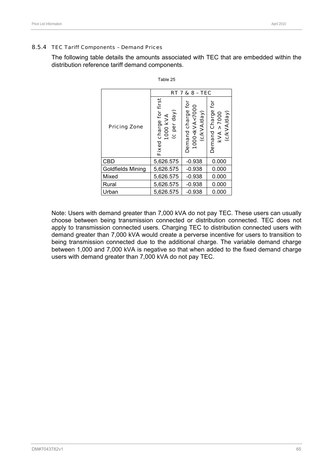#### 8.5.4 TEC Tariff Components – Demand Prices

The following table details the amounts associated with TEC that are embedded within the distribution reference tariff demand components.

|                     | <b>RT 7 &amp; 8 - TEC</b>                            |                                                                    |                                                 |  |
|---------------------|------------------------------------------------------|--------------------------------------------------------------------|-------------------------------------------------|--|
| <b>Pricing Zone</b> | charge for first<br>(c per day)<br>1000 KVA<br>Fixed | ğ<br>1000 <kva<7000<br>(c/kVA/day)<br/>Demand charge</kva<7000<br> | ē<br>Demand Charge<br>(c/kVA/day)<br>kVA > 7000 |  |
| CBD                 | 5,626.575                                            | $-0.938$                                                           | 0.000                                           |  |
| Goldfields Mining   | 5,626.575                                            | $-0.938$                                                           | 0.000                                           |  |
| Mixed               | 5,626.575                                            | $-0.938$                                                           | 0.000                                           |  |
| Rural               | 5,626.575                                            | $-0.938$                                                           | 0.000                                           |  |
| Urban               | 5,626.575                                            | $-0.938$                                                           | 0.000                                           |  |

Table 25

Note: Users with demand greater than 7,000 kVA do not pay TEC. These users can usually choose between being transmission connected or distribution connected. TEC does not apply to transmission connected users. Charging TEC to distribution connected users with demand greater than 7,000 kVA would create a perverse incentive for users to transition to being transmission connected due to the additional charge. The variable demand charge between 1,000 and 7,000 kVA is negative so that when added to the fixed demand charge users with demand greater than 7,000 kVA do not pay TEC.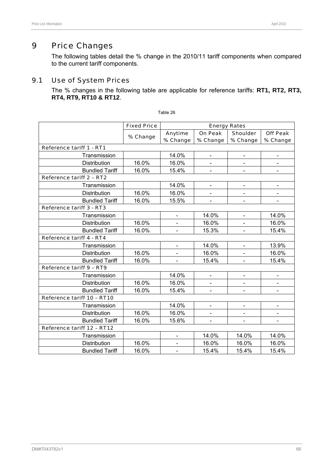The following tables detail the % change in the 2010/11 tariff components when compared to the current tariff components.

# 9.1 Use of System Prices

The % changes in the following table are applicable for reference tariffs: **RT1, RT2, RT3, RT4, RT9, RT10 & RT12**.

|                                 | <b>Fixed Price</b> | <b>Energy Rates</b>      |                              |                 |                 |
|---------------------------------|--------------------|--------------------------|------------------------------|-----------------|-----------------|
|                                 |                    | Anytime                  | <b>On Peak</b>               | <b>Shoulder</b> | <b>Off Peak</b> |
|                                 | % Change           | % Change                 | % Change                     | % Change        | % Change        |
| Reference tariff 1 - RT1        |                    |                          |                              |                 |                 |
| Transmission                    |                    | 14.0%                    | $\qquad \qquad \blacksquare$ | $\blacksquare$  | $\blacksquare$  |
| Distribution                    | 16.0%              | 16.0%                    |                              |                 |                 |
| <b>Bundled Tariff</b>           | 16.0%              | 15.4%                    | $\overline{\phantom{a}}$     |                 |                 |
| <b>Reference tariff 2 - RT2</b> |                    |                          |                              |                 |                 |
| Transmission                    |                    | 14.0%                    | $\blacksquare$               |                 |                 |
| <b>Distribution</b>             | 16.0%              | 16.0%                    | $\qquad \qquad \blacksquare$ |                 |                 |
| <b>Bundled Tariff</b>           | 16.0%              | 15.5%                    |                              |                 |                 |
| Reference tariff 3 - RT3        |                    |                          |                              |                 |                 |
| Transmission                    |                    | $\blacksquare$           | 14.0%                        | $\blacksquare$  | 14.0%           |
| Distribution                    | 16.0%              |                          | 16.0%                        |                 | 16.0%           |
| <b>Bundled Tariff</b>           | 16.0%              | $\blacksquare$           | 15.3%                        |                 | 15.4%           |
| Reference tariff 4 - RT4        |                    |                          |                              |                 |                 |
| Transmission                    |                    | $\blacksquare$           | 14.0%                        |                 | 13.9%           |
| <b>Distribution</b>             | 16.0%              | $\overline{\phantom{a}}$ | 16.0%                        | $\blacksquare$  | 16.0%           |
| <b>Bundled Tariff</b>           | 16.0%              |                          | 15.4%                        |                 | 15.4%           |
| Reference tariff 9 - RT9        |                    |                          |                              |                 |                 |
| Transmission                    |                    | 14.0%                    | $\blacksquare$               |                 |                 |
| Distribution                    | 16.0%              | 16.0%                    | $\overline{\phantom{a}}$     |                 |                 |
| <b>Bundled Tariff</b>           | 16.0%              | 15.4%                    | $\blacksquare$               |                 |                 |
| Reference tariff 10 - RT10      |                    |                          |                              |                 |                 |
| Transmission                    |                    | 14.0%                    | $\blacksquare$               |                 |                 |
| Distribution                    | 16.0%              | 16.0%                    | $\blacksquare$               |                 |                 |
| <b>Bundled Tariff</b>           | 16.0%              | 15.6%                    | $\overline{\phantom{a}}$     |                 |                 |
| Reference tariff 12 - RT12      |                    |                          |                              |                 |                 |
| Transmission                    |                    |                          | 14.0%                        | 14.0%           | 14.0%           |
| Distribution                    | 16.0%              |                          | 16.0%                        | 16.0%           | 16.0%           |
| <b>Bundled Tariff</b>           | 16.0%              | $\overline{\phantom{a}}$ | 15.4%                        | 15.4%           | 15.4%           |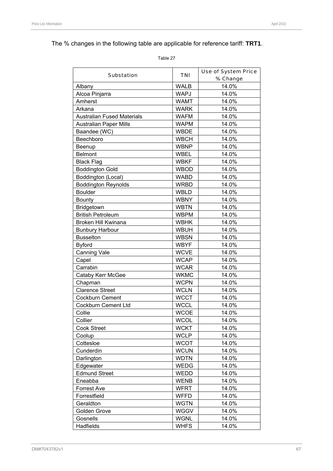# The % changes in the following table are applicable for reference tariff: **TRT1**.

Table 27

|                                   | <b>TNI</b>  | <b>Use of System Price</b> |  |  |
|-----------------------------------|-------------|----------------------------|--|--|
| <b>Substation</b>                 |             | % Change                   |  |  |
| Albany                            | <b>WALB</b> | 14.0%                      |  |  |
| Alcoa Pinjarra                    | <b>WAPJ</b> | 14.0%                      |  |  |
| Amherst                           | <b>WAMT</b> | 14.0%                      |  |  |
| Arkana                            | <b>WARK</b> | 14.0%                      |  |  |
| <b>Australian Fused Materials</b> | <b>WAFM</b> | 14.0%                      |  |  |
| <b>Australian Paper Mills</b>     | <b>WAPM</b> | 14.0%                      |  |  |
| Baandee (WC)                      | <b>WBDE</b> | 14.0%                      |  |  |
| Beechboro                         | <b>WBCH</b> | 14.0%                      |  |  |
| Beenup                            | <b>WBNP</b> | 14.0%                      |  |  |
| <b>Belmont</b>                    | WBEL        | 14.0%                      |  |  |
| <b>Black Flag</b>                 | <b>WBKF</b> | 14.0%                      |  |  |
| <b>Boddington Gold</b>            | <b>WBOD</b> | 14.0%                      |  |  |
| Boddington (Local)                | <b>WABD</b> | 14.0%                      |  |  |
| <b>Boddington Reynolds</b>        | <b>WRBD</b> | 14.0%                      |  |  |
| <b>Boulder</b>                    | <b>WBLD</b> | 14.0%                      |  |  |
| <b>Bounty</b>                     | <b>WBNY</b> | 14.0%                      |  |  |
| Bridgetown                        | <b>WBTN</b> | 14.0%                      |  |  |
| <b>British Petroleum</b>          | <b>WBPM</b> | 14.0%                      |  |  |
| <b>Broken Hill Kwinana</b>        | <b>WBHK</b> | 14.0%                      |  |  |
| <b>Bunbury Harbour</b>            | <b>WBUH</b> | 14.0%                      |  |  |
| <b>Busselton</b>                  | <b>WBSN</b> | 14.0%                      |  |  |
| <b>Byford</b>                     | <b>WBYF</b> | 14.0%                      |  |  |
| Canning Vale                      | <b>WCVE</b> | 14.0%                      |  |  |
| Capel                             | <b>WCAP</b> | 14.0%                      |  |  |
| Carrabin                          | <b>WCAR</b> | 14.0%                      |  |  |
| Cataby Kerr McGee                 | <b>WKMC</b> | 14.0%                      |  |  |
| Chapman                           | <b>WCPN</b> | 14.0%                      |  |  |
| <b>Clarence Street</b>            | <b>WCLN</b> | 14.0%                      |  |  |
| <b>Cockburn Cement</b>            | <b>WCCT</b> | 14.0%                      |  |  |
| Cockburn Cement Ltd               | <b>WCCL</b> | 14.0%                      |  |  |
| Collie                            | <b>WCOE</b> | 14.0%                      |  |  |
| Collier                           | <b>WCOL</b> | 14.0%                      |  |  |
| <b>Cook Street</b>                | <b>WCKT</b> | 14.0%                      |  |  |
| Coolup                            | <b>WCLP</b> | 14.0%                      |  |  |
| Cottesloe                         | <b>WCOT</b> | 14.0%                      |  |  |
| Cunderdin                         | <b>WCUN</b> | 14.0%                      |  |  |
| Darlington                        | <b>WDTN</b> | 14.0%                      |  |  |
| Edgewater                         | <b>WEDG</b> | 14.0%                      |  |  |
| <b>Edmund Street</b>              | WEDD        | 14.0%                      |  |  |
| Eneabba                           | <b>WENB</b> | 14.0%                      |  |  |
| <b>Forrest Ave</b>                | <b>WFRT</b> | 14.0%                      |  |  |
| Forrestfield                      | <b>WFFD</b> | 14.0%                      |  |  |
| Geraldton                         | <b>WGTN</b> | 14.0%                      |  |  |
| Golden Grove                      | <b>WGGV</b> | 14.0%                      |  |  |
| Gosnells                          | <b>WGNL</b> | 14.0%                      |  |  |
| Hadfields                         | <b>WHFS</b> | 14.0%                      |  |  |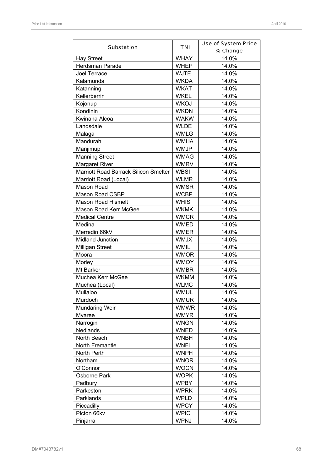| <b>Substation</b>                     | TNI         | <b>Use of System Price</b><br>% Change |
|---------------------------------------|-------------|----------------------------------------|
| <b>Hay Street</b>                     | <b>WHAY</b> | 14.0%                                  |
| Herdsman Parade                       | <b>WHEP</b> | 14.0%                                  |
| Joel Terrace                          | <b>WJTE</b> | 14.0%                                  |
| Kalamunda                             | <b>WKDA</b> | 14.0%                                  |
| Katanning                             | WKAT        | 14.0%                                  |
| Kellerberrin                          | <b>WKEL</b> | 14.0%                                  |
|                                       | WKOJ        | 14.0%                                  |
| Kojonup<br>Kondinin                   | <b>WKDN</b> | 14.0%                                  |
| Kwinana Alcoa                         | <b>WAKW</b> | 14.0%                                  |
| Landsdale                             | <b>WLDE</b> |                                        |
|                                       |             | 14.0%                                  |
| Malaga                                | WMLG        | 14.0%                                  |
| Mandurah                              | <b>WMHA</b> | 14.0%                                  |
| Manjimup                              | WMJP        | 14.0%                                  |
| <b>Manning Street</b>                 | <b>WMAG</b> | 14.0%                                  |
| <b>Margaret River</b>                 | <b>WMRV</b> | 14.0%                                  |
| Marriott Road Barrack Silicon Smelter | <b>WBSI</b> | 14.0%                                  |
| Marriott Road (Local)                 | <b>WLMR</b> | 14.0%                                  |
| Mason Road                            | <b>WMSR</b> | 14.0%                                  |
| Mason Road CSBP                       | <b>WCBP</b> | 14.0%                                  |
| <b>Mason Road Hismelt</b>             | <b>WHIS</b> | 14.0%                                  |
| Mason Road Kerr McGee                 | <b>WKMK</b> | 14.0%                                  |
| <b>Medical Centre</b>                 | <b>WMCR</b> | 14.0%                                  |
| Medina                                | <b>WMED</b> | 14.0%                                  |
| Merredin 66kV                         | <b>WMER</b> | 14.0%                                  |
| Midland Junction                      | <b>WMJX</b> | 14.0%                                  |
| <b>Milligan Street</b>                | <b>WMIL</b> | 14.0%                                  |
| Moora                                 | <b>WMOR</b> | 14.0%                                  |
| Morley                                | <b>WMOY</b> | 14.0%                                  |
| Mt Barker                             | <b>WMBR</b> | 14.0%                                  |
| Muchea Kerr McGee                     | <b>WKMM</b> | 14.0%                                  |
| Muchea (Local)                        | <b>WLMC</b> | 14.0%                                  |
| Mullaloo                              | <b>WMUL</b> | 14.0%                                  |
| Murdoch                               | <b>WMUR</b> | 14.0%                                  |
| <b>Mundaring Weir</b>                 | <b>WMWR</b> | 14.0%                                  |
| <b>Myaree</b>                         | <b>WMYR</b> | 14.0%                                  |
| Narrogin                              | <b>WNGN</b> | 14.0%                                  |
| Nedlands                              | <b>WNED</b> | 14.0%                                  |
| North Beach                           | <b>WNBH</b> | 14.0%                                  |
| North Fremantle                       | <b>WNFL</b> | 14.0%                                  |
| North Perth                           | <b>WNPH</b> | 14.0%                                  |
| Northam                               | <b>WNOR</b> | 14.0%                                  |
| O'Connor                              | <b>WOCN</b> | 14.0%                                  |
| Osborne Park                          | <b>WOPK</b> | 14.0%                                  |
| Padbury                               | <b>WPBY</b> | 14.0%                                  |
|                                       |             |                                        |
| Parkeston                             | <b>WPRK</b> | 14.0%                                  |
| Parklands                             | <b>WPLD</b> | 14.0%                                  |
| Piccadilly                            | <b>WPCY</b> | 14.0%                                  |
| Picton 66kv                           | <b>WPIC</b> | 14.0%                                  |
| Pinjarra                              | <b>WPNJ</b> | 14.0%                                  |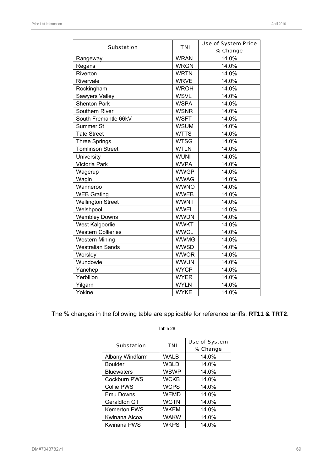| <b>Substation</b>         | <b>TNI</b>           | <b>Use of System Price</b><br>% Change |  |  |  |
|---------------------------|----------------------|----------------------------------------|--|--|--|
| Rangeway                  | <b>WRAN</b>          | 14.0%                                  |  |  |  |
| Regans                    | <b>WRGN</b>          | 14.0%                                  |  |  |  |
| Riverton                  | <b>WRTN</b>          | 14.0%                                  |  |  |  |
| Rivervale                 | <b>WRVE</b>          | 14.0%                                  |  |  |  |
| Rockingham                | <b>WROH</b>          | 14.0%                                  |  |  |  |
| Sawyers Valley            | <b>WSVL</b>          | 14.0%                                  |  |  |  |
| <b>Shenton Park</b>       | <b>WSPA</b>          | 14.0%                                  |  |  |  |
| Southern River            | <b>WSNR</b>          | 14.0%                                  |  |  |  |
| South Fremantle 66kV      | <b>WSFT</b>          | 14.0%                                  |  |  |  |
| Summer St                 | <b>WSUM</b>          | 14.0%                                  |  |  |  |
| <b>Tate Street</b>        | <b>WTTS</b>          | 14.0%                                  |  |  |  |
| <b>Three Springs</b>      | <b>WTSG</b>          | 14.0%                                  |  |  |  |
| <b>Tomlinson Street</b>   | <b>WTLN</b>          | 14.0%                                  |  |  |  |
| University                | <b>WUNI</b>          | 14.0%                                  |  |  |  |
| Victoria Park             | <b>WVPA</b>          | 14.0%                                  |  |  |  |
| Wagerup                   | <b>WWGP</b><br>14.0% |                                        |  |  |  |
| Wagin                     | <b>WWAG</b>          | 14.0%                                  |  |  |  |
| Wanneroo                  | <b>WWNO</b>          | 14.0%                                  |  |  |  |
| <b>WEB Grating</b>        | <b>WWEB</b>          | 14.0%                                  |  |  |  |
| <b>Wellington Street</b>  | <b>WWNT</b>          | 14.0%                                  |  |  |  |
| Welshpool                 | <b>WWEL</b>          | 14.0%                                  |  |  |  |
| <b>Wembley Downs</b>      | <b>WWDN</b>          | 14.0%                                  |  |  |  |
| West Kalgoorlie           | <b>WWKT</b>          | 14.0%                                  |  |  |  |
| <b>Western Collieries</b> | <b>WWCL</b>          | 14.0%                                  |  |  |  |
| <b>Western Mining</b>     | <b>WWMG</b>          | 14.0%                                  |  |  |  |
| <b>Westralian Sands</b>   | <b>WWSD</b>          | 14.0%                                  |  |  |  |
| Worsley                   | <b>WWOR</b>          | 14.0%                                  |  |  |  |
| Wundowie                  | <b>WWUN</b>          | 14.0%                                  |  |  |  |
| Yanchep                   | <b>WYCP</b>          | 14.0%                                  |  |  |  |
| Yerbillon                 | <b>WYER</b>          | 14.0%                                  |  |  |  |
| Yilgarn                   | <b>WYLN</b>          | 14.0%                                  |  |  |  |
| Yokine                    | <b>WYKE</b>          | 14.0%                                  |  |  |  |

The % changes in the following table are applicable for reference tariffs: **RT11 & TRT2**.

| <b>Substation</b>   | <b>TNI</b>  | <b>Use of System</b><br>% Change |
|---------------------|-------------|----------------------------------|
| Albany Windfarm     | <b>WALB</b> | 14.0%                            |
| <b>Boulder</b>      | WBLD        | 14.0%                            |
| <b>Bluewaters</b>   | <b>WBWP</b> | 14.0%                            |
| Cockburn PWS        | <b>WCKB</b> | 14.0%                            |
| <b>Collie PWS</b>   | <b>WCPS</b> | 14.0%                            |
| Emu Downs           | <b>WEMD</b> | 14.0%                            |
| Geraldton GT        | <b>WGTN</b> | 14.0%                            |
| <b>Kemerton PWS</b> | <b>WKEM</b> | 14.0%                            |
| Kwinana Alcoa       | <b>WAKW</b> | 14.0%                            |
| <b>Kwinana PWS</b>  | <b>WKPS</b> | 14.0%                            |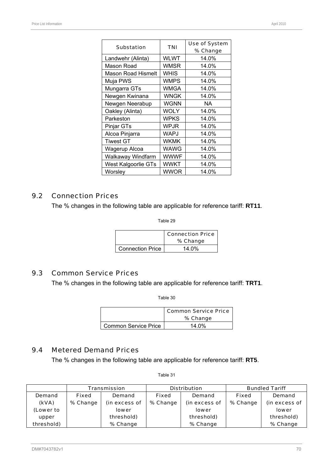| <b>Substation</b>         | <b>TNI</b>  | Use of System |
|---------------------------|-------------|---------------|
|                           |             | % Change      |
| Landwehr (Alinta)         | <b>WLWT</b> | 14.0%         |
| Mason Road                | <b>WMSR</b> | 14.0%         |
| <b>Mason Road Hismelt</b> | <b>WHIS</b> | 14.0%         |
| Muja PWS                  | <b>WMPS</b> | 14.0%         |
| Mungarra GTs              | WMGA        | 14.0%         |
| Newgen Kwinana            | WNGK        | 14.0%         |
| Newgen Neerabup           | <b>WGNN</b> | NA            |
| Oakley (Alinta)           | WOLY        | 14.0%         |
| Parkeston                 | WPKS        | 14.0%         |
| Pinjar GTs                | WPJR        | 14.0%         |
| Alcoa Pinjarra            | WAPJ        | 14.0%         |
| <b>Tiwest GT</b>          | WKMK        | 14.0%         |
| Wagerup Alcoa             | WAWG        | 14.0%         |
| Walkaway Windfarm         | <b>WWWF</b> | 14.0%         |
| West Kalgoorlie GTs       | WWKT        | 14.0%         |
| Worsley                   | WWOR        | 14.0%         |

# 9.2 Connection Prices

The % changes in the following table are applicable for reference tariff: **RT11**.

Table 29

|                         | <b>Connection Price</b><br>% Change |
|-------------------------|-------------------------------------|
| <b>Connection Price</b> | 14.0%                               |

### 9.3 Common Service Prices

The % changes in the following table are applicable for reference tariff: **TRT1**.

Table 30

|                      | <b>Common Service Price</b><br>% Change |
|----------------------|-----------------------------------------|
| Common Service Price | $14.0\%$                                |

### 9.4 Metered Demand Prices

The % changes in the following table are applicable for reference tariff: **RT5**.

|            |          | <b>Transmission</b> |              | <b>Distribution</b> | <b>Bundled Tariff</b> |               |  |
|------------|----------|---------------------|--------------|---------------------|-----------------------|---------------|--|
| Demand     | Fixed    | <b>Demand</b>       | <b>Fixed</b> | Demand              | <b>Fixed</b>          | Demand        |  |
| (kVA)      | % Change | (in excess of       | % Change     | (in excess of       | % Change              | (in excess of |  |
| (Lower to  |          | <b>lower</b>        |              | <b>lower</b>        |                       | <b>lower</b>  |  |
| upper      |          | threshold)          |              | threshold)          |                       | threshold)    |  |
| threshold) |          | % Change            |              | % Change            |                       | % Change      |  |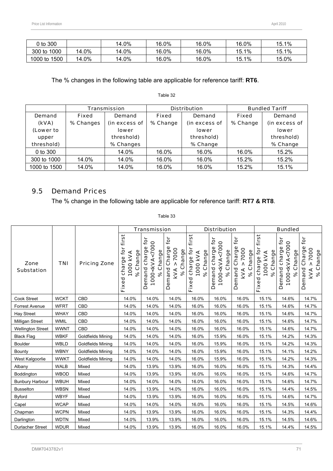| $0$ to $300$    |       | 14.0% | 16.0% | 16.0% | 16.0% | 15.1% |
|-----------------|-------|-------|-------|-------|-------|-------|
| 300 to 1000     | 14.0% | 14.0% | 16.0% | 16.0% | 15.1% | 15.1% |
| 1500<br>1000 to | 14.0% | 14.0% | 16.0% | 16.0% | 15.1% | 15.0% |

The % changes in the following table are applicable for reference tariff: **RT6**.

|              |              | <b>Transmission</b> |              | <b>Distribution</b> | <b>Bundled Tariff</b> |               |  |
|--------------|--------------|---------------------|--------------|---------------------|-----------------------|---------------|--|
| Demand       | <b>Fixed</b> | Demand              | <b>Fixed</b> | Demand              | <b>Fixed</b>          | Demand        |  |
| (kVA)        | % Changes    | (in excess of       | % Change     | (in excess of       | % Change              | (in excess of |  |
| (Lower to    |              | lower               |              | lower               |                       | <b>lower</b>  |  |
| upper        |              | threshold)          |              | threshold)          |                       | threshold)    |  |
| threshold)   |              | % Changes           |              | % Change            |                       | % Change      |  |
| 0 to 300     |              | 14.0%               | 16.0%        | 16.0%               | 16.0%                 | 15.2%         |  |
| 300 to 1000  | 14.0%        | 14.0%               | 16.0%        | 16.0%               | 15.2%                 | 15.2%         |  |
| 1000 to 1500 | 14.0%        | 14.0%               | 16.0%        | 16.0%               | 15.2%                 | 15.1%         |  |

# Table 32

# 9.5 Demand Prices

The % change in the following table are applicable for reference tariff: **RT7 & RT8**.

|                           |             |                     |                                                         | <b>Transmission</b><br><b>Distribution</b>                             |                                                             |                                                   |                                                                               |                                                             | <b>Bundled</b>                                              |                                                                       |                                                      |  |
|---------------------------|-------------|---------------------|---------------------------------------------------------|------------------------------------------------------------------------|-------------------------------------------------------------|---------------------------------------------------|-------------------------------------------------------------------------------|-------------------------------------------------------------|-------------------------------------------------------------|-----------------------------------------------------------------------|------------------------------------------------------|--|
| Zone<br><b>Substation</b> | <b>TNI</b>  | <b>Pricing Zone</b> | first<br>tor<br>% Change<br>1000 KVA<br>charge<br>Fixed | tor<br>1000 <kva<7000<br>Demand charge<br/>Change<br/>ಸಿ</kva<7000<br> | for<br>Charge<br>> 7000<br>% Change<br>Demand<br><b>KVA</b> | first<br>Fixed charge for<br>% Change<br>1000 KVA | <b>jor</b><br>1000 <kva<7000<br>Demand charge<br/>Change<br/>ೢೕ</kva<7000<br> | for<br>Charge<br>> 7000<br>% Change<br>Demand<br><b>KVA</b> | first<br>Fixed charge for<br>Change<br>1000 KVA<br>$\infty$ | tor<br>1000 <kva<7000<br>charge<br/>% Change<br/>Demand</kva<7000<br> | for<br>Demand Charge<br>7000<br>% Change<br>ν<br>KVA |  |
| Cook Street               | <b>WCKT</b> | <b>CBD</b>          | 14.0%                                                   | 14.0%                                                                  | 14.0%                                                       | 16.0%                                             | 16.0%                                                                         | 16.0%                                                       | 15.1%                                                       | 14.6%                                                                 | 14.7%                                                |  |
| Forrest Avenue            | <b>WFRT</b> | <b>CBD</b>          | 14.0%                                                   | 14.0%                                                                  | 14.0%                                                       | 16.0%                                             | 16.0%                                                                         | 16.0%                                                       | 15.1%                                                       | 14.6%                                                                 | 14.7%                                                |  |
| <b>Hay Street</b>         | <b>WHAY</b> | CBD                 | 14.0%                                                   | 14.0%                                                                  | 14.0%                                                       | 16.0%                                             | 16.0%                                                                         | 16.0%                                                       | 15.1%                                                       | 14.6%                                                                 | 14.7%                                                |  |
| Milligan Street           | WMIL        | CBD                 | 14.0%                                                   | 14.0%                                                                  | 14.0%                                                       | 16.0%                                             | 16.0%                                                                         | 16.0%                                                       | 15.1%                                                       | 14.6%                                                                 | 14.7%                                                |  |
| <b>Wellington Street</b>  | <b>WWNT</b> | CBD                 | 14.0%                                                   | 14.0%                                                                  | 14.0%                                                       | 16.0%                                             | 16.0%                                                                         | 16.0%                                                       | 15.1%                                                       | 14.6%                                                                 | 14.7%                                                |  |
| <b>Black Flag</b>         | <b>WBKF</b> | Goldfields Mining   | 14.0%                                                   | 14.0%                                                                  | 14.0%                                                       | 16.0%                                             | 15.9%                                                                         | 16.0%                                                       | 15.1%                                                       | 14.2%                                                                 | 14.3%                                                |  |
| <b>Boulder</b>            | <b>WBLD</b> | Goldfields Mining   | 14.0%                                                   | 14.0%                                                                  | 14.0%                                                       | 16.0%                                             | 15.9%                                                                         | 16.0%                                                       | 15.1%                                                       | 14.2%                                                                 | 14.3%                                                |  |
| Bounty                    | <b>WBNY</b> | Goldfields Mining   | 14.0%                                                   | 14.0%                                                                  | 14.0%                                                       | 16.0%                                             | 15.9%                                                                         | 16.0%                                                       | 15.1%                                                       | 14.1%                                                                 | 14.2%                                                |  |
| West Kalgoorlie           | <b>WWKT</b> | Goldfields Mining   | 14.0%                                                   | 14.0%                                                                  | 14.0%                                                       | 16.0%                                             | 15.9%                                                                         | 16.0%                                                       | 15.1%                                                       | 14.2%                                                                 | 14.3%                                                |  |
| Albany                    | <b>WALB</b> | Mixed               | 14.0%                                                   | 13.9%                                                                  | 13.9%                                                       | 16.0%                                             | 16.0%                                                                         | 16.0%                                                       | 15.1%                                                       | 14.3%                                                                 | 14.4%                                                |  |
| Boddington                | <b>WBOD</b> | Mixed               | 14.0%                                                   | 13.9%                                                                  | 13.9%                                                       | 16.0%                                             | 16.0%                                                                         | 16.0%                                                       | 15.1%                                                       | 14.6%                                                                 | 14.7%                                                |  |
| <b>Bunbury Harbour</b>    | <b>WBUH</b> | Mixed               | 14.0%                                                   | 14.0%                                                                  | 14.0%                                                       | 16.0%                                             | 16.0%                                                                         | 16.0%                                                       | 15.1%                                                       | 14.6%                                                                 | 14.7%                                                |  |
| <b>Busselton</b>          | <b>WBSN</b> | Mixed               | 14.0%                                                   | 13.9%                                                                  | 14.0%                                                       | 16.0%                                             | 16.0%                                                                         | 16.0%                                                       | 15.1%                                                       | 14.4%                                                                 | 14.5%                                                |  |
| <b>Byford</b>             | <b>WBYF</b> | Mixed               | 14.0%                                                   | 13.9%                                                                  | 13.9%                                                       | 16.0%                                             | 16.0%                                                                         | 16.0%                                                       | 15.1%                                                       | 14.6%                                                                 | 14.7%                                                |  |
| Capel                     | <b>WCAP</b> | Mixed               | 14.0%                                                   | 14.0%                                                                  | 14.0%                                                       | 16.0%                                             | 16.0%                                                                         | 16.0%                                                       | 15.1%                                                       | 14.5%                                                                 | 14.6%                                                |  |
| Chapman                   | <b>WCPN</b> | Mixed               | 14.0%                                                   | 13.9%                                                                  | 13.9%                                                       | 16.0%                                             | 16.0%                                                                         | 16.0%                                                       | 15.1%                                                       | 14.3%                                                                 | 14.4%                                                |  |
| Darlington                | <b>WDTN</b> | Mixed               | 14.0%                                                   | 13.9%                                                                  | 13.9%                                                       | 16.0%                                             | 16.0%                                                                         | 16.0%                                                       | 15.1%                                                       | 14.5%                                                                 | 14.6%                                                |  |
| <b>Durlacher Street</b>   | <b>WDUR</b> | Mixed               | 14.0%                                                   | 13.9%                                                                  | 13.9%                                                       | 16.0%                                             | 16.0%                                                                         | 16.0%                                                       | 15.1%                                                       | 14.4%                                                                 | 14.5%                                                |  |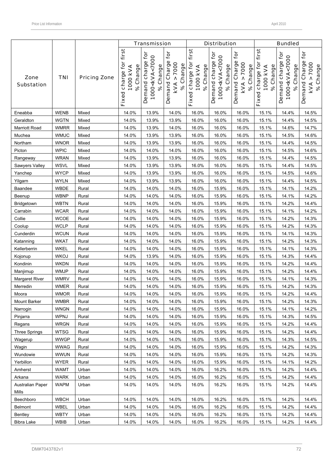|                           |                     |                     |                                                      | <b>Transmission</b>                                                                 |                                                                           |                                                   | <b>Distribution</b>                                             |                                                                    |                                                | <b>Bundled</b>                                                |                                                          |
|---------------------------|---------------------|---------------------|------------------------------------------------------|-------------------------------------------------------------------------------------|---------------------------------------------------------------------------|---------------------------------------------------|-----------------------------------------------------------------|--------------------------------------------------------------------|------------------------------------------------|---------------------------------------------------------------|----------------------------------------------------------|
| Zone<br><b>Substation</b> | <b>TNI</b>          | <b>Pricing Zone</b> | first<br>charge for<br>% Change<br>1000 kVA<br>Fixed | Demand charge for<br>1000 <kva<7000<br>Change<br/><math>\infty</math></kva<7000<br> | $\mathbf{\tilde{e}}$<br>Demand Charge<br>> 7000<br>% Change<br><b>KVA</b> | first<br>Fixed charge for<br>% Change<br>1000 KVA | ē<br>1000 <kva<7000<br>Demand charge<br/>% Change</kva<7000<br> | <b>jor</b><br>Demand Charge<br>7000<br>% Change<br>٨<br><b>KVA</b> | Fixed charge for first<br>% Change<br>1000 KVA | Demand charge for<br>1000 <kva<7000<br>% Change</kva<7000<br> | for<br>Demand Charge<br>> 7000<br>% Change<br><b>KVA</b> |
| Eneabba                   | <b>WENB</b>         | Mixed               | 14.0%                                                | 13.9%                                                                               | 14.0%                                                                     | 16.0%                                             | 16.0%                                                           | 16.0%                                                              | 15.1%                                          | 14.4%                                                         | 14.5%                                                    |
| Geraldton                 | <b>WGTN</b>         | Mixed               | 14.0%                                                | 13.9%                                                                               | 13.9%                                                                     | 16.0%                                             | 16.0%                                                           | 16.0%                                                              | 15.1%                                          | 14.4%                                                         | 14.5%                                                    |
| <b>Marriott Road</b>      | <b>WMRR</b>         | Mixed               | 14.0%                                                | 13.9%                                                                               | 14.0%                                                                     | 16.0%                                             | 16.0%                                                           | 16.0%                                                              | 15.1%                                          | 14.6%                                                         | 14.7%                                                    |
| Muchea                    | <b>WMUC</b>         | Mixed               | 14.0%                                                | 13.9%                                                                               | 13.9%                                                                     | 16.0%                                             | 16.0%                                                           | 16.0%                                                              | 15.1%                                          | 14.5%                                                         | 14.6%                                                    |
| Northam                   | <b>WNOR</b>         | Mixed               | 14.0%                                                | 13.9%                                                                               | 13.9%                                                                     | 16.0%                                             | 16.0%                                                           | 16.0%                                                              | 15.1%                                          | 14.4%                                                         | 14.5%                                                    |
| Picton                    | <b>WPIC</b>         | Mixed               | 14.0%                                                | 14.0%                                                                               | 14.0%                                                                     | 16.0%                                             | 16.0%                                                           | 16.0%                                                              | 15.1%                                          | 14.5%                                                         | 14.6%                                                    |
| Rangeway                  | <b>WRAN</b>         | Mixed               | 14.0%                                                | 13.9%                                                                               | 13.9%                                                                     | 16.0%                                             | 16.0%                                                           | 16.0%                                                              | 15.1%                                          | 14.4%                                                         | 14.5%                                                    |
| Sawyers Valley            | <b>WSVL</b>         | Mixed               | 14.0%                                                | 13.9%                                                                               | 13.9%                                                                     | 16.0%                                             | 16.0%                                                           | 16.0%                                                              | 15.1%                                          | 14.4%                                                         | 14.5%                                                    |
| Yanchep                   | <b>WYCP</b>         | Mixed               | 14.0%                                                | 13.9%                                                                               | 13.9%                                                                     | 16.0%                                             | 16.0%                                                           | 16.0%                                                              | 15.1%                                          | 14.5%                                                         | 14.6%                                                    |
| Yilgarn                   | <b>WYLN</b>         | Mixed               | 14.0%                                                | 13.9%                                                                               | 13.9%                                                                     | 16.0%                                             | 16.0%                                                           | 16.0%                                                              | 15.1%                                          | 14.4%                                                         | 14.5%                                                    |
| Baandee                   | WBDE                | Rural               | 14.0%                                                | 14.0%                                                                               | 14.0%                                                                     | 16.0%                                             | 15.9%                                                           | 16.0%                                                              | 15.1%                                          | 14.1%                                                         | 14.2%                                                    |
| Beenup                    | <b>WBNP</b>         | Rural               | 14.0%                                                | 14.0%                                                                               | 14.0%                                                                     | 16.0%                                             | 15.9%                                                           | 16.0%                                                              | 15.1%                                          | 14.1%                                                         | 14.2%                                                    |
| Bridgetown                | <b>WBTN</b>         | Rural               | 14.0%                                                | 14.0%                                                                               | 14.0%                                                                     | 16.0%                                             | 15.9%                                                           | 16.0%                                                              | 15.1%                                          | 14.2%                                                         | 14.4%                                                    |
| Carrabin                  | <b>WCAR</b>         | Rural               | 14.0%                                                | 14.0%                                                                               | 14.0%                                                                     | 16.0%                                             | 15.9%                                                           | 16.0%                                                              | 15.1%                                          | 14.1%                                                         | 14.2%                                                    |
| Collie                    | <b>WCOE</b>         | Rural               | 14.0%                                                | 14.0%                                                                               | 14.0%                                                                     | 16.0%                                             | 15.9%                                                           | 16.0%                                                              | 15.1%                                          | 14.2%                                                         | 14.3%                                                    |
| Coolup                    | <b>WCLP</b>         | Rural               | 14.0%                                                | 14.0%                                                                               | 14.0%                                                                     | 16.0%                                             | 15.9%                                                           | 16.0%                                                              | 15.1%                                          | 14.2%                                                         | 14.3%                                                    |
| Cunderdin                 | <b>WCUN</b>         | Rural               | 14.0%                                                | 14.0%                                                                               | 14.0%                                                                     | 16.0%                                             | 15.9%                                                           | 16.0%                                                              | 15.1%                                          | 14.1%                                                         | 14.3%                                                    |
| Katanning                 | <b>WKAT</b>         | Rural               | 14.0%                                                | 14.0%                                                                               | 14.0%                                                                     | 16.0%                                             | 15.9%                                                           | 16.0%                                                              | 15.1%                                          | 14.2%                                                         | 14.3%                                                    |
| Kellerberrin              | <b>WKEL</b>         | Rural               | 14.0%                                                | 14.0%                                                                               | 14.0%                                                                     | 16.0%                                             | 15.9%                                                           | 16.0%                                                              | 15.1%                                          | 14.1%                                                         | 14.3%                                                    |
| Kojonup                   | <b>WKOJ</b>         | Rural               | 14.0%                                                | 13.9%                                                                               | 14.0%                                                                     | 16.0%                                             | 15.9%                                                           | 16.0%                                                              | 15.1%                                          | 14.3%                                                         | 14.4%                                                    |
| Kondinin                  | <b>WKDN</b>         | Rural               | 14.0%                                                | 14.0%                                                                               | 14.0%                                                                     | 16.0%                                             | 15.9%                                                           | 16.0%                                                              | 15.1%                                          | 14.2%                                                         | 14.4%                                                    |
| Manjimup                  | <b>WMJP</b>         | Rural               | 14.0%                                                | 14.0%                                                                               | 14.0%                                                                     | 16.0%                                             | 15.9%                                                           | 16.0%                                                              | 15.1%                                          | 14.2%                                                         | 14.4%                                                    |
| <b>Margaret River</b>     | <b>WMRV</b>         | Rural               | 14.0%                                                | 14.0%                                                                               | 14.0%                                                                     | 16.0%                                             | 15.9%                                                           | 16.0%                                                              | 15.1%                                          | 14.1%                                                         | 14.3%                                                    |
| Merredin<br>Moora         | WMER<br><b>WMOR</b> | Rural               | 14.0%<br>14.0%                                       | 14.0%                                                                               | 14.0%                                                                     | 16.0%<br>16.0%                                    | 15.9%                                                           | 16.0%<br>16.0%                                                     | 15.1%                                          | 14.2%<br>14.2%                                                | 14.3%<br>14.4%                                           |
| Mount Barker              | <b>WMBR</b>         | Rural<br>Rural      | 14.0%                                                | 14.0%                                                                               | 14.0%<br>14.0%                                                            | 16.0%                                             | 15.9%                                                           | 16.0%                                                              | 15.1%<br>15.1%                                 |                                                               | 14.3%                                                    |
| Narrogin                  | <b>WNGN</b>         | Rural               | 14.0%                                                | 14.0%<br>14.0%                                                                      | 14.0%                                                                     | 16.0%                                             | 15.9%<br>15.9%                                                  | 16.0%                                                              | 15.1%                                          | 14.2%<br>14.1%                                                | 14.2%                                                    |
| Pinjarra                  | WPNJ                | Rural               | 14.0%                                                | 14.0%                                                                               | 14.0%                                                                     | 16.0%                                             | 15.9%                                                           | 16.0%                                                              | 15.1%                                          | 14.3%                                                         | 14.5%                                                    |
| Regans                    | <b>WRGN</b>         | Rural               | 14.0%                                                | 14.0%                                                                               | 14.0%                                                                     | 16.0%                                             | 15.9%                                                           | 16.0%                                                              | 15.1%                                          | 14.2%                                                         | 14.4%                                                    |
| Three Springs             | <b>WTSG</b>         | Rural               | 14.0%                                                | 14.0%                                                                               | 14.0%                                                                     | 16.0%                                             | 15.9%                                                           | 16.0%                                                              | 15.1%                                          | 14.2%                                                         | 14.4%                                                    |
| Wagerup                   | <b>WWGP</b>         | Rural               | 14.0%                                                | 14.0%                                                                               | 14.0%                                                                     | 16.0%                                             | 15.9%                                                           | 16.0%                                                              | 15.1%                                          | 14.3%                                                         | 14.5%                                                    |
| Wagin                     | <b>WWAG</b>         | Rural               | 14.0%                                                | 14.0%                                                                               | 14.0%                                                                     | 16.0%                                             | 15.9%                                                           | 16.0%                                                              | 15.1%                                          | 14.2%                                                         | 14.3%                                                    |
| Wundowie                  | <b>WWUN</b>         | Rural               | 14.0%                                                | 14.0%                                                                               | 14.0%                                                                     | 16.0%                                             | 15.9%                                                           | 16.0%                                                              | 15.1%                                          | 14.2%                                                         | 14.3%                                                    |
| Yerbillon                 | <b>WYER</b>         | Rural               | 14.0%                                                | 14.0%                                                                               | 14.0%                                                                     | 16.0%                                             | 15.9%                                                           | 16.0%                                                              | 15.1%                                          | 14.1%                                                         | 14.2%                                                    |
| Amherst                   | <b>WAMT</b>         | Urban               | 14.0%                                                | 14.0%                                                                               | 14.0%                                                                     | 16.0%                                             | 16.2%                                                           | 16.0%                                                              | 15.1%                                          | 14.2%                                                         | 14.4%                                                    |
| Arkana                    | <b>WARK</b>         | Urban               | 14.0%                                                | 14.0%                                                                               | 14.0%                                                                     | 16.0%                                             | 16.2%                                                           | 16.0%                                                              | 15.1%                                          | 14.2%                                                         | 14.4%                                                    |
| Australian Paper          | <b>WAPM</b>         | Urban               | 14.0%                                                | 14.0%                                                                               | 14.0%                                                                     | 16.0%                                             | 16.2%                                                           | 16.0%                                                              | 15.1%                                          | 14.2%                                                         | 14.4%                                                    |
| Mills                     |                     |                     |                                                      |                                                                                     |                                                                           |                                                   |                                                                 |                                                                    |                                                |                                                               |                                                          |
| Beechboro                 | <b>WBCH</b>         | Urban               | 14.0%                                                | 14.0%                                                                               | 14.0%                                                                     | 16.0%                                             | 16.2%                                                           | 16.0%                                                              | 15.1%                                          | 14.2%                                                         | 14.4%                                                    |
| Belmont                   | WBEL                | Urban               | 14.0%                                                | 14.0%                                                                               | 14.0%                                                                     | 16.0%                                             | 16.2%                                                           | 16.0%                                                              | 15.1%                                          | 14.2%                                                         | 14.4%                                                    |
| Bentley                   | <b>WBTY</b>         | Urban               | 14.0%                                                | 14.0%                                                                               | 14.0%                                                                     | 16.0%                                             | 16.2%                                                           | 16.0%                                                              | 15.1%                                          | 14.2%                                                         | 14.4%                                                    |
| Bibra Lake                | WBIB                | Urban               | 14.0%                                                | 14.0%                                                                               | 14.0%                                                                     | 16.0%                                             | 16.2%                                                           | 16.0%                                                              | 15.1%                                          | 14.2%                                                         | 14.4%                                                    |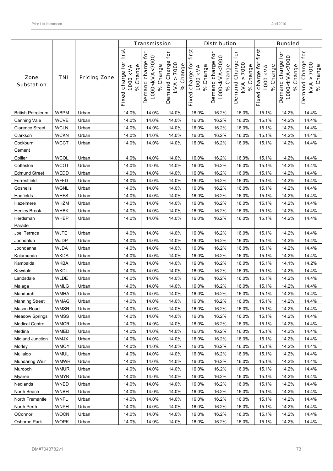|                           |             |                     |                                                   | <b>Transmission</b>                                                |                                                   |                                                   | <b>Distribution</b>                                             |                                                                                 |                                                   | <b>Bundled</b>                                                |                                                   |
|---------------------------|-------------|---------------------|---------------------------------------------------|--------------------------------------------------------------------|---------------------------------------------------|---------------------------------------------------|-----------------------------------------------------------------|---------------------------------------------------------------------------------|---------------------------------------------------|---------------------------------------------------------------|---------------------------------------------------|
| Zone<br><b>Substation</b> | <b>TNI</b>  | <b>Pricing Zone</b> | charge for first<br>% Change<br>1000 kVA<br>Fixed | Demand charge for<br>1000 <kva<7000<br>Change<br/>ಸಿ</kva<7000<br> | for<br>Demand Charge<br>> 7000<br>% Change<br>kVA | first<br>Fixed charge for<br>% Change<br>1000 KVA | Ċ<br>1000 <kva<7000<br>Demand charge<br/>% Change</kva<7000<br> | for<br>Demand Charge<br>7000<br>% Change<br>$\boldsymbol{\wedge}$<br><b>KVA</b> | first<br>Fixed charge for<br>% Change<br>1000 KVA | Demand charge for<br>1000 <kva<7000<br>% Change</kva<7000<br> | for<br>Demand Charge<br>> 7000<br>% Change<br>kVA |
| <b>British Petroleum</b>  | <b>WBPM</b> | Urban               | 14.0%                                             | 14.0%                                                              | 14.0%                                             | 16.0%                                             | 16.2%                                                           | 16.0%                                                                           | 15.1%                                             | 14.2%                                                         | 14.4%                                             |
| Canning Vale              | <b>WCVE</b> | Urban               | 14.0%                                             | 14.0%                                                              | 14.0%                                             | 16.0%                                             | 16.2%                                                           | 16.0%                                                                           | 15.1%                                             | 14.2%                                                         | 14.4%                                             |
| <b>Clarence Street</b>    | <b>WCLN</b> | Urban               | 14.0%                                             | 14.0%                                                              | 14.0%                                             | 16.0%                                             | 16.2%                                                           | 16.0%                                                                           | 15.1%                                             | 14.2%                                                         | 14.4%                                             |
| Clarkson                  | <b>WCKN</b> | Urban               | 14.0%                                             | 14.0%                                                              | 14.0%                                             | 16.0%                                             | 16.2%                                                           | 16.0%                                                                           | 15.1%                                             | 14.2%                                                         | 14.4%                                             |
| Cockburn<br>Cement        | <b>WCCT</b> | Urban               | 14.0%                                             | 14.0%                                                              | 14.0%                                             | 16.0%                                             | 16.2%                                                           | 16.0%                                                                           | 15.1%                                             | 14.2%                                                         | 14.4%                                             |
| Collier                   | <b>WCOL</b> | Urban               | 14.0%                                             | 14.0%                                                              | 14.0%                                             | 16.0%                                             | 16.2%                                                           | 16.0%                                                                           | 15.1%                                             | 14.2%                                                         | 14.4%                                             |
| Cottesloe                 | <b>WCOT</b> | Urban               | 14.0%                                             | 14.0%                                                              | 14.0%                                             | 16.0%                                             | 16.2%                                                           | 16.0%                                                                           | 15.1%                                             | 14.2%                                                         | 14.4%                                             |
| <b>Edmund Street</b>      | WEDD        | Urban               | 14.0%                                             | 14.0%                                                              | 14.0%                                             | 16.0%                                             | 16.2%                                                           | 16.0%                                                                           | 15.1%                                             | 14.2%                                                         | 14.4%                                             |
| Forrestfield              | <b>WFFD</b> | Urban               | 14.0%                                             | 14.0%                                                              | 14.0%                                             | 16.0%                                             | 16.2%                                                           | 16.0%                                                                           | 15.1%                                             | 14.2%                                                         | 14.4%                                             |
| Gosnells                  | <b>WGNL</b> | Urban               | 14.0%                                             | 14.0%                                                              | 14.0%                                             | 16.0%                                             | 16.2%                                                           | 16.0%                                                                           | 15.1%                                             | 14.2%                                                         | 14.4%                                             |
| Hadfields                 | <b>WHFS</b> | Urban               | 14.0%                                             | 14.0%                                                              | 14.0%                                             | 16.0%                                             | 16.2%                                                           | 16.0%                                                                           | 15.1%                                             | 14.2%                                                         | 14.4%                                             |
| Hazelmere                 | <b>WHZM</b> | Urban               | 14.0%                                             | 14.0%                                                              | 14.0%                                             | 16.0%                                             | 16.2%                                                           | 16.0%                                                                           | 15.1%                                             | 14.2%                                                         | 14.4%                                             |
| Henley Brook              | WHBK        | Urban               | 14.0%                                             | 14.0%                                                              | 14.0%                                             | 16.0%                                             | 16.2%                                                           | 16.0%                                                                           | 15.1%                                             | 14.2%                                                         | 14.4%                                             |
| Herdsman<br>Parade        | <b>WHEP</b> | Urban               | 14.0%                                             | 14.0%                                                              | 14.0%                                             | 16.0%                                             | 16.2%                                                           | 16.0%                                                                           | 15.1%                                             | 14.2%                                                         | 14.4%                                             |
| Joel Terrace              | <b>WJTE</b> | Urban               | 14.0%                                             | 14.0%                                                              | 14.0%                                             | 16.0%                                             | 16.2%                                                           | 16.0%                                                                           | 15.1%                                             | 14.2%                                                         | 14.4%                                             |
| Joondalup                 | <b>WJDP</b> | Urban               | 14.0%                                             | 14.0%                                                              | 14.0%                                             | 16.0%                                             | 16.2%                                                           | 16.0%                                                                           | 15.1%                                             | 14.2%                                                         | 14.4%                                             |
| Joondanna                 | <b>WJDA</b> | Urban               | 14.0%                                             | 14.0%                                                              | 14.0%                                             | 16.0%                                             | 16.2%                                                           | 16.0%                                                                           | 15.1%                                             | 14.2%                                                         | 14.4%                                             |
| Kalamunda                 | <b>WKDA</b> | Urban               | 14.0%                                             | 14.0%                                                              | 14.0%                                             | 16.0%                                             | 16.2%                                                           | 16.0%                                                                           | 15.1%                                             | 14.2%                                                         | 14.4%                                             |
| Kambalda                  | <b>WKBA</b> | Urban               | 14.0%                                             | 14.0%                                                              | 14.0%                                             | 16.0%                                             | 16.2%                                                           | 16.0%                                                                           | 15.1%                                             | 14.1%                                                         | 14.2%                                             |
| Kewdale                   | <b>WKDL</b> | Urban               | 14.0%                                             | 14.0%                                                              | 14.0%                                             | 16.0%                                             | 16.2%                                                           | 16.0%                                                                           | 15.1%                                             | 14.2%                                                         | 14.4%                                             |
| Landsdale                 | WLDE        | Urban               | 14.0%                                             | 14.0%                                                              | 14.0%                                             | 16.0%                                             | 16.2%                                                           | 16.0%                                                                           | 15.1%                                             | 14.2%                                                         | 14.4%                                             |
| Malaga                    | <b>WMLG</b> | Urban               | 14.0%                                             | 14.0%                                                              | 14.0%                                             | 16.0%                                             | 16.2%                                                           | 16.0%                                                                           | 15.1%                                             | 14.2%                                                         | 14.4%                                             |
| Mandurah                  | <b>WMHA</b> | Urban               | 14.0%                                             | 14.0%                                                              | 14.0%                                             | 16.0%                                             | 16.2%                                                           | 16.0%                                                                           | 15.1%                                             | 14.2%                                                         | 14.4%                                             |
| <b>Manning Street</b>     | <b>WMAG</b> | Urban               | 14.0%                                             | 14.0%                                                              | 14.0%                                             | 16.0%                                             | 16.2%                                                           | 16.0%                                                                           | 15.1%                                             | 14.2%                                                         | 14.4%                                             |
| Mason Road                | <b>WMSR</b> | Urban               | 14.0%                                             | 14.0%                                                              | 14.0%                                             | 16.0%                                             | 16.2%                                                           | 16.0%                                                                           | 15.1%                                             | 14.2%                                                         | 14.4%                                             |
| <b>Meadow Springs</b>     | <b>WMSS</b> | Urban               | 14.0%                                             | 14.0%                                                              | 14.0%                                             | 16.0%                                             | 16.2%                                                           | 16.0%                                                                           | 15.1%                                             | 14.2%                                                         | 14.4%                                             |
| <b>Medical Centre</b>     | <b>WMCR</b> | Urban               | 14.0%                                             | 14.0%                                                              | 14.0%                                             | 16.0%                                             | 16.2%                                                           | 16.0%                                                                           | 15.1%                                             | 14.2%                                                         | 14.4%                                             |
| Medina                    | WMED        | Urban               | 14.0%                                             | 14.0%                                                              | 14.0%                                             | 16.0%                                             | 16.2%                                                           | 16.0%                                                                           | 15.1%                                             | 14.2%                                                         | 14.4%                                             |
| Midland Junction          | <b>WMJX</b> | Urban               | 14.0%                                             | 14.0%                                                              | 14.0%                                             | 16.0%                                             | 16.2%                                                           | 16.0%                                                                           | 15.1%                                             | 14.2%                                                         | 14.4%                                             |
| Morley                    | <b>WMOY</b> | Urban               | 14.0%                                             | 14.0%                                                              | 14.0%                                             | 16.0%                                             | 16.2%                                                           | 16.0%                                                                           | 15.1%                                             | 14.2%                                                         | 14.4%                                             |
| Mullaloo                  | <b>WMUL</b> | Urban               | 14.0%                                             | 14.0%                                                              | 14.0%                                             | 16.0%                                             | 16.2%                                                           | 16.0%                                                                           | 15.1%                                             | 14.2%                                                         | 14.4%                                             |
| Mundaring Weir            | <b>WMWR</b> | Urban               | 14.0%                                             | 14.0%                                                              | 14.0%                                             | 16.0%                                             | 16.2%                                                           | 16.0%                                                                           | 15.1%                                             | 14.2%                                                         | 14.4%                                             |
| Murdoch                   | <b>WMUR</b> | Urban               | 14.0%                                             | 14.0%                                                              | 14.0%                                             | 16.0%                                             | 16.2%                                                           | 16.0%                                                                           | 15.1%                                             | 14.2%                                                         | 14.4%                                             |
| Myaree                    | WMYR        | Urban               | 14.0%                                             | 14.0%                                                              | 14.0%                                             | 16.0%                                             | 16.2%                                                           | 16.0%                                                                           | 15.1%                                             | 14.2%                                                         | 14.4%                                             |
| Nedlands                  | <b>WNED</b> | Urban               | 14.0%                                             | 14.0%                                                              | 14.0%                                             | 16.0%                                             | 16.2%                                                           | 16.0%                                                                           | 15.1%                                             | 14.2%                                                         | 14.4%                                             |
| North Beach               | <b>WNBH</b> | Urban               | 14.0%                                             | 14.0%                                                              | 14.0%                                             | 16.0%                                             | 16.2%                                                           | 16.0%                                                                           | 15.1%                                             | 14.2%                                                         | 14.4%                                             |
| North Fremantle           | <b>WNFL</b> | Urban               | 14.0%                                             | 14.0%                                                              | 14.0%                                             | 16.0%                                             | 16.2%                                                           | 16.0%                                                                           | 15.1%                                             | 14.2%                                                         | 14.4%                                             |
| North Perth               | <b>WNPH</b> | Urban               | 14.0%                                             | 14.0%                                                              | 14.0%                                             | 16.0%                                             | 16.2%                                                           | 16.0%                                                                           | 15.1%                                             | 14.2%                                                         | 14.4%                                             |
| OConnor                   | <b>WOCN</b> | Urban               | 14.0%                                             | 14.0%                                                              | 14.0%                                             | 16.0%                                             | 16.2%                                                           | 16.0%                                                                           | 15.1%                                             | 14.2%                                                         | 14.4%                                             |
| Osborne Park              | <b>WOPK</b> | Urban               | 14.0%                                             | 14.0%                                                              | 14.0%                                             | 16.0%                                             | 16.2%                                                           | 16.0%                                                                           | 15.1%                                             | 14.2%                                                         | 14.4%                                             |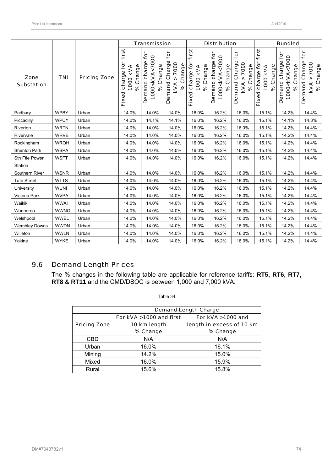|                           |             |                     | <b>Transmission</b>                                          |                                                               |                                                                        | <b>Distribution</b>                               |                                                                         |                                                      | <b>Bundled</b>                                    |                                                                          |                                                      |
|---------------------------|-------------|---------------------|--------------------------------------------------------------|---------------------------------------------------------------|------------------------------------------------------------------------|---------------------------------------------------|-------------------------------------------------------------------------|------------------------------------------------------|---------------------------------------------------|--------------------------------------------------------------------------|------------------------------------------------------|
| Zone<br><b>Substation</b> | <b>TNI</b>  | <b>Pricing Zone</b> | first<br><u>ة</u><br>% Change<br>1000 KVA<br>charge<br>Fixed | Demand charge for<br>1000 <kva<7000<br>% Change</kva<7000<br> | tor<br>7000<br>% Change<br>Charge<br>$\Lambda$<br>Demand<br><b>KVA</b> | first<br>Fixed charge for<br>% Change<br>1000 KVA | <b>jo</b><br>1000 <kva<7000<br>Demand charge<br/>% Change</kva<7000<br> | for<br>Demand Charge<br>7000<br>% Change<br>٨<br>kVA | first<br>Fixed charge for<br>% Change<br>1000 kVA | <b>jor</b><br>1000 <kva<7000<br>Demand charge<br/>% Change</kva<7000<br> | for<br>Demand Charge<br>7000<br>% Change<br>٨<br>KVA |
| Padbury                   | <b>WPBY</b> | Urban               | 14.0%                                                        | 14.0%                                                         | 14.0%                                                                  | 16.0%                                             | 16.2%                                                                   | 16.0%                                                | 15.1%                                             | 14.2%                                                                    | 14.4%                                                |
| Piccadilly                | <b>WPCY</b> | Urban               | 14.0%                                                        | 14.1%                                                         | 14.1%                                                                  | 16.0%                                             | 16.2%                                                                   | 16.0%                                                | 15.1%                                             | 14.1%                                                                    | 14.3%                                                |
| Riverton                  | <b>WRTN</b> | Urban               | 14.0%                                                        | 14.0%                                                         | 14.0%                                                                  | 16.0%                                             | 16.2%                                                                   | 16.0%                                                | 15.1%                                             | 14.2%                                                                    | 14.4%                                                |
| Rivervale                 | <b>WRVE</b> | Urban               | 14.0%                                                        | 14.0%                                                         | 14.0%                                                                  | 16.0%                                             | 16.2%                                                                   | 16.0%                                                | 15.1%                                             | 14.2%                                                                    | 14.4%                                                |
| Rockingham                | <b>WROH</b> | Urban               | 14.0%                                                        | 14.0%                                                         | 14.0%                                                                  | 16.0%                                             | 16.2%                                                                   | 16.0%                                                | 15.1%                                             | 14.2%                                                                    | 14.4%                                                |
| Shenton Park              | <b>WSPA</b> | Urban               | 14.0%                                                        | 14.0%                                                         | 14.0%                                                                  | 16.0%                                             | 16.2%                                                                   | 16.0%                                                | 15.1%                                             | 14.2%                                                                    | 14.4%                                                |
| Sth Ftle Power<br>Station | <b>WSFT</b> | Urban               | 14.0%                                                        | 14.0%                                                         | 14.0%                                                                  | 16.0%                                             | 16.2%                                                                   | 16.0%                                                | 15.1%                                             | 14.2%                                                                    | 14.4%                                                |
| Southern River            | <b>WSNR</b> | Urban               | 14.0%                                                        | 14.0%                                                         | 14.0%                                                                  | 16.0%                                             | 16.2%                                                                   | 16.0%                                                | 15.1%                                             | 14.2%                                                                    | 14.4%                                                |
| <b>Tate Street</b>        | <b>WTTS</b> | Urban               | 14.0%                                                        | 14.0%                                                         | 14.0%                                                                  | 16.0%                                             | 16.2%                                                                   | 16.0%                                                | 15.1%                                             | 14.2%                                                                    | 14.4%                                                |
| University                | <b>WUNI</b> | Urban               | 14.0%                                                        | 14.0%                                                         | 14.0%                                                                  | 16.0%                                             | 16.2%                                                                   | 16.0%                                                | 15.1%                                             | 14.2%                                                                    | 14.4%                                                |
| Victoria Park             | <b>WVPA</b> | Urban               | 14.0%                                                        | 14.0%                                                         | 14.0%                                                                  | 16.0%                                             | 16.2%                                                                   | 16.0%                                                | 15.1%                                             | 14.2%                                                                    | 14.4%                                                |
| Waikiki                   | <b>WWAI</b> | Urban               | 14.0%                                                        | 14.0%                                                         | 14.0%                                                                  | 16.0%                                             | 16.2%                                                                   | 16.0%                                                | 15.1%                                             | 14.2%                                                                    | 14.4%                                                |
| Wanneroo                  | <b>WWNO</b> | Urban               | 14.0%                                                        | 14.0%                                                         | 14.0%                                                                  | 16.0%                                             | 16.2%                                                                   | 16.0%                                                | 15.1%                                             | 14.2%                                                                    | 14.4%                                                |
| Welshpool                 | <b>WWEL</b> | Urban               | 14.0%                                                        | 14.0%                                                         | 14.0%                                                                  | 16.0%                                             | 16.2%                                                                   | 16.0%                                                | 15.1%                                             | 14.2%                                                                    | 14.4%                                                |
| <b>Wembley Downs</b>      | <b>WWDN</b> | Urban               | 14.0%                                                        | 14.0%                                                         | 14.0%                                                                  | 16.0%                                             | 16.2%                                                                   | 16.0%                                                | 15.1%                                             | 14.2%                                                                    | 14.4%                                                |
| Willeton                  | <b>WWLN</b> | Urban               | 14.0%                                                        | 14.0%                                                         | 14.0%                                                                  | 16.0%                                             | 16.2%                                                                   | 16.0%                                                | 15.1%                                             | 14.2%                                                                    | 14.4%                                                |
| Yokine                    | <b>WYKE</b> | Urban               | 14.0%                                                        | 14.0%                                                         | 14.0%                                                                  | 16.0%                                             | 16.2%                                                                   | 16.0%                                                | 15.1%                                             | 14.2%                                                                    | 14.4%                                                |

# 9.6 Demand Length Prices

The % changes in the following table are applicable for reference tariffs: **RT5, RT6, RT7, RT8 & RT11** and the CMD/DSOC is between 1,000 and 7,000 kVA.

|                     | <b>Demand-Length Charge</b> |                           |  |  |
|---------------------|-----------------------------|---------------------------|--|--|
|                     | For kVA >1000 and first     | For kVA >1000 and         |  |  |
| <b>Pricing Zone</b> | 10 km length                | length in excess of 10 km |  |  |
|                     | % Change                    | % Change                  |  |  |
| CBD                 | N/A                         | N/A                       |  |  |
| Urban               | 16.0%                       | 16.1%                     |  |  |
| Mining              | 14.2%                       | 15.0%                     |  |  |
| Mixed               | 16.0%                       | 15.9%                     |  |  |
| Rural               | 15.6%                       | 15.8%                     |  |  |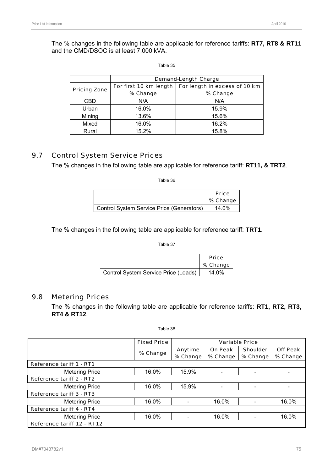The % changes in the following table are applicable for reference tariffs: **RT7, RT8 & RT11** and the CMD/DSOC is at least 7,000 kVA.

#### Table 35

|                     | <b>Demand-Length Charge</b> |                               |  |  |
|---------------------|-----------------------------|-------------------------------|--|--|
|                     | For first 10 km length      | For length in excess of 10 km |  |  |
| <b>Pricing Zone</b> | % Change                    | % Change                      |  |  |
| CBD                 | N/A                         | N/A                           |  |  |
| Urban               | 16.0%                       | 15.9%                         |  |  |
| Mining              | 13.6%                       | 15.6%                         |  |  |
| Mixed               | 16.0%                       | 16.2%                         |  |  |
| Rural               | 15.2%                       | 15.8%                         |  |  |

### 9.7 Control System Service Prices

The % changes in the following table are applicable for reference tariff: **RT11, & TRT2**.

Table 36

|                                           | <b>Price</b> |
|-------------------------------------------|--------------|
|                                           | % Change     |
| Control System Service Price (Generators) | 14.0%        |

The % changes in the following table are applicable for reference tariff: **TRT1**.

Table 37

|                                      | <b>Price</b><br>% Change |
|--------------------------------------|--------------------------|
|                                      |                          |
| Control System Service Price (Loads) | 14.0%                    |

### 9.8 Metering Prices

The % changes in the following table are applicable for reference tariffs: **RT1, RT2, RT3, RT4 & RT12**.

| Table 38 |  |
|----------|--|
|----------|--|

|                                 | <b>Fixed Price</b> | <b>Variable Price</b> |                |                 |                 |
|---------------------------------|--------------------|-----------------------|----------------|-----------------|-----------------|
|                                 |                    | Anytime               | <b>On Peak</b> | <b>Shoulder</b> | <b>Off Peak</b> |
|                                 | % Change           | % Change              | % Change       | % Change        | % Change        |
| <b>Reference tariff 1 - RT1</b> |                    |                       |                |                 |                 |
| <b>Metering Price</b>           | 16.0%              | 15.9%                 |                |                 |                 |
| Reference tariff 2 - RT2        |                    |                       |                |                 |                 |
| <b>Metering Price</b>           | 16.0%              | 15.9%                 |                |                 |                 |
| Reference tariff 3 - RT3        |                    |                       |                |                 |                 |
| <b>Metering Price</b>           | 16.0%              |                       | 16.0%          |                 | 16.0%           |
| <b>Reference tariff 4 - RT4</b> |                    |                       |                |                 |                 |
| <b>Metering Price</b>           | 16.0%              |                       | 16.0%          |                 | 16.0%           |
| Reference tariff 12 - RT12      |                    |                       |                |                 |                 |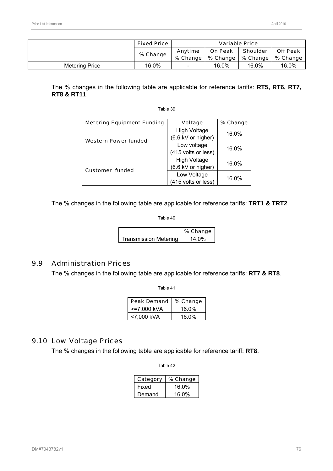|                       | <b>Fixed Price</b> | <b>Variable Price</b> |                |                                |                 |
|-----------------------|--------------------|-----------------------|----------------|--------------------------------|-----------------|
|                       | % Change           | Anytime               | <b>On Peak</b> | <b>Shoulder</b>                | <b>Off Peak</b> |
|                       |                    | % Change $\vert$      |                | % Change   % Change   % Change |                 |
| <b>Metering Price</b> | 16.0%              | $\sim$                | 16.0%          | 16.0%                          | 16.0%           |

The % changes in the following table are applicable for reference tariffs: **RT5, RT6, RT7, RT8 & RT11**.

#### Table 39

| <b>Metering Equipment Funding</b> | <b>Voltage</b>                            | % Change |
|-----------------------------------|-------------------------------------------|----------|
| <b>Western Power funded</b>       | <b>High Voltage</b><br>(6.6 kV or higher) | 16.0%    |
|                                   | Low voltage<br>(415 volts or less)        | 16.0%    |
|                                   | <b>High Voltage</b><br>(6.6 kV or higher) | 16.0%    |
| <b>Customer funded</b>            | Low Voltage<br>(415 volts or less)        | 16.0%    |

The % changes in the following table are applicable for reference tariffs: **TRT1 & TRT2**.

Table 40

|                              | % Change |
|------------------------------|----------|
| <b>Transmission Metering</b> | 14.0%    |

### 9.9 Administration Prices

The % changes in the following table are applicable for reference tariffs: **RT7 & RT8**.

Table 41

| <b>Peak Demand</b> | % Change |
|--------------------|----------|
| >=7,000 kVA        | 16.0%    |
| <7,000 kVA         | 16.0%    |

# 9.10 Low Voltage Prices

The % changes in the following table are applicable for reference tariff: **RT8**.

| Category | % Change |
|----------|----------|
| Fixed    | 16.0%    |
| Demand   | 16.0%    |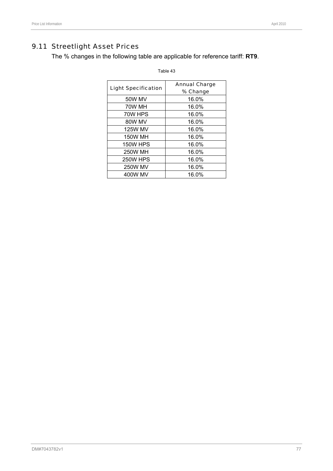# 9.11 Streetlight Asset Prices

The % changes in the following table are applicable for reference tariff: **RT9**.

| <b>Light Specification</b> | <b>Annual Charge</b><br>% Change |
|----------------------------|----------------------------------|
| 50W MV                     | 16.0%                            |
| 70W MH                     | 16.0%                            |
| 70W HPS                    | 16.0%                            |
| 80W MV                     | 16.0%                            |
| <b>125W MV</b>             | 16.0%                            |
| <b>150W MH</b>             | 16.0%                            |
| <b>150W HPS</b>            | 16.0%                            |
| <b>250W MH</b>             | 16.0%                            |
| <b>250W HPS</b>            | 16.0%                            |
| <b>250W MV</b>             | 16.0%                            |
| 400W MV                    | 16.0%                            |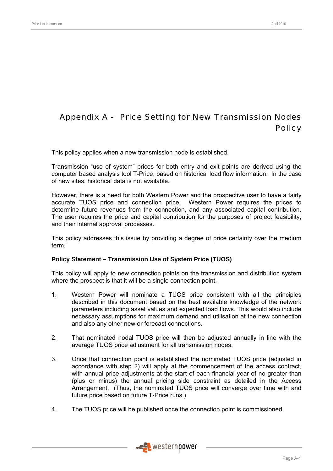# Appendix A - Price Setting for New Transmission Nodes **Policy**

This policy applies when a new transmission node is established.

Transmission "use of system" prices for both entry and exit points are derived using the computer based analysis tool T-Price, based on historical load flow information. In the case of new sites, historical data is not available.

However, there is a need for both Western Power and the prospective user to have a fairly accurate TUOS price and connection price. Western Power requires the prices to determine future revenues from the connection, and any associated capital contribution. The user requires the price and capital contribution for the purposes of project feasibility, and their internal approval processes.

This policy addresses this issue by providing a degree of price certainty over the medium term.

### **Policy Statement – Transmission Use of System Price (TUOS)**

This policy will apply to new connection points on the transmission and distribution system where the prospect is that it will be a single connection point.

- 1. Western Power will nominate a TUOS price consistent with all the principles described in this document based on the best available knowledge of the network parameters including asset values and expected load flows. This would also include necessary assumptions for maximum demand and utilisation at the new connection and also any other new or forecast connections.
- 2. That nominated nodal TUOS price will then be adjusted annually in line with the average TUOS price adjustment for all transmission nodes.
- 3. Once that connection point is established the nominated TUOS price (adjusted in accordance with step 2) will apply at the commencement of the access contract, with annual price adjustments at the start of each financial year of no greater than (plus or minus) the annual pricing side constraint as detailed in the Access Arrangement. (Thus, the nominated TUOS price will converge over time with and future price based on future T-Price runs.)
- 4. The TUOS price will be published once the connection point is commissioned.